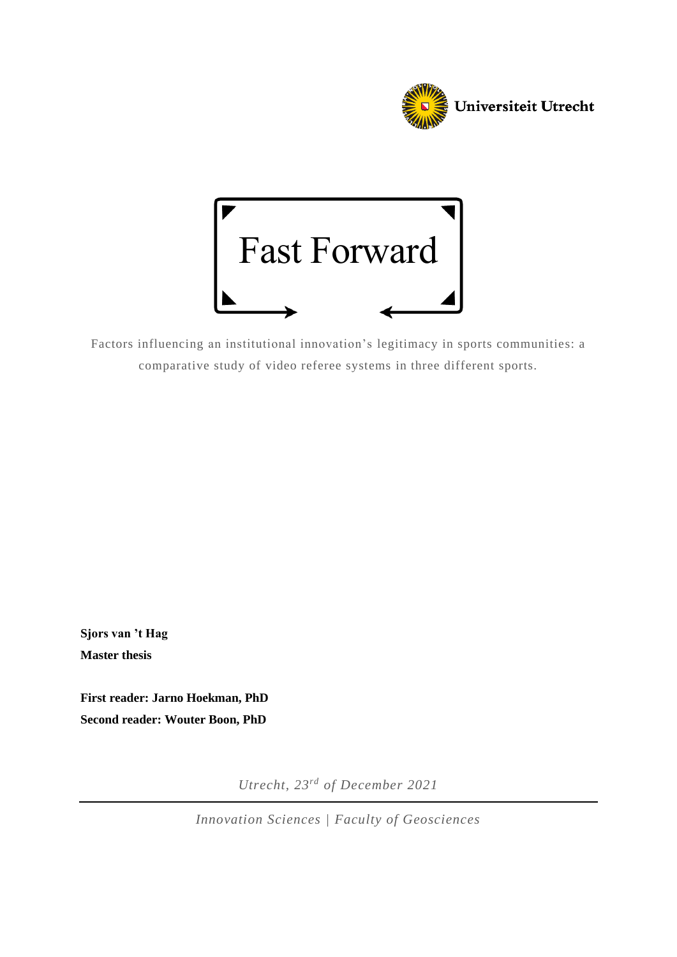



Factors influencing an institutional innovation's legitimacy in sports communities: a comparative study of video referee systems in three different sports.

**Sjors van 't Hag Master thesis**

**First reader: Jarno Hoekman, PhD Second reader: Wouter Boon, PhD**

*Utrecht, 23rd of December 2021*

*Innovation Sciences | Faculty of Geosciences*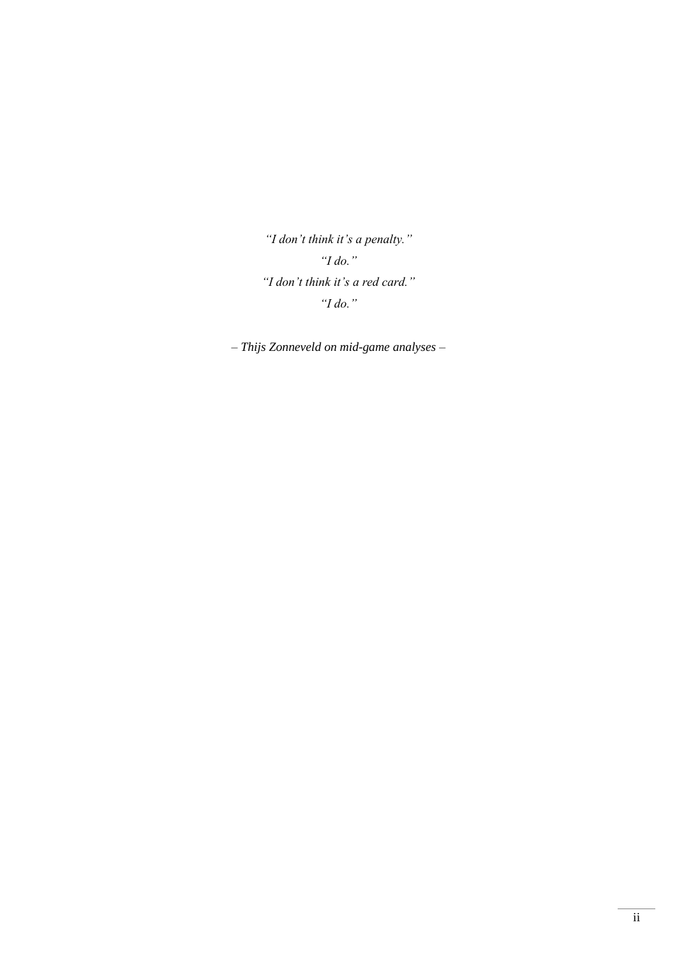*"I don't think it's a penalty." "I do." "I don't think it's a red card." "I do."*

*– Thijs Zonneveld on mid-game analyses –*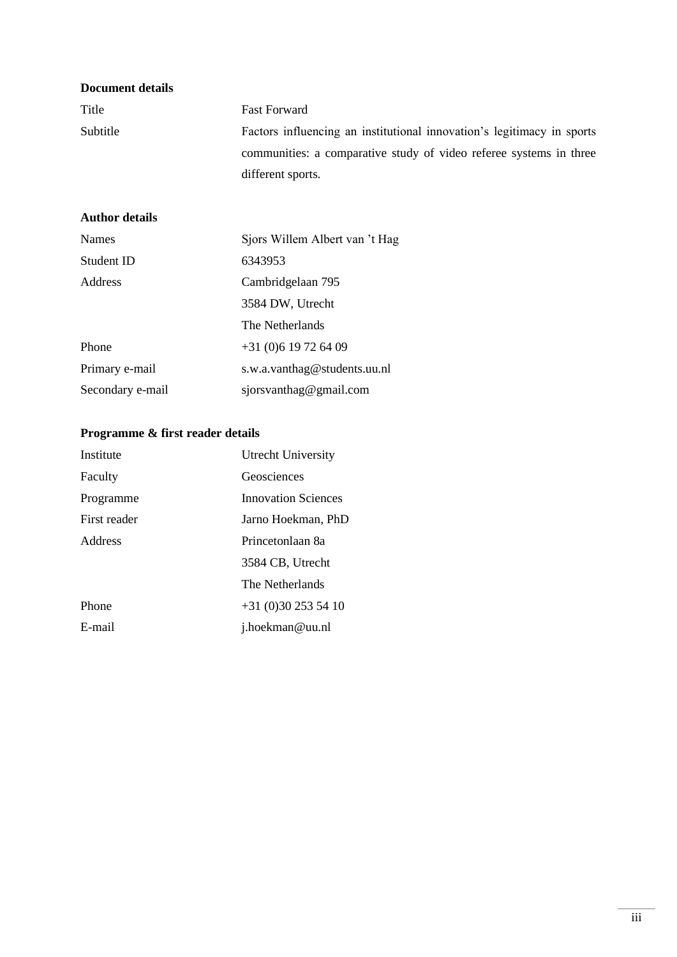| <b>Document details</b> |                                                                        |
|-------------------------|------------------------------------------------------------------------|
| Title                   | <b>Fast Forward</b>                                                    |
| Subtitle                | Factors influencing an institutional innovation's legitimacy in sports |
|                         | communities: a comparative study of video referee systems in three     |
|                         | different sports.                                                      |
| <b>Author details</b>   |                                                                        |
| <b>Names</b>            | Sjors Willem Albert van 't Hag                                         |
| Student ID              | 6343953                                                                |
| Address                 | Cambridgelaan 795                                                      |
|                         | 3584 DW, Utrecht                                                       |
|                         | The Netherlands                                                        |
| Phone                   | $+31(0)619726409$                                                      |
| Primary e-mail          | s.w.a.vanthag@students.uu.nl                                           |
| Secondary e-mail        | sjorsvanthag@gmail.com                                                 |

## **Programme & first reader details**

| Institute    | Utrecht University         |
|--------------|----------------------------|
| Faculty      | Geosciences                |
| Programme    | <b>Innovation Sciences</b> |
| First reader | Jarno Hoekman, PhD         |
| Address      | Princetonlaan 8a           |
|              | 3584 CB, Utrecht           |
|              | The Netherlands            |
| Phone        | $+31(0)302535410$          |
| E-mail       | j.hoekman@uu.nl            |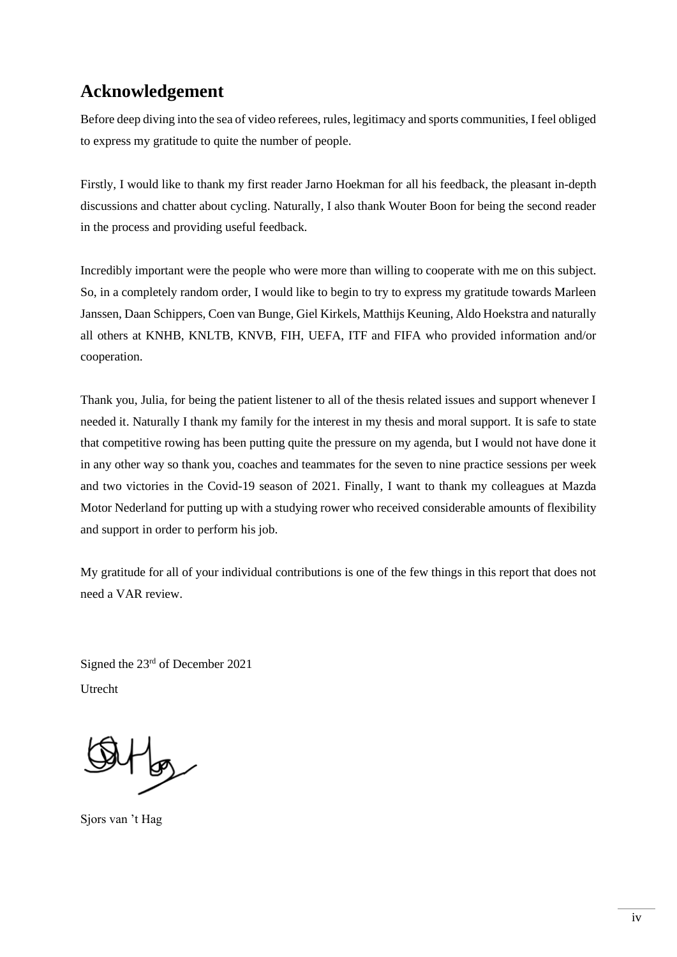# **Acknowledgement**

Before deep diving into the sea of video referees, rules, legitimacy and sports communities, I feel obliged to express my gratitude to quite the number of people.

Firstly, I would like to thank my first reader Jarno Hoekman for all his feedback, the pleasant in-depth discussions and chatter about cycling. Naturally, I also thank Wouter Boon for being the second reader in the process and providing useful feedback.

Incredibly important were the people who were more than willing to cooperate with me on this subject. So, in a completely random order, I would like to begin to try to express my gratitude towards Marleen Janssen, Daan Schippers, Coen van Bunge, Giel Kirkels, Matthijs Keuning, Aldo Hoekstra and naturally all others at KNHB, KNLTB, KNVB, FIH, UEFA, ITF and FIFA who provided information and/or cooperation.

Thank you, Julia, for being the patient listener to all of the thesis related issues and support whenever I needed it. Naturally I thank my family for the interest in my thesis and moral support. It is safe to state that competitive rowing has been putting quite the pressure on my agenda, but I would not have done it in any other way so thank you, coaches and teammates for the seven to nine practice sessions per week and two victories in the Covid-19 season of 2021. Finally, I want to thank my colleagues at Mazda Motor Nederland for putting up with a studying rower who received considerable amounts of flexibility and support in order to perform his job.

My gratitude for all of your individual contributions is one of the few things in this report that does not need a VAR review.

Signed the 23rd of December 2021 Utrecht

Fbg

Sjors van 't Hag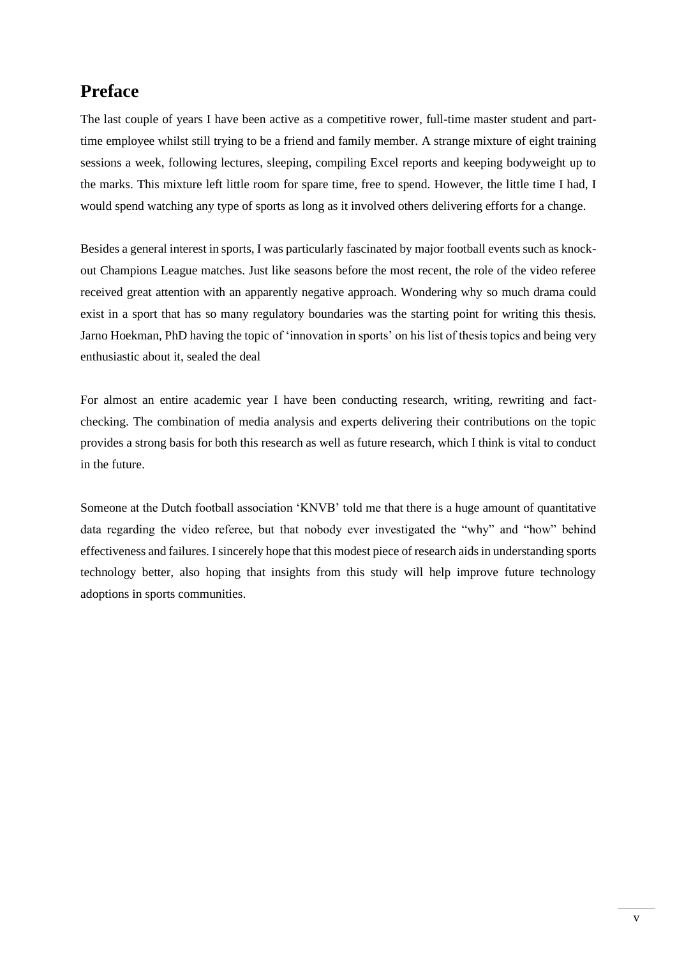# **Preface**

The last couple of years I have been active as a competitive rower, full-time master student and parttime employee whilst still trying to be a friend and family member. A strange mixture of eight training sessions a week, following lectures, sleeping, compiling Excel reports and keeping bodyweight up to the marks. This mixture left little room for spare time, free to spend. However, the little time I had, I would spend watching any type of sports as long as it involved others delivering efforts for a change.

Besides a general interest in sports, I was particularly fascinated by major football events such as knockout Champions League matches. Just like seasons before the most recent, the role of the video referee received great attention with an apparently negative approach. Wondering why so much drama could exist in a sport that has so many regulatory boundaries was the starting point for writing this thesis. Jarno Hoekman, PhD having the topic of 'innovation in sports' on his list of thesis topics and being very enthusiastic about it, sealed the deal

For almost an entire academic year I have been conducting research, writing, rewriting and factchecking. The combination of media analysis and experts delivering their contributions on the topic provides a strong basis for both this research as well as future research, which I think is vital to conduct in the future.

Someone at the Dutch football association 'KNVB' told me that there is a huge amount of quantitative data regarding the video referee, but that nobody ever investigated the "why" and "how" behind effectiveness and failures. I sincerely hope that this modest piece of research aids in understanding sports technology better, also hoping that insights from this study will help improve future technology adoptions in sports communities.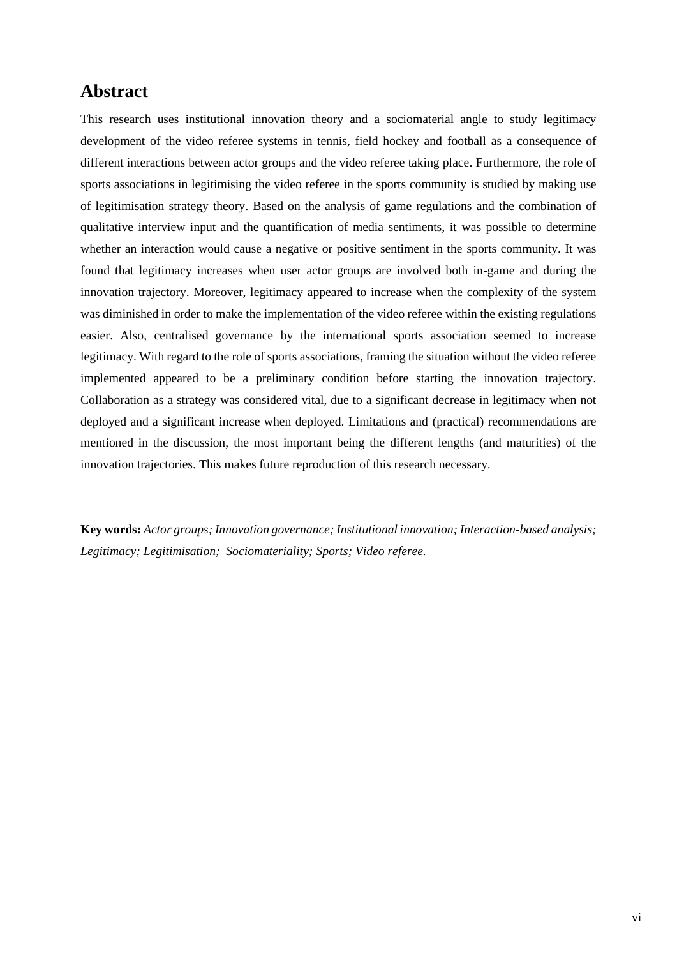# **Abstract**

This research uses institutional innovation theory and a sociomaterial angle to study legitimacy development of the video referee systems in tennis, field hockey and football as a consequence of different interactions between actor groups and the video referee taking place. Furthermore, the role of sports associations in legitimising the video referee in the sports community is studied by making use of legitimisation strategy theory. Based on the analysis of game regulations and the combination of qualitative interview input and the quantification of media sentiments, it was possible to determine whether an interaction would cause a negative or positive sentiment in the sports community. It was found that legitimacy increases when user actor groups are involved both in-game and during the innovation trajectory. Moreover, legitimacy appeared to increase when the complexity of the system was diminished in order to make the implementation of the video referee within the existing regulations easier. Also, centralised governance by the international sports association seemed to increase legitimacy. With regard to the role of sports associations, framing the situation without the video referee implemented appeared to be a preliminary condition before starting the innovation trajectory. Collaboration as a strategy was considered vital, due to a significant decrease in legitimacy when not deployed and a significant increase when deployed. Limitations and (practical) recommendations are mentioned in the discussion, the most important being the different lengths (and maturities) of the innovation trajectories. This makes future reproduction of this research necessary.

**Key words:** *Actor groups; Innovation governance; Institutional innovation; Interaction-based analysis; Legitimacy; Legitimisation; Sociomateriality; Sports; Video referee.*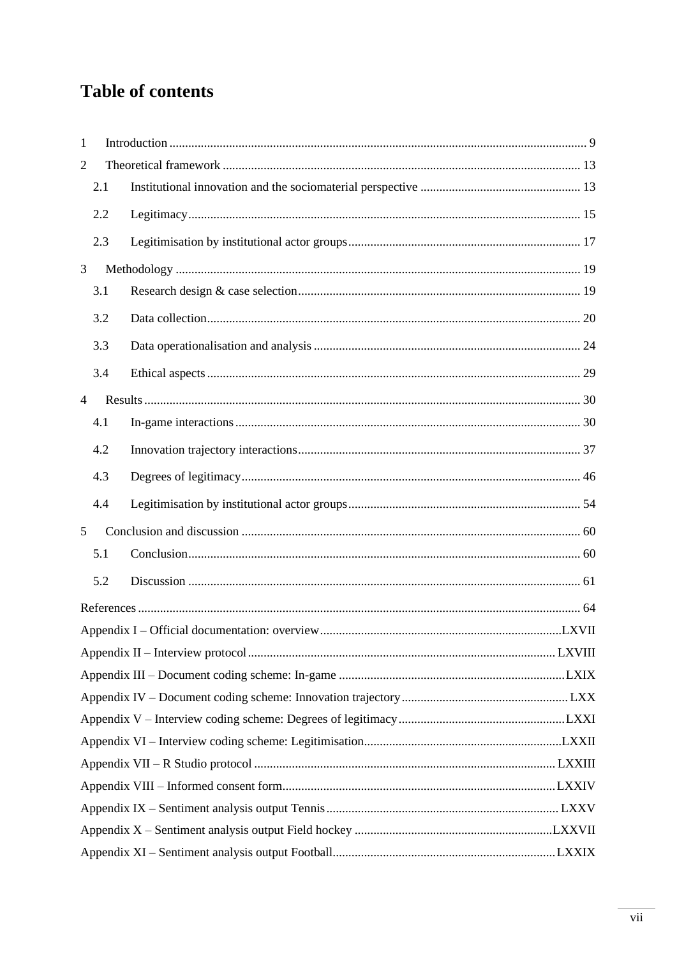# **Table of contents**

| $\mathbf{1}$   |     |  |  |
|----------------|-----|--|--|
| $\overline{2}$ |     |  |  |
|                | 2.1 |  |  |
|                | 2.2 |  |  |
|                | 2.3 |  |  |
| 3              |     |  |  |
|                | 3.1 |  |  |
|                | 3.2 |  |  |
|                | 3.3 |  |  |
|                | 3.4 |  |  |
| $\overline{4}$ |     |  |  |
|                | 4.1 |  |  |
|                | 4.2 |  |  |
|                | 4.3 |  |  |
|                | 4.4 |  |  |
| 5              |     |  |  |
|                | 5.1 |  |  |
|                | 5.2 |  |  |
|                |     |  |  |
|                |     |  |  |
|                |     |  |  |
|                |     |  |  |
|                |     |  |  |
|                |     |  |  |
|                |     |  |  |
|                |     |  |  |
|                |     |  |  |
|                |     |  |  |
|                |     |  |  |
|                |     |  |  |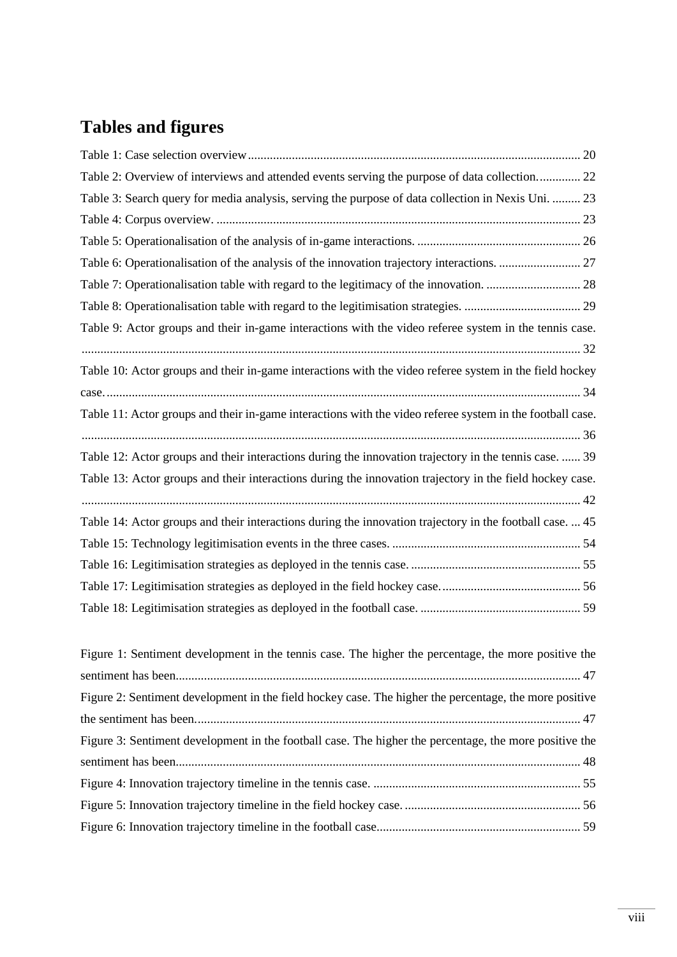# **Tables and figures**

| Table 2: Overview of interviews and attended events serving the purpose of data collection 22             |
|-----------------------------------------------------------------------------------------------------------|
| Table 3: Search query for media analysis, serving the purpose of data collection in Nexis Uni.  23        |
|                                                                                                           |
|                                                                                                           |
|                                                                                                           |
|                                                                                                           |
|                                                                                                           |
| Table 9: Actor groups and their in-game interactions with the video referee system in the tennis case.    |
|                                                                                                           |
| Table 10: Actor groups and their in-game interactions with the video referee system in the field hockey   |
|                                                                                                           |
|                                                                                                           |
| Table 11: Actor groups and their in-game interactions with the video referee system in the football case. |
|                                                                                                           |
| Table 12: Actor groups and their interactions during the innovation trajectory in the tennis case.  39    |
| Table 13: Actor groups and their interactions during the innovation trajectory in the field hockey case.  |
|                                                                                                           |
| Table 14: Actor groups and their interactions during the innovation trajectory in the football case.  45  |
|                                                                                                           |
|                                                                                                           |
|                                                                                                           |
|                                                                                                           |

| Figure 1: Sentiment development in the tennis case. The higher the percentage, the more positive the   |  |
|--------------------------------------------------------------------------------------------------------|--|
|                                                                                                        |  |
| Figure 2: Sentiment development in the field hockey case. The higher the percentage, the more positive |  |
|                                                                                                        |  |
| Figure 3: Sentiment development in the football case. The higher the percentage, the more positive the |  |
|                                                                                                        |  |
|                                                                                                        |  |
|                                                                                                        |  |
|                                                                                                        |  |
|                                                                                                        |  |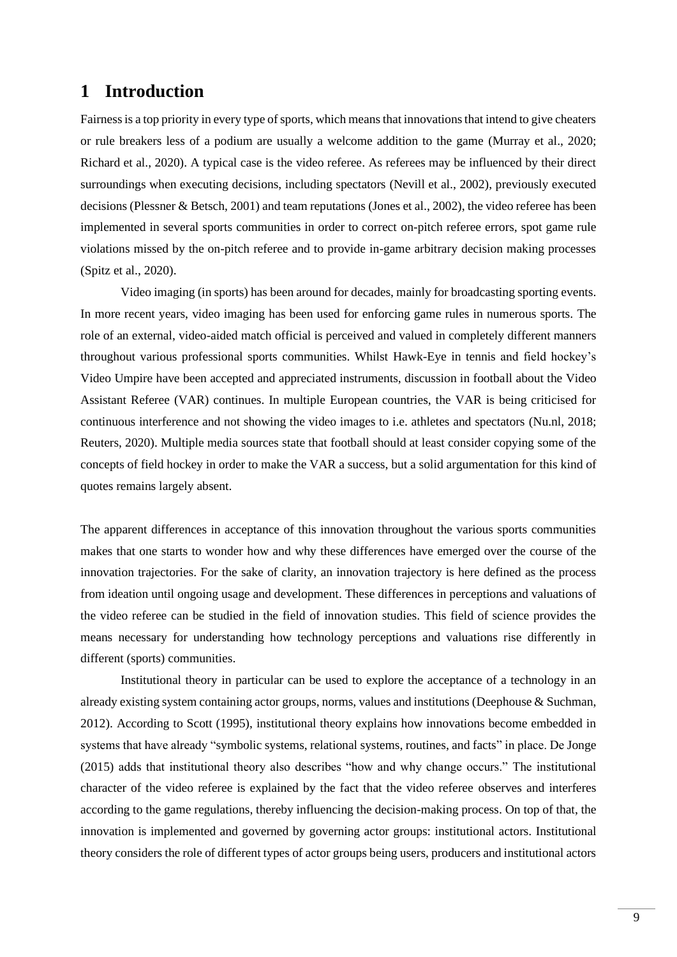# <span id="page-8-0"></span>**1 Introduction**

Fairness is a top priority in every type of sports, which means that innovations that intend to give cheaters or rule breakers less of a podium are usually a welcome addition to the game (Murray et al., 2020; Richard et al., 2020). A typical case is the video referee. As referees may be influenced by their direct surroundings when executing decisions, including spectators (Nevill et al., 2002), previously executed decisions (Plessner & Betsch, 2001) and team reputations (Jones et al., 2002), the video referee has been implemented in several sports communities in order to correct on-pitch referee errors, spot game rule violations missed by the on-pitch referee and to provide in-game arbitrary decision making processes (Spitz et al., 2020).

Video imaging (in sports) has been around for decades, mainly for broadcasting sporting events. In more recent years, video imaging has been used for enforcing game rules in numerous sports. The role of an external, video-aided match official is perceived and valued in completely different manners throughout various professional sports communities. Whilst Hawk-Eye in tennis and field hockey's Video Umpire have been accepted and appreciated instruments, discussion in football about the Video Assistant Referee (VAR) continues. In multiple European countries, the VAR is being criticised for continuous interference and not showing the video images to i.e. athletes and spectators (Nu.nl, 2018; Reuters, 2020). Multiple media sources state that football should at least consider copying some of the concepts of field hockey in order to make the VAR a success, but a solid argumentation for this kind of quotes remains largely absent.

The apparent differences in acceptance of this innovation throughout the various sports communities makes that one starts to wonder how and why these differences have emerged over the course of the innovation trajectories. For the sake of clarity, an innovation trajectory is here defined as the process from ideation until ongoing usage and development. These differences in perceptions and valuations of the video referee can be studied in the field of innovation studies. This field of science provides the means necessary for understanding how technology perceptions and valuations rise differently in different (sports) communities.

Institutional theory in particular can be used to explore the acceptance of a technology in an already existing system containing actor groups, norms, values and institutions (Deephouse & Suchman, 2012). According to Scott (1995), institutional theory explains how innovations become embedded in systems that have already "symbolic systems, relational systems, routines, and facts" in place. De Jonge (2015) adds that institutional theory also describes "how and why change occurs." The institutional character of the video referee is explained by the fact that the video referee observes and interferes according to the game regulations, thereby influencing the decision-making process. On top of that, the innovation is implemented and governed by governing actor groups: institutional actors. Institutional theory considers the role of different types of actor groups being users, producers and institutional actors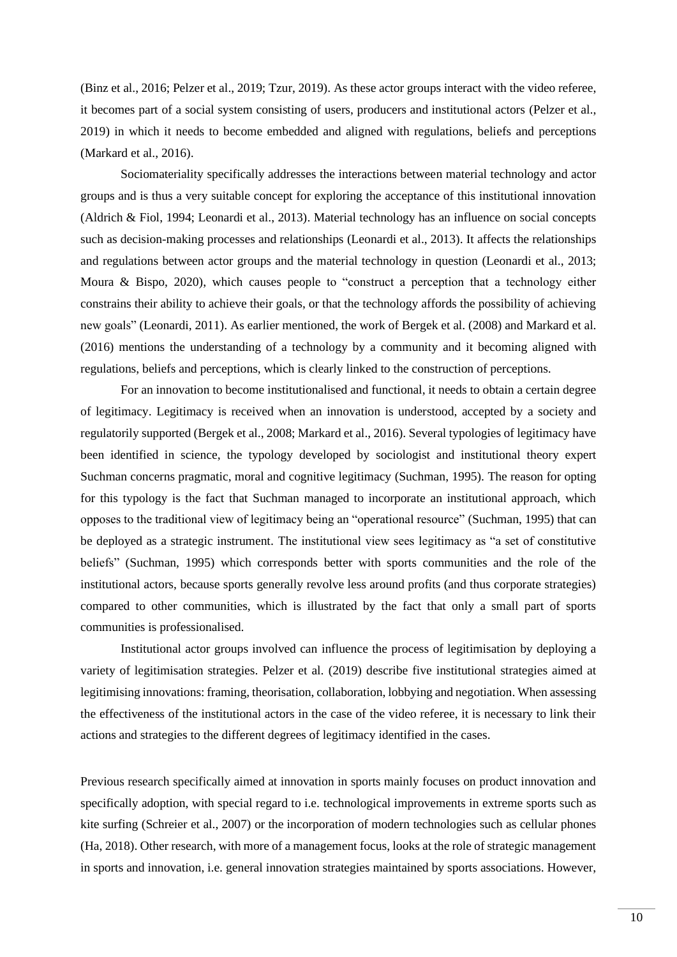(Binz et al., 2016; Pelzer et al., 2019; Tzur, 2019). As these actor groups interact with the video referee, it becomes part of a social system consisting of users, producers and institutional actors (Pelzer et al., 2019) in which it needs to become embedded and aligned with regulations, beliefs and perceptions (Markard et al., 2016).

Sociomateriality specifically addresses the interactions between material technology and actor groups and is thus a very suitable concept for exploring the acceptance of this institutional innovation (Aldrich & Fiol, 1994; Leonardi et al., 2013). Material technology has an influence on social concepts such as decision-making processes and relationships (Leonardi et al., 2013). It affects the relationships and regulations between actor groups and the material technology in question (Leonardi et al., 2013; Moura & Bispo, 2020), which causes people to "construct a perception that a technology either constrains their ability to achieve their goals, or that the technology affords the possibility of achieving new goals" (Leonardi, 2011). As earlier mentioned, the work of Bergek et al. (2008) and Markard et al. (2016) mentions the understanding of a technology by a community and it becoming aligned with regulations, beliefs and perceptions, which is clearly linked to the construction of perceptions.

For an innovation to become institutionalised and functional, it needs to obtain a certain degree of legitimacy. Legitimacy is received when an innovation is understood, accepted by a society and regulatorily supported (Bergek et al., 2008; Markard et al., 2016). Several typologies of legitimacy have been identified in science, the typology developed by sociologist and institutional theory expert Suchman concerns pragmatic, moral and cognitive legitimacy (Suchman, 1995). The reason for opting for this typology is the fact that Suchman managed to incorporate an institutional approach, which opposes to the traditional view of legitimacy being an "operational resource" (Suchman, 1995) that can be deployed as a strategic instrument. The institutional view sees legitimacy as "a set of constitutive beliefs" (Suchman, 1995) which corresponds better with sports communities and the role of the institutional actors, because sports generally revolve less around profits (and thus corporate strategies) compared to other communities, which is illustrated by the fact that only a small part of sports communities is professionalised.

Institutional actor groups involved can influence the process of legitimisation by deploying a variety of legitimisation strategies. Pelzer et al. (2019) describe five institutional strategies aimed at legitimising innovations: framing, theorisation, collaboration, lobbying and negotiation. When assessing the effectiveness of the institutional actors in the case of the video referee, it is necessary to link their actions and strategies to the different degrees of legitimacy identified in the cases.

Previous research specifically aimed at innovation in sports mainly focuses on product innovation and specifically adoption, with special regard to i.e. technological improvements in extreme sports such as kite surfing (Schreier et al., 2007) or the incorporation of modern technologies such as cellular phones (Ha, 2018). Other research, with more of a management focus, looks at the role of strategic management in sports and innovation, i.e. general innovation strategies maintained by sports associations. However,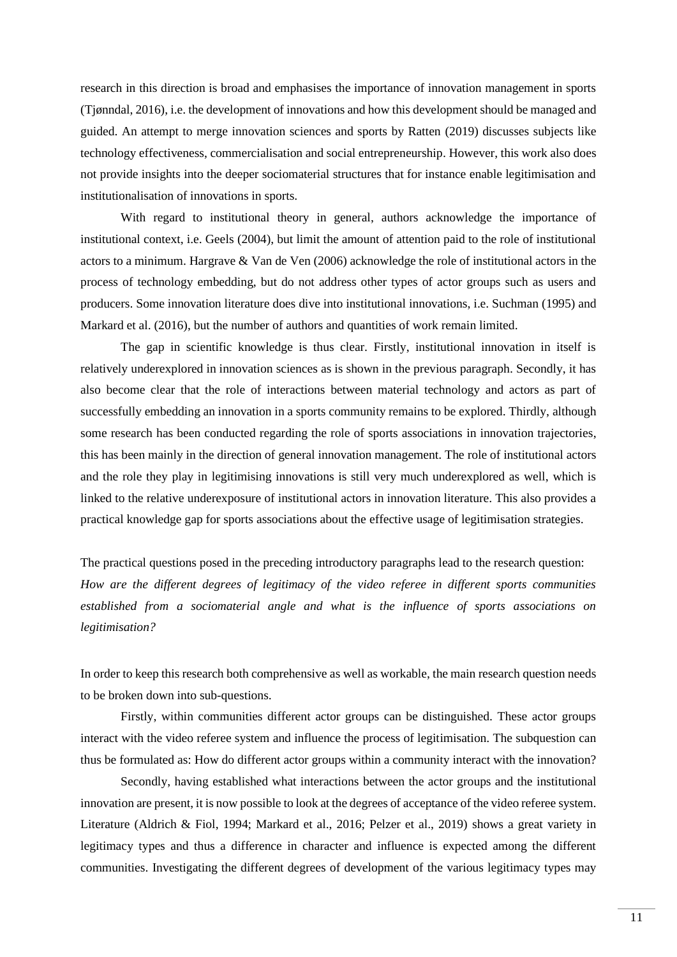research in this direction is broad and emphasises the importance of innovation management in sports (Tjønndal, 2016), i.e. the development of innovations and how this development should be managed and guided. An attempt to merge innovation sciences and sports by Ratten (2019) discusses subjects like technology effectiveness, commercialisation and social entrepreneurship. However, this work also does not provide insights into the deeper sociomaterial structures that for instance enable legitimisation and institutionalisation of innovations in sports.

With regard to institutional theory in general, authors acknowledge the importance of institutional context, i.e. Geels (2004), but limit the amount of attention paid to the role of institutional actors to a minimum. Hargrave & Van de Ven (2006) acknowledge the role of institutional actors in the process of technology embedding, but do not address other types of actor groups such as users and producers. Some innovation literature does dive into institutional innovations, i.e. Suchman (1995) and Markard et al. (2016), but the number of authors and quantities of work remain limited.

The gap in scientific knowledge is thus clear. Firstly, institutional innovation in itself is relatively underexplored in innovation sciences as is shown in the previous paragraph. Secondly, it has also become clear that the role of interactions between material technology and actors as part of successfully embedding an innovation in a sports community remains to be explored. Thirdly, although some research has been conducted regarding the role of sports associations in innovation trajectories, this has been mainly in the direction of general innovation management. The role of institutional actors and the role they play in legitimising innovations is still very much underexplored as well, which is linked to the relative underexposure of institutional actors in innovation literature. This also provides a practical knowledge gap for sports associations about the effective usage of legitimisation strategies.

The practical questions posed in the preceding introductory paragraphs lead to the research question: *How are the different degrees of legitimacy of the video referee in different sports communities established from a sociomaterial angle and what is the influence of sports associations on legitimisation?*

In order to keep this research both comprehensive as well as workable, the main research question needs to be broken down into sub-questions.

Firstly, within communities different actor groups can be distinguished. These actor groups interact with the video referee system and influence the process of legitimisation. The subquestion can thus be formulated as: How do different actor groups within a community interact with the innovation?

Secondly, having established what interactions between the actor groups and the institutional innovation are present, it is now possible to look at the degrees of acceptance of the video referee system. Literature (Aldrich & Fiol, 1994; Markard et al., 2016; Pelzer et al., 2019) shows a great variety in legitimacy types and thus a difference in character and influence is expected among the different communities. Investigating the different degrees of development of the various legitimacy types may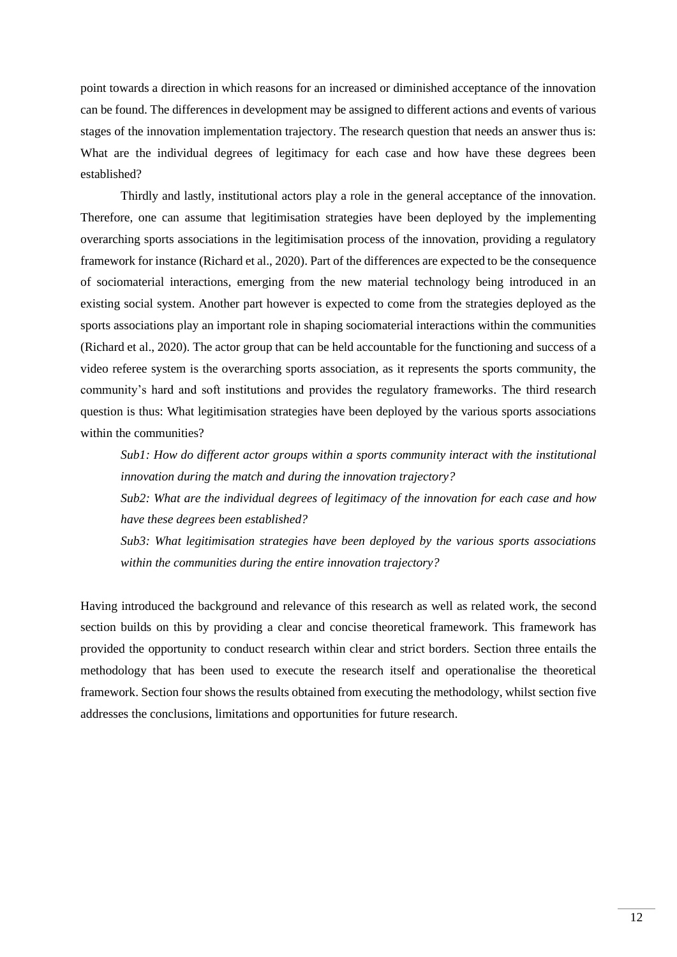point towards a direction in which reasons for an increased or diminished acceptance of the innovation can be found. The differences in development may be assigned to different actions and events of various stages of the innovation implementation trajectory. The research question that needs an answer thus is: What are the individual degrees of legitimacy for each case and how have these degrees been established?

Thirdly and lastly, institutional actors play a role in the general acceptance of the innovation. Therefore, one can assume that legitimisation strategies have been deployed by the implementing overarching sports associations in the legitimisation process of the innovation, providing a regulatory framework for instance (Richard et al., 2020). Part of the differences are expected to be the consequence of sociomaterial interactions, emerging from the new material technology being introduced in an existing social system. Another part however is expected to come from the strategies deployed as the sports associations play an important role in shaping sociomaterial interactions within the communities (Richard et al., 2020). The actor group that can be held accountable for the functioning and success of a video referee system is the overarching sports association, as it represents the sports community, the community's hard and soft institutions and provides the regulatory frameworks. The third research question is thus: What legitimisation strategies have been deployed by the various sports associations within the communities?

*Sub1: How do different actor groups within a sports community interact with the institutional innovation during the match and during the innovation trajectory?*

*Sub2: What are the individual degrees of legitimacy of the innovation for each case and how have these degrees been established?*

*Sub3: What legitimisation strategies have been deployed by the various sports associations within the communities during the entire innovation trajectory?*

Having introduced the background and relevance of this research as well as related work, the second section builds on this by providing a clear and concise theoretical framework. This framework has provided the opportunity to conduct research within clear and strict borders. Section three entails the methodology that has been used to execute the research itself and operationalise the theoretical framework. Section four shows the results obtained from executing the methodology, whilst section five addresses the conclusions, limitations and opportunities for future research.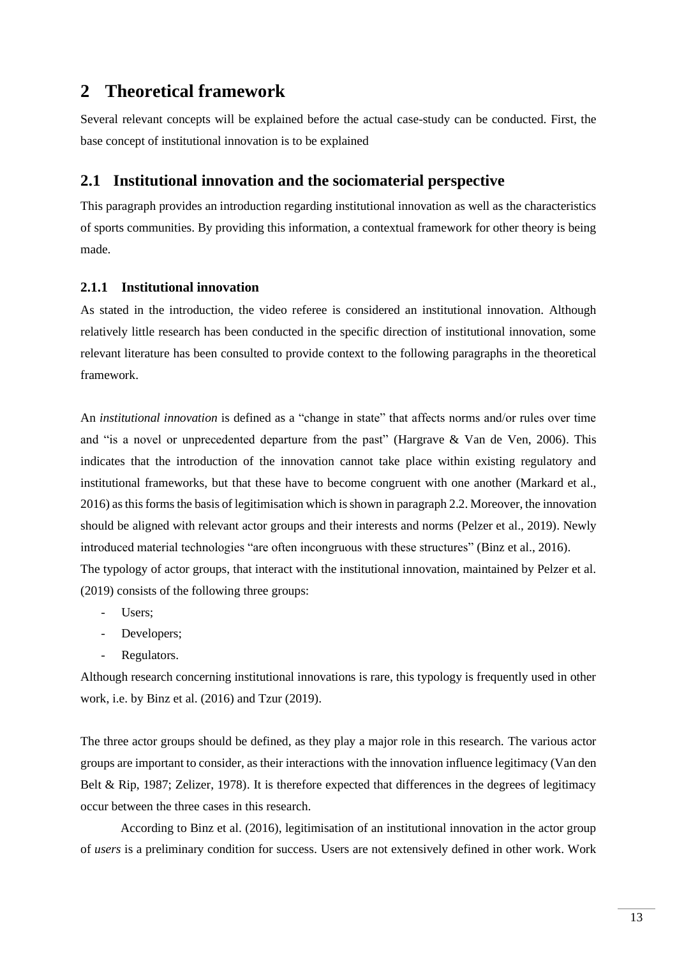# <span id="page-12-0"></span>**2 Theoretical framework**

Several relevant concepts will be explained before the actual case-study can be conducted. First, the base concept of institutional innovation is to be explained

## <span id="page-12-1"></span>**2.1 Institutional innovation and the sociomaterial perspective**

This paragraph provides an introduction regarding institutional innovation as well as the characteristics of sports communities. By providing this information, a contextual framework for other theory is being made.

### **2.1.1 Institutional innovation**

As stated in the introduction, the video referee is considered an institutional innovation. Although relatively little research has been conducted in the specific direction of institutional innovation, some relevant literature has been consulted to provide context to the following paragraphs in the theoretical framework.

An *institutional innovation* is defined as a "change in state" that affects norms and/or rules over time and "is a novel or unprecedented departure from the past" (Hargrave & Van de Ven, 2006). This indicates that the introduction of the innovation cannot take place within existing regulatory and institutional frameworks, but that these have to become congruent with one another (Markard et al., 2016) as this forms the basis of legitimisation which is shown in paragraph [2.2.](#page-14-0) Moreover, the innovation should be aligned with relevant actor groups and their interests and norms (Pelzer et al., 2019). Newly introduced material technologies "are often incongruous with these structures" (Binz et al., 2016). The typology of actor groups, that interact with the institutional innovation, maintained by Pelzer et al.

(2019) consists of the following three groups:

- Users:
- Developers;
- Regulators.

Although research concerning institutional innovations is rare, this typology is frequently used in other work, i.e. by Binz et al. (2016) and Tzur (2019).

The three actor groups should be defined, as they play a major role in this research. The various actor groups are important to consider, as their interactions with the innovation influence legitimacy (Van den Belt & Rip, 1987; Zelizer, 1978). It is therefore expected that differences in the degrees of legitimacy occur between the three cases in this research.

According to Binz et al. (2016), legitimisation of an institutional innovation in the actor group of *users* is a preliminary condition for success. Users are not extensively defined in other work. Work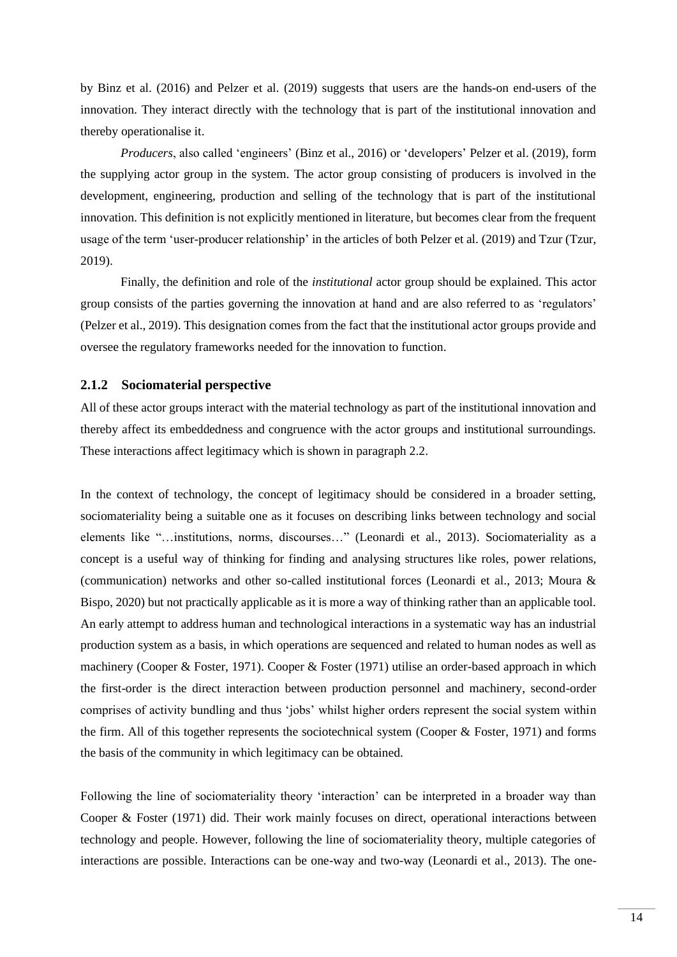by Binz et al. (2016) and Pelzer et al. (2019) suggests that users are the hands-on end-users of the innovation. They interact directly with the technology that is part of the institutional innovation and thereby operationalise it.

*Producers*, also called 'engineers' (Binz et al., 2016) or 'developers' Pelzer et al. (2019), form the supplying actor group in the system. The actor group consisting of producers is involved in the development, engineering, production and selling of the technology that is part of the institutional innovation. This definition is not explicitly mentioned in literature, but becomes clear from the frequent usage of the term 'user-producer relationship' in the articles of both Pelzer et al. (2019) and Tzur (Tzur, 2019).

Finally, the definition and role of the *institutional* actor group should be explained. This actor group consists of the parties governing the innovation at hand and are also referred to as 'regulators' (Pelzer et al., 2019). This designation comes from the fact that the institutional actor groups provide and oversee the regulatory frameworks needed for the innovation to function.

#### <span id="page-13-0"></span>**2.1.2 Sociomaterial perspective**

All of these actor groups interact with the material technology as part of the institutional innovation and thereby affect its embeddedness and congruence with the actor groups and institutional surroundings. These interactions affect legitimacy which is shown in paragraph [2.2.](#page-14-0)

In the context of technology, the concept of legitimacy should be considered in a broader setting, sociomateriality being a suitable one as it focuses on describing links between technology and social elements like "…institutions, norms, discourses…" (Leonardi et al., 2013). Sociomateriality as a concept is a useful way of thinking for finding and analysing structures like roles, power relations, (communication) networks and other so-called institutional forces (Leonardi et al., 2013; Moura & Bispo, 2020) but not practically applicable as it is more a way of thinking rather than an applicable tool. An early attempt to address human and technological interactions in a systematic way has an industrial production system as a basis, in which operations are sequenced and related to human nodes as well as machinery (Cooper & Foster, 1971). Cooper & Foster (1971) utilise an order-based approach in which the first-order is the direct interaction between production personnel and machinery, second-order comprises of activity bundling and thus 'jobs' whilst higher orders represent the social system within the firm. All of this together represents the sociotechnical system (Cooper & Foster, 1971) and forms the basis of the community in which legitimacy can be obtained.

Following the line of sociomateriality theory 'interaction' can be interpreted in a broader way than Cooper & Foster (1971) did. Their work mainly focuses on direct, operational interactions between technology and people. However, following the line of sociomateriality theory, multiple categories of interactions are possible. Interactions can be one-way and two-way (Leonardi et al., 2013). The one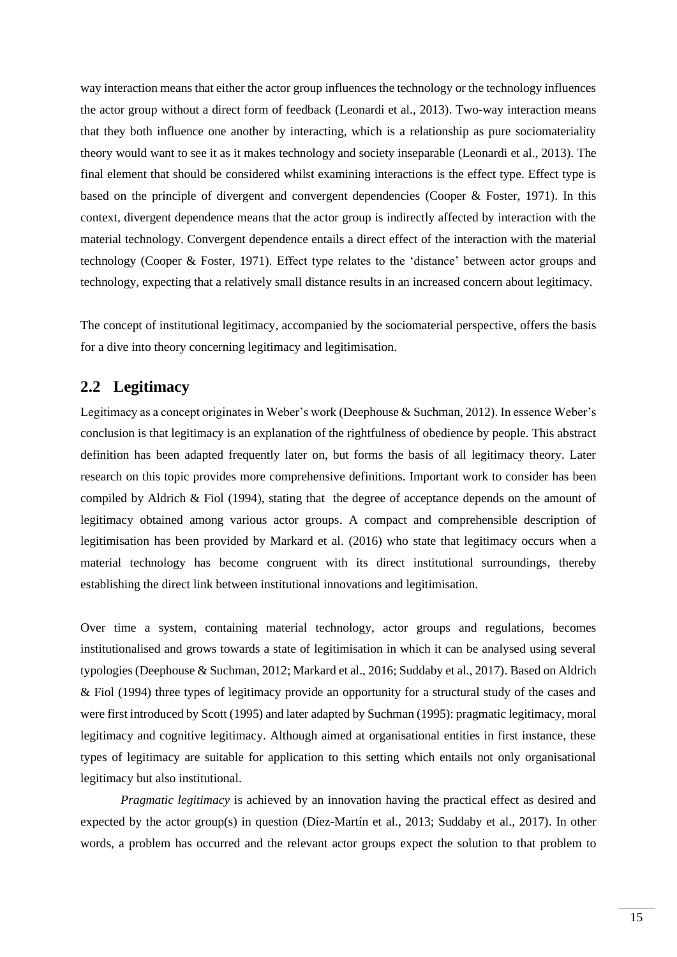way interaction means that either the actor group influences the technology or the technology influences the actor group without a direct form of feedback (Leonardi et al., 2013). Two-way interaction means that they both influence one another by interacting, which is a relationship as pure sociomateriality theory would want to see it as it makes technology and society inseparable (Leonardi et al., 2013). The final element that should be considered whilst examining interactions is the effect type. Effect type is based on the principle of divergent and convergent dependencies (Cooper & Foster, 1971). In this context, divergent dependence means that the actor group is indirectly affected by interaction with the material technology. Convergent dependence entails a direct effect of the interaction with the material technology (Cooper & Foster, 1971). Effect type relates to the 'distance' between actor groups and technology, expecting that a relatively small distance results in an increased concern about legitimacy.

The concept of institutional legitimacy, accompanied by the sociomaterial perspective, offers the basis for a dive into theory concerning legitimacy and legitimisation.

## <span id="page-14-0"></span>**2.2 Legitimacy**

Legitimacy as a concept originates in Weber's work (Deephouse & Suchman, 2012). In essence Weber's conclusion is that legitimacy is an explanation of the rightfulness of obedience by people. This abstract definition has been adapted frequently later on, but forms the basis of all legitimacy theory. Later research on this topic provides more comprehensive definitions. Important work to consider has been compiled by Aldrich & Fiol (1994), stating that the degree of acceptance depends on the amount of legitimacy obtained among various actor groups. A compact and comprehensible description of legitimisation has been provided by Markard et al. (2016) who state that legitimacy occurs when a material technology has become congruent with its direct institutional surroundings, thereby establishing the direct link between institutional innovations and legitimisation.

Over time a system, containing material technology, actor groups and regulations, becomes institutionalised and grows towards a state of legitimisation in which it can be analysed using several typologies (Deephouse & Suchman, 2012; Markard et al., 2016; Suddaby et al., 2017). Based on Aldrich & Fiol (1994) three types of legitimacy provide an opportunity for a structural study of the cases and were first introduced by Scott (1995) and later adapted by Suchman (1995): pragmatic legitimacy, moral legitimacy and cognitive legitimacy. Although aimed at organisational entities in first instance, these types of legitimacy are suitable for application to this setting which entails not only organisational legitimacy but also institutional.

*Pragmatic legitimacy* is achieved by an innovation having the practical effect as desired and expected by the actor group(s) in question (Díez-Martín et al., 2013; Suddaby et al., 2017). In other words, a problem has occurred and the relevant actor groups expect the solution to that problem to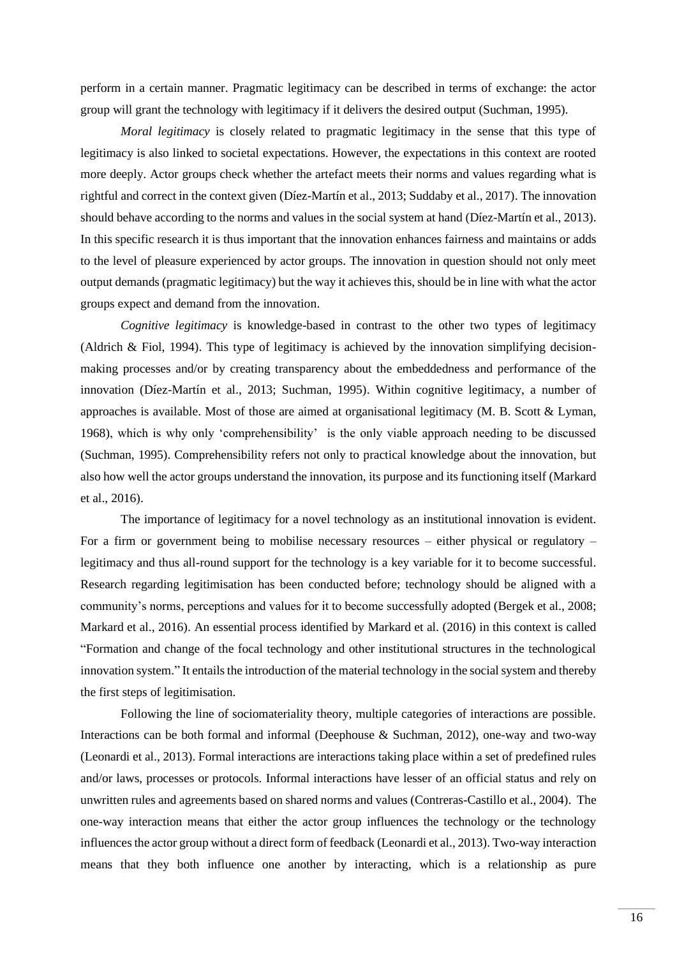perform in a certain manner. Pragmatic legitimacy can be described in terms of exchange: the actor group will grant the technology with legitimacy if it delivers the desired output (Suchman, 1995).

*Moral legitimacy* is closely related to pragmatic legitimacy in the sense that this type of legitimacy is also linked to societal expectations. However, the expectations in this context are rooted more deeply. Actor groups check whether the artefact meets their norms and values regarding what is rightful and correct in the context given (Díez-Martín et al., 2013; Suddaby et al., 2017). The innovation should behave according to the norms and values in the social system at hand (Díez-Martín et al., 2013). In this specific research it is thus important that the innovation enhances fairness and maintains or adds to the level of pleasure experienced by actor groups. The innovation in question should not only meet output demands (pragmatic legitimacy) but the way it achieves this, should be in line with what the actor groups expect and demand from the innovation.

*Cognitive legitimacy* is knowledge-based in contrast to the other two types of legitimacy (Aldrich & Fiol, 1994). This type of legitimacy is achieved by the innovation simplifying decisionmaking processes and/or by creating transparency about the embeddedness and performance of the innovation (Díez-Martín et al., 2013; Suchman, 1995). Within cognitive legitimacy, a number of approaches is available. Most of those are aimed at organisational legitimacy (M. B. Scott  $\&$  Lyman, 1968), which is why only 'comprehensibility' is the only viable approach needing to be discussed (Suchman, 1995). Comprehensibility refers not only to practical knowledge about the innovation, but also how well the actor groups understand the innovation, its purpose and its functioning itself (Markard et al., 2016).

The importance of legitimacy for a novel technology as an institutional innovation is evident. For a firm or government being to mobilise necessary resources – either physical or regulatory – legitimacy and thus all-round support for the technology is a key variable for it to become successful. Research regarding legitimisation has been conducted before; technology should be aligned with a community's norms, perceptions and values for it to become successfully adopted (Bergek et al., 2008; Markard et al., 2016). An essential process identified by Markard et al. (2016) in this context is called "Formation and change of the focal technology and other institutional structures in the technological innovation system." It entails the introduction of the material technology in the social system and thereby the first steps of legitimisation.

Following the line of sociomateriality theory, multiple categories of interactions are possible. Interactions can be both formal and informal (Deephouse & Suchman, 2012), one-way and two-way (Leonardi et al., 2013). Formal interactions are interactions taking place within a set of predefined rules and/or laws, processes or protocols. Informal interactions have lesser of an official status and rely on unwritten rules and agreements based on shared norms and values (Contreras-Castillo et al., 2004). The one-way interaction means that either the actor group influences the technology or the technology influences the actor group without a direct form of feedback (Leonardi et al., 2013). Two-way interaction means that they both influence one another by interacting, which is a relationship as pure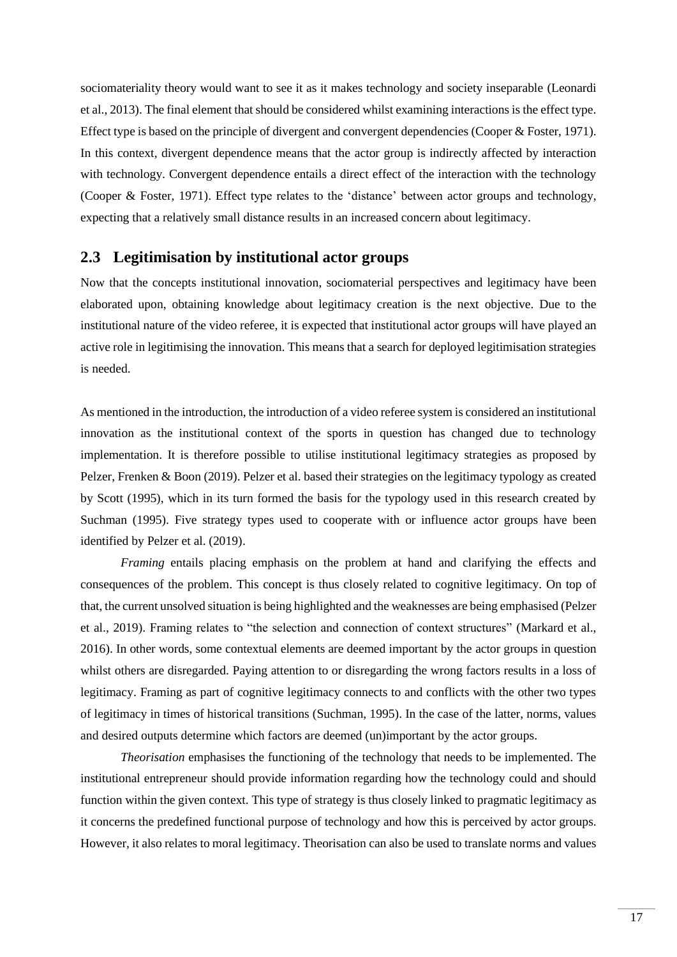sociomateriality theory would want to see it as it makes technology and society inseparable (Leonardi et al., 2013). The final element that should be considered whilst examining interactions is the effect type. Effect type is based on the principle of divergent and convergent dependencies (Cooper & Foster, 1971). In this context, divergent dependence means that the actor group is indirectly affected by interaction with technology. Convergent dependence entails a direct effect of the interaction with the technology (Cooper & Foster, 1971). Effect type relates to the 'distance' between actor groups and technology, expecting that a relatively small distance results in an increased concern about legitimacy.

### <span id="page-16-0"></span>**2.3 Legitimisation by institutional actor groups**

Now that the concepts institutional innovation, sociomaterial perspectives and legitimacy have been elaborated upon, obtaining knowledge about legitimacy creation is the next objective. Due to the institutional nature of the video referee, it is expected that institutional actor groups will have played an active role in legitimising the innovation. This means that a search for deployed legitimisation strategies is needed.

As mentioned in the introduction, the introduction of a video referee system is considered an institutional innovation as the institutional context of the sports in question has changed due to technology implementation. It is therefore possible to utilise institutional legitimacy strategies as proposed by Pelzer, Frenken & Boon (2019). Pelzer et al. based their strategies on the legitimacy typology as created by Scott (1995), which in its turn formed the basis for the typology used in this research created by Suchman (1995). Five strategy types used to cooperate with or influence actor groups have been identified by Pelzer et al. (2019).

*Framing* entails placing emphasis on the problem at hand and clarifying the effects and consequences of the problem. This concept is thus closely related to cognitive legitimacy. On top of that, the current unsolved situation is being highlighted and the weaknesses are being emphasised (Pelzer et al., 2019). Framing relates to "the selection and connection of context structures" (Markard et al., 2016). In other words, some contextual elements are deemed important by the actor groups in question whilst others are disregarded. Paying attention to or disregarding the wrong factors results in a loss of legitimacy. Framing as part of cognitive legitimacy connects to and conflicts with the other two types of legitimacy in times of historical transitions (Suchman, 1995). In the case of the latter, norms, values and desired outputs determine which factors are deemed (un)important by the actor groups.

*Theorisation* emphasises the functioning of the technology that needs to be implemented. The institutional entrepreneur should provide information regarding how the technology could and should function within the given context. This type of strategy is thus closely linked to pragmatic legitimacy as it concerns the predefined functional purpose of technology and how this is perceived by actor groups. However, it also relates to moral legitimacy. Theorisation can also be used to translate norms and values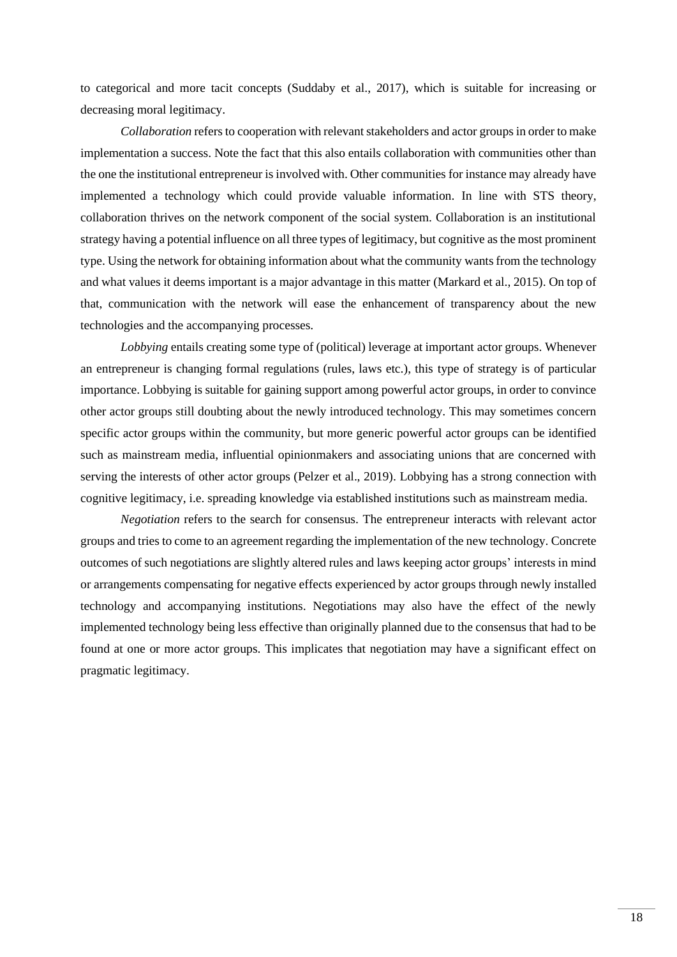to categorical and more tacit concepts (Suddaby et al., 2017), which is suitable for increasing or decreasing moral legitimacy.

*Collaboration* refers to cooperation with relevant stakeholders and actor groups in order to make implementation a success. Note the fact that this also entails collaboration with communities other than the one the institutional entrepreneur is involved with. Other communities for instance may already have implemented a technology which could provide valuable information. In line with STS theory, collaboration thrives on the network component of the social system. Collaboration is an institutional strategy having a potential influence on all three types of legitimacy, but cognitive as the most prominent type. Using the network for obtaining information about what the community wants from the technology and what values it deems important is a major advantage in this matter (Markard et al., 2015). On top of that, communication with the network will ease the enhancement of transparency about the new technologies and the accompanying processes.

*Lobbying* entails creating some type of (political) leverage at important actor groups. Whenever an entrepreneur is changing formal regulations (rules, laws etc.), this type of strategy is of particular importance. Lobbying is suitable for gaining support among powerful actor groups, in order to convince other actor groups still doubting about the newly introduced technology. This may sometimes concern specific actor groups within the community, but more generic powerful actor groups can be identified such as mainstream media, influential opinionmakers and associating unions that are concerned with serving the interests of other actor groups (Pelzer et al., 2019). Lobbying has a strong connection with cognitive legitimacy, i.e. spreading knowledge via established institutions such as mainstream media.

*Negotiation* refers to the search for consensus. The entrepreneur interacts with relevant actor groups and tries to come to an agreement regarding the implementation of the new technology. Concrete outcomes of such negotiations are slightly altered rules and laws keeping actor groups' interests in mind or arrangements compensating for negative effects experienced by actor groups through newly installed technology and accompanying institutions. Negotiations may also have the effect of the newly implemented technology being less effective than originally planned due to the consensus that had to be found at one or more actor groups. This implicates that negotiation may have a significant effect on pragmatic legitimacy.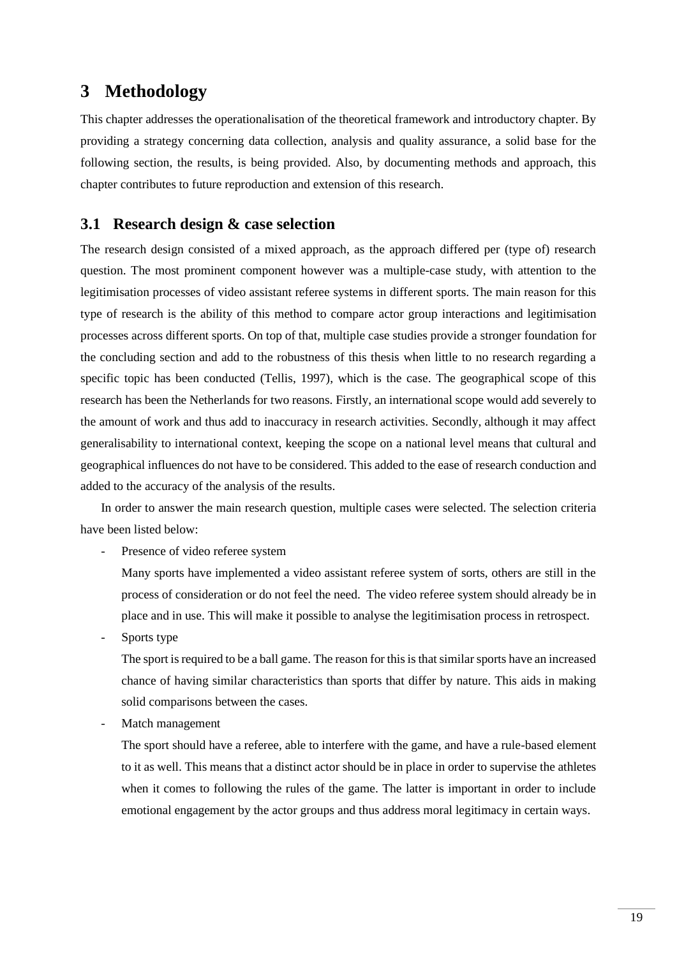# <span id="page-18-0"></span>**3 Methodology**

This chapter addresses the operationalisation of the theoretical framework and introductory chapter. By providing a strategy concerning data collection, analysis and quality assurance, a solid base for the following section, the results, is being provided. Also, by documenting methods and approach, this chapter contributes to future reproduction and extension of this research.

## <span id="page-18-1"></span>**3.1 Research design & case selection**

The research design consisted of a mixed approach, as the approach differed per (type of) research question. The most prominent component however was a multiple-case study, with attention to the legitimisation processes of video assistant referee systems in different sports. The main reason for this type of research is the ability of this method to compare actor group interactions and legitimisation processes across different sports. On top of that, multiple case studies provide a stronger foundation for the concluding section and add to the robustness of this thesis when little to no research regarding a specific topic has been conducted (Tellis, 1997), which is the case. The geographical scope of this research has been the Netherlands for two reasons. Firstly, an international scope would add severely to the amount of work and thus add to inaccuracy in research activities. Secondly, although it may affect generalisability to international context, keeping the scope on a national level means that cultural and geographical influences do not have to be considered. This added to the ease of research conduction and added to the accuracy of the analysis of the results.

In order to answer the main research question, multiple cases were selected. The selection criteria have been listed below:

- Presence of video referee system

Many sports have implemented a video assistant referee system of sorts, others are still in the process of consideration or do not feel the need. The video referee system should already be in place and in use. This will make it possible to analyse the legitimisation process in retrospect.

Sports type

The sport is required to be a ball game. The reason for this is that similar sports have an increased chance of having similar characteristics than sports that differ by nature. This aids in making solid comparisons between the cases.

Match management

The sport should have a referee, able to interfere with the game, and have a rule-based element to it as well. This means that a distinct actor should be in place in order to supervise the athletes when it comes to following the rules of the game. The latter is important in order to include emotional engagement by the actor groups and thus address moral legitimacy in certain ways.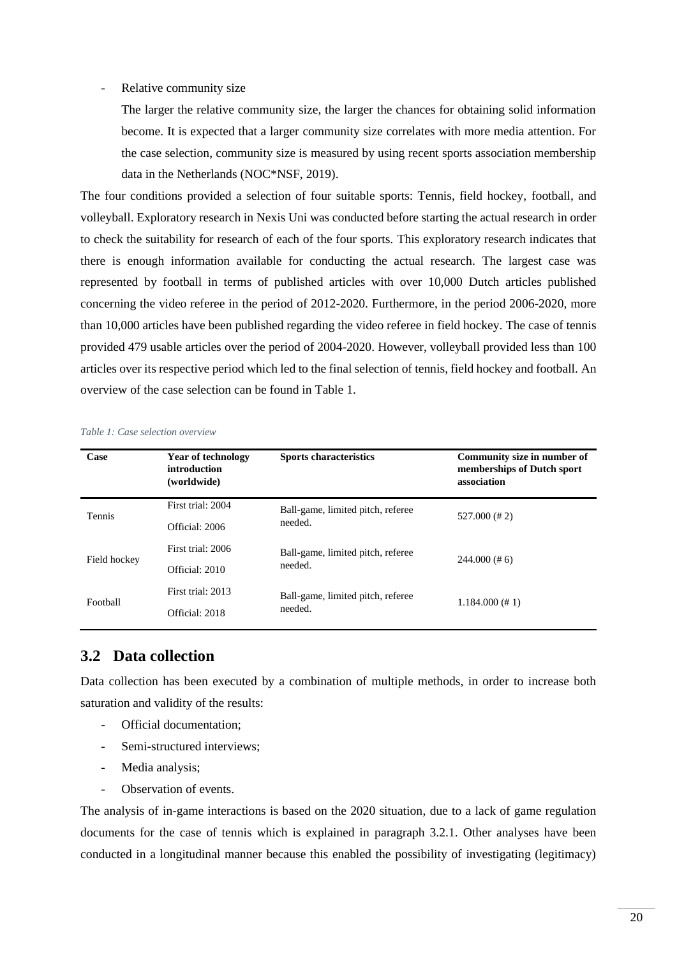#### Relative community size

The larger the relative community size, the larger the chances for obtaining solid information become. It is expected that a larger community size correlates with more media attention. For the case selection, community size is measured by using recent sports association membership data in the Netherlands (NOC\*NSF, 2019).

The four conditions provided a selection of four suitable sports: Tennis, field hockey, football, and volleyball. Exploratory research in Nexis Uni was conducted before starting the actual research in order to check the suitability for research of each of the four sports. This exploratory research indicates that there is enough information available for conducting the actual research. The largest case was represented by football in terms of published articles with over 10,000 Dutch articles published concerning the video referee in the period of 2012-2020. Furthermore, in the period 2006-2020, more than 10,000 articles have been published regarding the video referee in field hockey. The case of tennis provided 479 usable articles over the period of 2004-2020. However, volleyball provided less than 100 articles over its respective period which led to the final selection of tennis, field hockey and football. An overview of the case selection can be found in [Table 1.](#page-19-1)

| Case         | <b>Year of technology</b><br>introduction<br>(worldwide) | <b>Sports characteristics</b>     | Community size in number of<br>memberships of Dutch sport<br>association |
|--------------|----------------------------------------------------------|-----------------------------------|--------------------------------------------------------------------------|
| Tennis       | First trial: 2004                                        | Ball-game, limited pitch, referee | $527.000$ (# 2)                                                          |
|              | Official: 2006                                           | needed.                           |                                                                          |
|              | First trial: 2006                                        | Ball-game, limited pitch, referee | $244.000$ (#6)                                                           |
| Field hockey | Official: 2010                                           | needed.                           |                                                                          |
|              | First trial: 2013                                        | Ball-game, limited pitch, referee |                                                                          |
| Football     | Official: 2018                                           | needed.                           | $1.184.000 (\# 1)$                                                       |

<span id="page-19-1"></span>*Table 1: Case selection overview*

## <span id="page-19-0"></span>**3.2 Data collection**

Data collection has been executed by a combination of multiple methods, in order to increase both saturation and validity of the results:

- Official documentation;
- Semi-structured interviews;
- Media analysis;
- Observation of events.

The analysis of in-game interactions is based on the 2020 situation, due to a lack of game regulation documents for the case of tennis which is explained in paragraph [3.2.1.](#page-20-0) Other analyses have been conducted in a longitudinal manner because this enabled the possibility of investigating (legitimacy)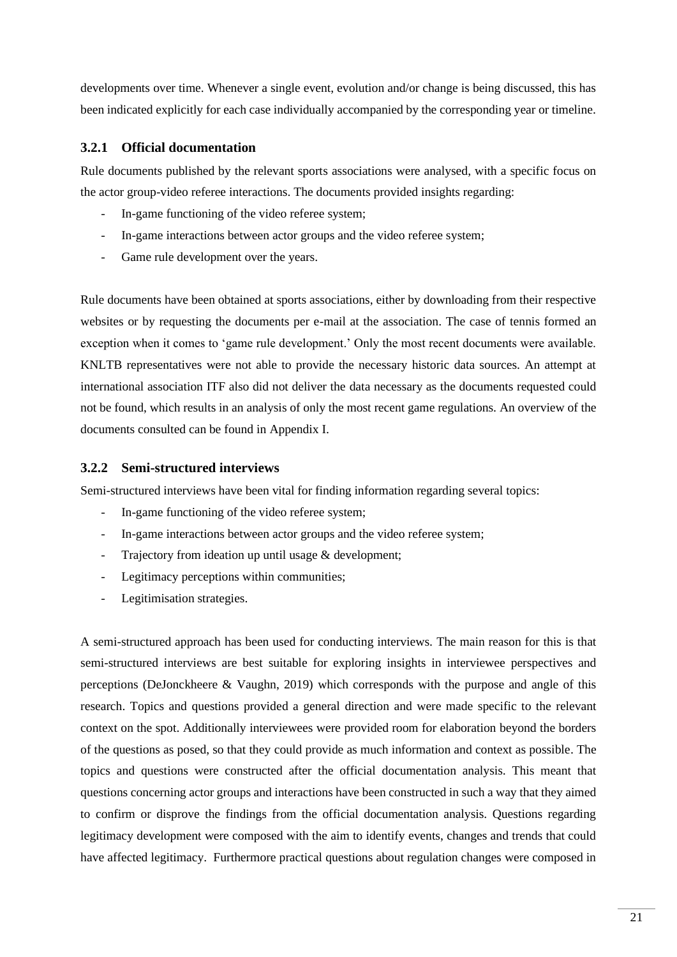developments over time. Whenever a single event, evolution and/or change is being discussed, this has been indicated explicitly for each case individually accompanied by the corresponding year or timeline.

#### <span id="page-20-0"></span>**3.2.1 Official documentation**

Rule documents published by the relevant sports associations were analysed, with a specific focus on the actor group-video referee interactions. The documents provided insights regarding:

- In-game functioning of the video referee system;
- In-game interactions between actor groups and the video referee system;
- Game rule development over the years.

Rule documents have been obtained at sports associations, either by downloading from their respective websites or by requesting the documents per e-mail at the association. The case of tennis formed an exception when it comes to 'game rule development.' Only the most recent documents were available. KNLTB representatives were not able to provide the necessary historic data sources. An attempt at international association ITF also did not deliver the data necessary as the documents requested could not be found, which results in an analysis of only the most recent game regulations. An overview of the documents consulted can be found in Appendix I.

### **3.2.2 Semi-structured interviews**

Semi-structured interviews have been vital for finding information regarding several topics:

- In-game functioning of the video referee system;
- In-game interactions between actor groups and the video referee system;
- Trajectory from ideation up until usage & development;
- Legitimacy perceptions within communities;
- Legitimisation strategies.

A semi-structured approach has been used for conducting interviews. The main reason for this is that semi-structured interviews are best suitable for exploring insights in interviewee perspectives and perceptions (DeJonckheere & Vaughn, 2019) which corresponds with the purpose and angle of this research. Topics and questions provided a general direction and were made specific to the relevant context on the spot. Additionally interviewees were provided room for elaboration beyond the borders of the questions as posed, so that they could provide as much information and context as possible. The topics and questions were constructed after the official documentation analysis. This meant that questions concerning actor groups and interactions have been constructed in such a way that they aimed to confirm or disprove the findings from the official documentation analysis. Questions regarding legitimacy development were composed with the aim to identify events, changes and trends that could have affected legitimacy. Furthermore practical questions about regulation changes were composed in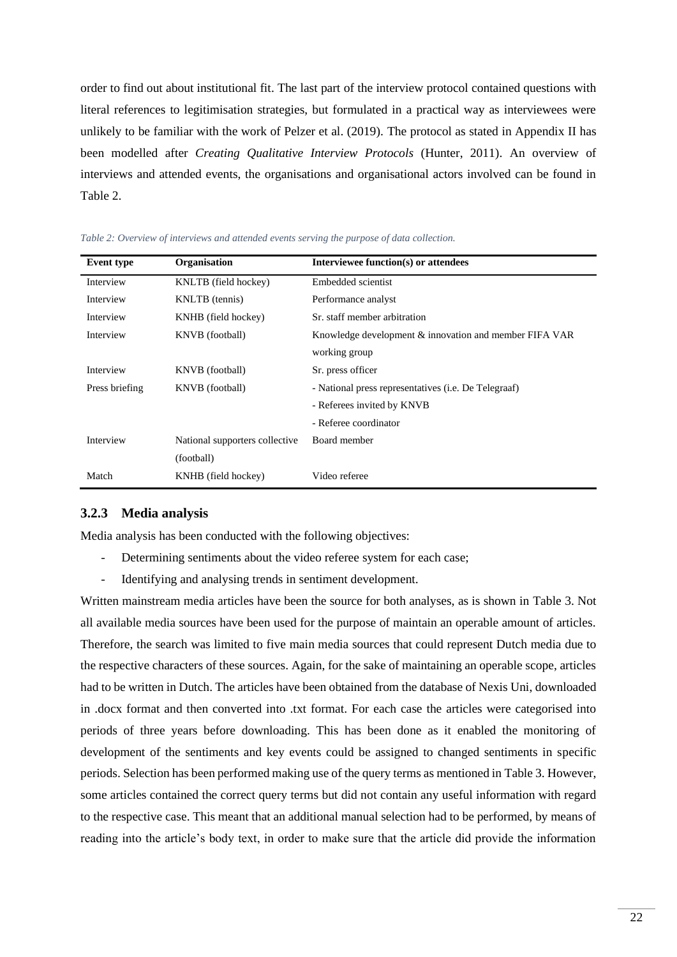order to find out about institutional fit. The last part of the interview protocol contained questions with literal references to legitimisation strategies, but formulated in a practical way as interviewees were unlikely to be familiar with the work of Pelzer et al. (2019). The protocol as stated in Appendix II has been modelled after *Creating Qualitative Interview Protocols* (Hunter, 2011). An overview of interviews and attended events, the organisations and organisational actors involved can be found in [Table 2.](#page-21-0)

| <b>Event</b> type | Organisation                   | Interviewee function(s) or attendees                         |
|-------------------|--------------------------------|--------------------------------------------------------------|
| Interview         | KNLTB (field hockey)           | Embedded scientist                                           |
| Interview         | KNLTB (tennis)                 | Performance analyst                                          |
| Interview         | KNHB (field hockey)            | Sr. staff member arbitration                                 |
| Interview         | KNVB (football)                | Knowledge development & innovation and member FIFA VAR       |
|                   |                                | working group                                                |
| Interview         | KNVB (football)                | Sr. press officer                                            |
| Press briefing    | KNVB (football)                | - National press representatives ( <i>i.e.</i> De Telegraaf) |
|                   |                                | - Referees invited by KNVB                                   |
|                   |                                | - Referee coordinator                                        |
| Interview         | National supporters collective | Board member                                                 |
|                   | (football)                     |                                                              |
| Match             | KNHB (field hockey)            | Video referee                                                |

<span id="page-21-0"></span>

| Table 2: Overview of interviews and attended events serving the purpose of data collection. |  |  |
|---------------------------------------------------------------------------------------------|--|--|
|---------------------------------------------------------------------------------------------|--|--|

#### **3.2.3 Media analysis**

Media analysis has been conducted with the following objectives:

- Determining sentiments about the video referee system for each case;
- Identifying and analysing trends in sentiment development.

Written mainstream media articles have been the source for both analyses, as is shown in [Table 3.](#page-22-0) Not all available media sources have been used for the purpose of maintain an operable amount of articles. Therefore, the search was limited to five main media sources that could represent Dutch media due to the respective characters of these sources. Again, for the sake of maintaining an operable scope, articles had to be written in Dutch. The articles have been obtained from the database of Nexis Uni, downloaded in .docx format and then converted into .txt format. For each case the articles were categorised into periods of three years before downloading. This has been done as it enabled the monitoring of development of the sentiments and key events could be assigned to changed sentiments in specific periods. Selection has been performed making use of the query terms as mentioned i[n Table 3.](#page-22-0) However, some articles contained the correct query terms but did not contain any useful information with regard to the respective case. This meant that an additional manual selection had to be performed, by means of reading into the article's body text, in order to make sure that the article did provide the information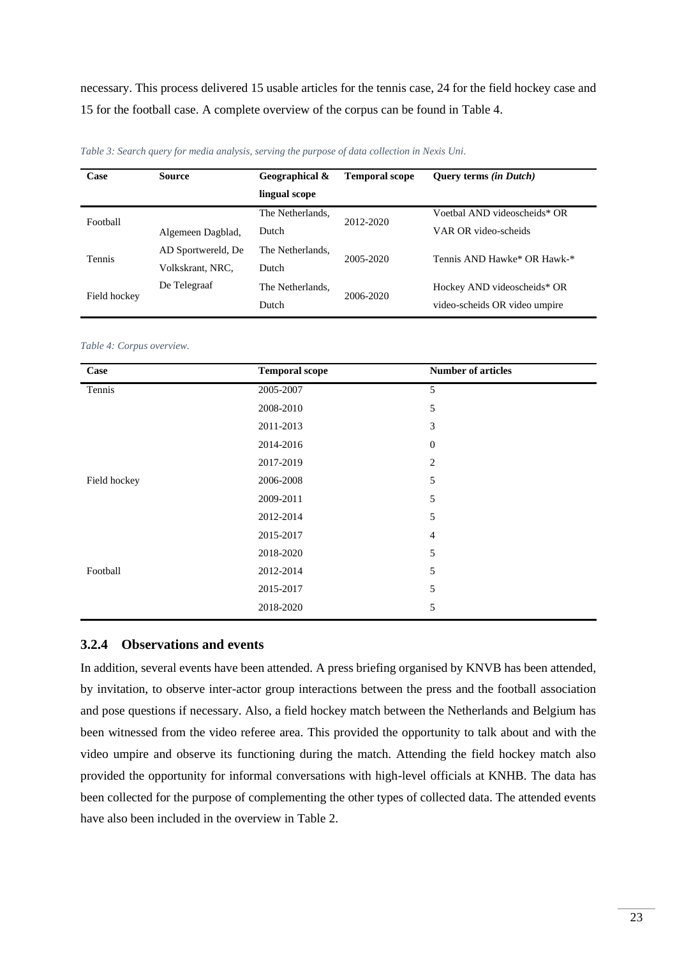necessary. This process delivered 15 usable articles for the tennis case, 24 for the field hockey case and 15 for the football case. A complete overview of the corpus can be found in [Table 4.](#page-22-1)

| Case          | <b>Source</b>      | Geographical &   | <b>Temporal scope</b> | <b>Query terms (in Dutch)</b> |
|---------------|--------------------|------------------|-----------------------|-------------------------------|
|               |                    | lingual scope    |                       |                               |
| Football      |                    | The Netherlands. | 2012-2020             | Voetbal AND videoscheids* OR  |
|               | Algemeen Dagblad,  | Dutch            |                       | VAR OR video-scheids          |
| <b>Tennis</b> | AD Sportwereld, De | The Netherlands. | 2005-2020             | Tennis AND Hawke* OR Hawk-*   |
|               | Volkskrant, NRC,   | Dutch            |                       |                               |
| Field hockey  | De Telegraaf       | The Netherlands. |                       | Hockey AND videoscheids* OR   |
|               |                    | Dutch            | 2006-2020             | video-scheids OR video umpire |

<span id="page-22-0"></span>*Table 3: Search query for media analysis, serving the purpose of data collection in Nexis Uni.*

#### <span id="page-22-1"></span>*Table 4: Corpus overview.*

| Case         | <b>Temporal scope</b> | <b>Number of articles</b> |
|--------------|-----------------------|---------------------------|
| Tennis       | 2005-2007             | 5                         |
|              | 2008-2010             | 5                         |
|              | 2011-2013             | 3                         |
|              | 2014-2016             | $\mathbf{0}$              |
|              | 2017-2019             | 2                         |
| Field hockey | 2006-2008             | 5                         |
|              | 2009-2011             | 5                         |
|              | 2012-2014             | 5                         |
|              | 2015-2017             | $\overline{4}$            |
|              | 2018-2020             | 5                         |
| Football     | 2012-2014             | 5                         |
|              | 2015-2017             | 5                         |
|              | 2018-2020             | 5                         |

### **3.2.4 Observations and events**

In addition, several events have been attended. A press briefing organised by KNVB has been attended, by invitation, to observe inter-actor group interactions between the press and the football association and pose questions if necessary. Also, a field hockey match between the Netherlands and Belgium has been witnessed from the video referee area. This provided the opportunity to talk about and with the video umpire and observe its functioning during the match. Attending the field hockey match also provided the opportunity for informal conversations with high-level officials at KNHB. The data has been collected for the purpose of complementing the other types of collected data. The attended events have also been included in the overview in [Table 2.](#page-21-0)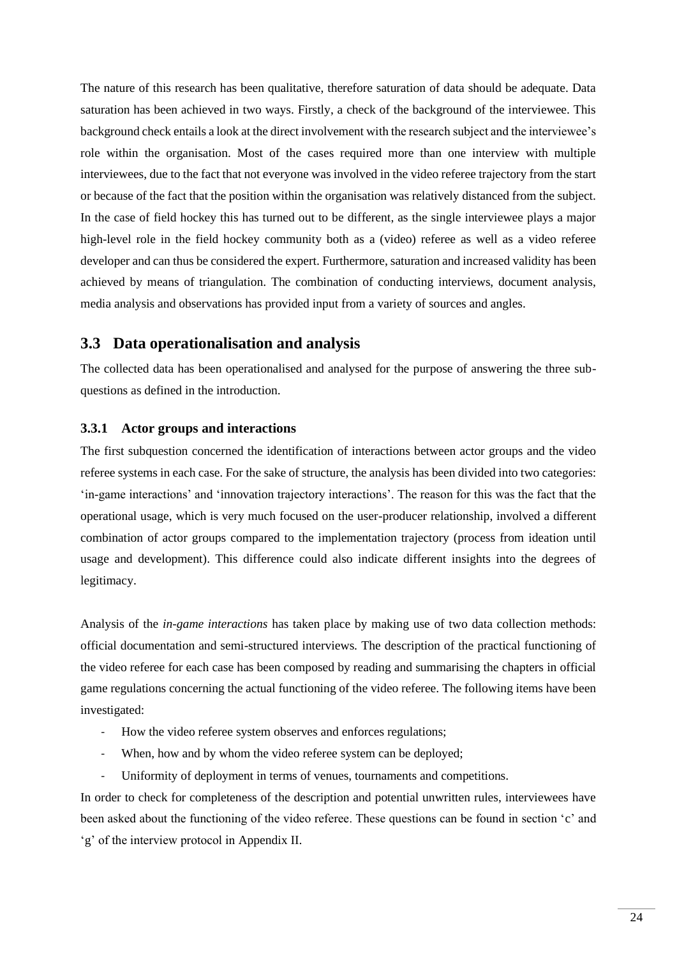The nature of this research has been qualitative, therefore saturation of data should be adequate. Data saturation has been achieved in two ways. Firstly, a check of the background of the interviewee. This background check entails a look at the direct involvement with the research subject and the interviewee's role within the organisation. Most of the cases required more than one interview with multiple interviewees, due to the fact that not everyone was involved in the video referee trajectory from the start or because of the fact that the position within the organisation was relatively distanced from the subject. In the case of field hockey this has turned out to be different, as the single interviewee plays a major high-level role in the field hockey community both as a (video) referee as well as a video referee developer and can thus be considered the expert. Furthermore, saturation and increased validity has been achieved by means of triangulation. The combination of conducting interviews, document analysis, media analysis and observations has provided input from a variety of sources and angles.

## <span id="page-23-0"></span>**3.3 Data operationalisation and analysis**

The collected data has been operationalised and analysed for the purpose of answering the three subquestions as defined in the introduction.

#### **3.3.1 Actor groups and interactions**

The first subquestion concerned the identification of interactions between actor groups and the video referee systems in each case. For the sake of structure, the analysis has been divided into two categories: 'in-game interactions' and 'innovation trajectory interactions'. The reason for this was the fact that the operational usage, which is very much focused on the user-producer relationship, involved a different combination of actor groups compared to the implementation trajectory (process from ideation until usage and development). This difference could also indicate different insights into the degrees of legitimacy.

Analysis of the *in-game interactions* has taken place by making use of two data collection methods: official documentation and semi-structured interviews. The description of the practical functioning of the video referee for each case has been composed by reading and summarising the chapters in official game regulations concerning the actual functioning of the video referee. The following items have been investigated:

- How the video referee system observes and enforces regulations;
- When, how and by whom the video referee system can be deployed;
- Uniformity of deployment in terms of venues, tournaments and competitions.

In order to check for completeness of the description and potential unwritten rules, interviewees have been asked about the functioning of the video referee. These questions can be found in section 'c' and 'g' of the interview protocol in Appendix II.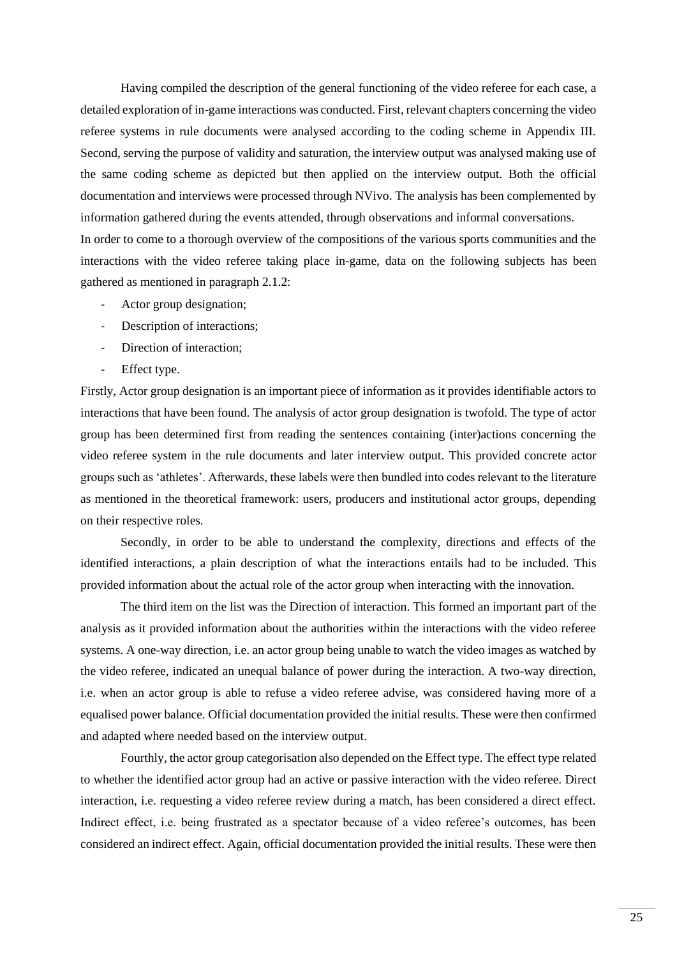Having compiled the description of the general functioning of the video referee for each case, a detailed exploration of in-game interactions was conducted. First, relevant chapters concerning the video referee systems in rule documents were analysed according to the coding scheme in Appendix III. Second, serving the purpose of validity and saturation, the interview output was analysed making use of the same coding scheme as depicted but then applied on the interview output. Both the official documentation and interviews were processed through NVivo. The analysis has been complemented by information gathered during the events attended, through observations and informal conversations. In order to come to a thorough overview of the compositions of the various sports communities and the interactions with the video referee taking place in-game, data on the following subjects has been gathered as mentioned in paragraph [2.1.2:](#page-13-0)

- Actor group designation;
- Description of interactions;
- Direction of interaction;
- Effect type.

Firstly, Actor group designation is an important piece of information as it provides identifiable actors to interactions that have been found. The analysis of actor group designation is twofold. The type of actor group has been determined first from reading the sentences containing (inter)actions concerning the video referee system in the rule documents and later interview output. This provided concrete actor groups such as 'athletes'. Afterwards, these labels were then bundled into codes relevant to the literature as mentioned in the theoretical framework: users, producers and institutional actor groups, depending on their respective roles.

Secondly, in order to be able to understand the complexity, directions and effects of the identified interactions, a plain description of what the interactions entails had to be included. This provided information about the actual role of the actor group when interacting with the innovation.

The third item on the list was the Direction of interaction. This formed an important part of the analysis as it provided information about the authorities within the interactions with the video referee systems. A one-way direction, i.e. an actor group being unable to watch the video images as watched by the video referee, indicated an unequal balance of power during the interaction. A two-way direction, i.e. when an actor group is able to refuse a video referee advise, was considered having more of a equalised power balance. Official documentation provided the initial results. These were then confirmed and adapted where needed based on the interview output.

Fourthly, the actor group categorisation also depended on the Effect type. The effect type related to whether the identified actor group had an active or passive interaction with the video referee. Direct interaction, i.e. requesting a video referee review during a match, has been considered a direct effect. Indirect effect, i.e. being frustrated as a spectator because of a video referee's outcomes, has been considered an indirect effect. Again, official documentation provided the initial results. These were then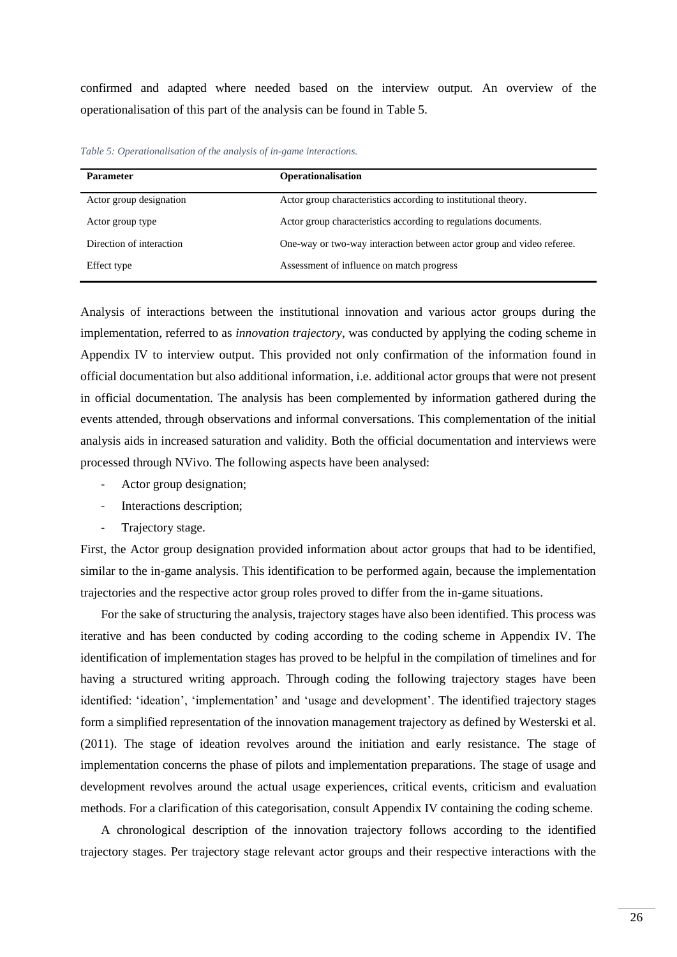confirmed and adapted where needed based on the interview output. An overview of the operationalisation of this part of the analysis can be found in [Table 5.](#page-25-0)

<span id="page-25-0"></span>*Table 5: Operationalisation of the analysis of in-game interactions.*

| <b>Parameter</b>         | <b>Operationalisation</b>                                             |
|--------------------------|-----------------------------------------------------------------------|
| Actor group designation  | Actor group characteristics according to institutional theory.        |
| Actor group type         | Actor group characteristics according to regulations documents.       |
| Direction of interaction | One-way or two-way interaction between actor group and video referee. |
| Effect type              | Assessment of influence on match progress                             |

Analysis of interactions between the institutional innovation and various actor groups during the implementation*,* referred to as *innovation trajectory*, was conducted by applying the coding scheme in Appendix IV to interview output. This provided not only confirmation of the information found in official documentation but also additional information, i.e. additional actor groups that were not present in official documentation. The analysis has been complemented by information gathered during the events attended, through observations and informal conversations. This complementation of the initial analysis aids in increased saturation and validity. Both the official documentation and interviews were processed through NVivo. The following aspects have been analysed:

- Actor group designation;
- Interactions description;
- Trajectory stage.

First, the Actor group designation provided information about actor groups that had to be identified, similar to the in-game analysis. This identification to be performed again, because the implementation trajectories and the respective actor group roles proved to differ from the in-game situations.

For the sake of structuring the analysis, trajectory stages have also been identified. This process was iterative and has been conducted by coding according to the coding scheme in Appendix IV. The identification of implementation stages has proved to be helpful in the compilation of timelines and for having a structured writing approach. Through coding the following trajectory stages have been identified: 'ideation', 'implementation' and 'usage and development'. The identified trajectory stages form a simplified representation of the innovation management trajectory as defined by Westerski et al. (2011). The stage of ideation revolves around the initiation and early resistance. The stage of implementation concerns the phase of pilots and implementation preparations. The stage of usage and development revolves around the actual usage experiences, critical events, criticism and evaluation methods. For a clarification of this categorisation, consult Appendix IV containing the coding scheme.

A chronological description of the innovation trajectory follows according to the identified trajectory stages. Per trajectory stage relevant actor groups and their respective interactions with the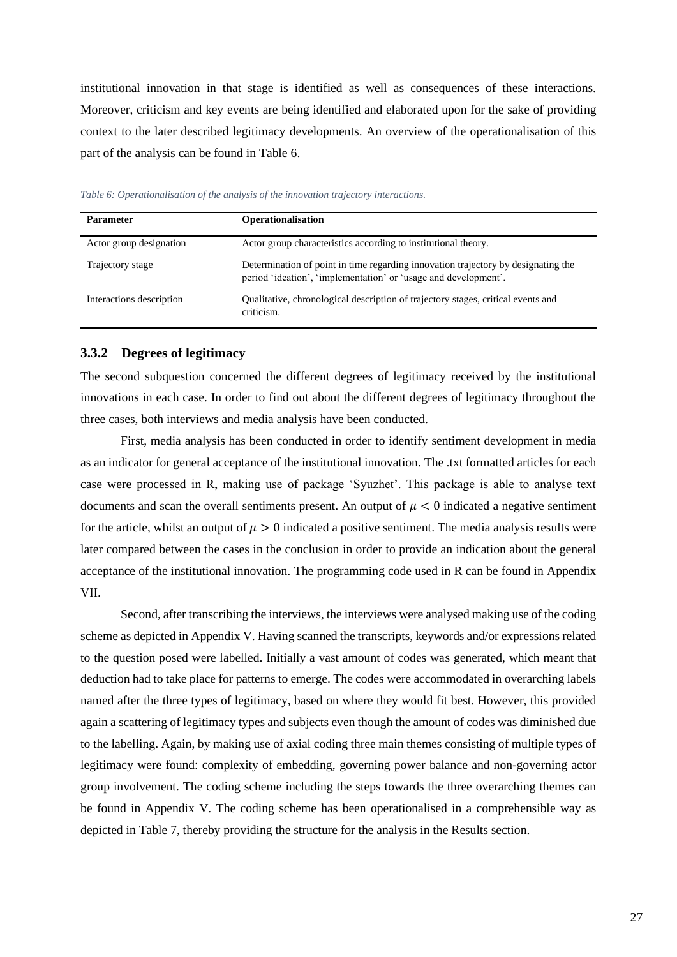institutional innovation in that stage is identified as well as consequences of these interactions. Moreover, criticism and key events are being identified and elaborated upon for the sake of providing context to the later described legitimacy developments. An overview of the operationalisation of this part of the analysis can be found in [Table 6.](#page-26-0)

| <b>Parameter</b>         | <b>Operationalisation</b>                                                                                                                            |
|--------------------------|------------------------------------------------------------------------------------------------------------------------------------------------------|
| Actor group designation  | Actor group characteristics according to institutional theory.                                                                                       |
| Trajectory stage         | Determination of point in time regarding innovation trajectory by designating the<br>period 'ideation', 'implementation' or 'usage and development'. |
| Interactions description | Qualitative, chronological description of trajectory stages, critical events and<br>criticism.                                                       |

<span id="page-26-0"></span>*Table 6: Operationalisation of the analysis of the innovation trajectory interactions.*

#### **3.3.2 Degrees of legitimacy**

The second subquestion concerned the different degrees of legitimacy received by the institutional innovations in each case. In order to find out about the different degrees of legitimacy throughout the three cases, both interviews and media analysis have been conducted.

First, media analysis has been conducted in order to identify sentiment development in media as an indicator for general acceptance of the institutional innovation. The .txt formatted articles for each case were processed in R, making use of package 'Syuzhet'. This package is able to analyse text documents and scan the overall sentiments present. An output of  $\mu < 0$  indicated a negative sentiment for the article, whilst an output of  $\mu > 0$  indicated a positive sentiment. The media analysis results were later compared between the cases in the conclusion in order to provide an indication about the general acceptance of the institutional innovation. The programming code used in R can be found in Appendix VII.

Second, after transcribing the interviews, the interviews were analysed making use of the coding scheme as depicted in Appendix V. Having scanned the transcripts, keywords and/or expressions related to the question posed were labelled. Initially a vast amount of codes was generated, which meant that deduction had to take place for patterns to emerge. The codes were accommodated in overarching labels named after the three types of legitimacy, based on where they would fit best. However, this provided again a scattering of legitimacy types and subjects even though the amount of codes was diminished due to the labelling. Again, by making use of axial coding three main themes consisting of multiple types of legitimacy were found: complexity of embedding, governing power balance and non-governing actor group involvement. The coding scheme including the steps towards the three overarching themes can be found in Appendix V. The coding scheme has been operationalised in a comprehensible way as depicted in [Table 7,](#page-27-0) thereby providing the structure for the analysis in the Results section.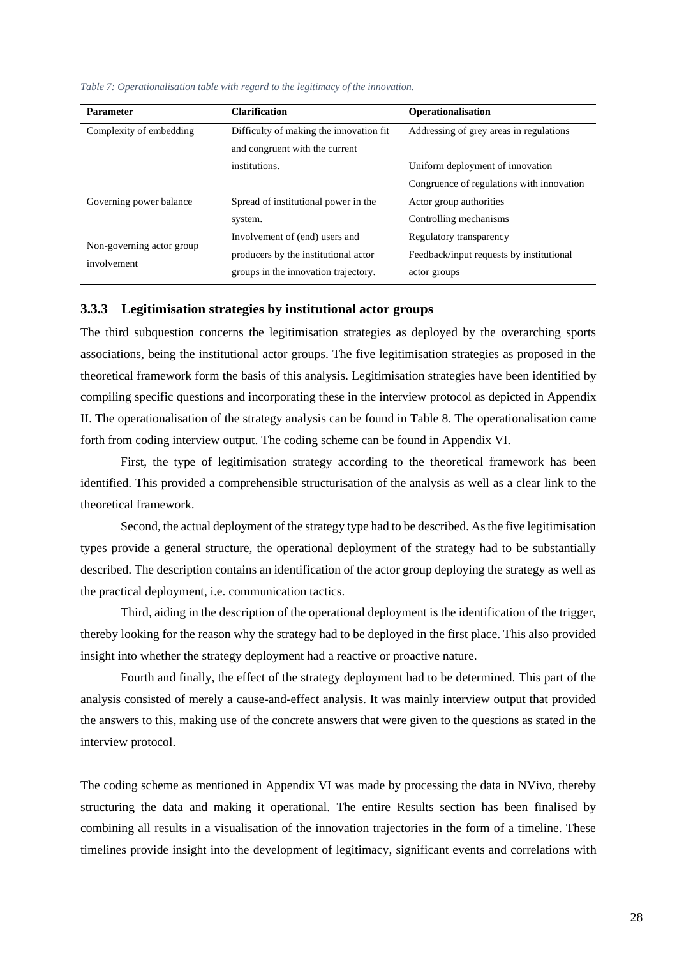<span id="page-27-0"></span>

|  |  | Table 7: Operationalisation table with regard to the legitimacy of the innovation. |
|--|--|------------------------------------------------------------------------------------|
|--|--|------------------------------------------------------------------------------------|

| <b>Parameter</b>                         | <b>Clarification</b>                                                                                           | Operationalisation                                                                  |  |  |
|------------------------------------------|----------------------------------------------------------------------------------------------------------------|-------------------------------------------------------------------------------------|--|--|
| Complexity of embedding                  | Difficulty of making the innovation fit<br>and congruent with the current                                      | Addressing of grey areas in regulations                                             |  |  |
|                                          | institutions.                                                                                                  | Uniform deployment of innovation<br>Congruence of regulations with innovation       |  |  |
| Governing power balance                  | Spread of institutional power in the<br>system.                                                                | Actor group authorities<br>Controlling mechanisms                                   |  |  |
| Non-governing actor group<br>involvement | Involvement of (end) users and<br>producers by the institutional actor<br>groups in the innovation trajectory. | Regulatory transparency<br>Feedback/input requests by institutional<br>actor groups |  |  |

#### **3.3.3 Legitimisation strategies by institutional actor groups**

The third subquestion concerns the legitimisation strategies as deployed by the overarching sports associations, being the institutional actor groups. The five legitimisation strategies as proposed in the theoretical framework form the basis of this analysis. Legitimisation strategies have been identified by compiling specific questions and incorporating these in the interview protocol as depicted in Appendix II. The operationalisation of the strategy analysis can be found in [Table 8.](#page-28-1) The operationalisation came forth from coding interview output. The coding scheme can be found in Appendix VI.

First, the type of legitimisation strategy according to the theoretical framework has been identified. This provided a comprehensible structurisation of the analysis as well as a clear link to the theoretical framework.

Second, the actual deployment of the strategy type had to be described. As the five legitimisation types provide a general structure, the operational deployment of the strategy had to be substantially described. The description contains an identification of the actor group deploying the strategy as well as the practical deployment, i.e. communication tactics.

Third, aiding in the description of the operational deployment is the identification of the trigger, thereby looking for the reason why the strategy had to be deployed in the first place. This also provided insight into whether the strategy deployment had a reactive or proactive nature.

Fourth and finally, the effect of the strategy deployment had to be determined. This part of the analysis consisted of merely a cause-and-effect analysis. It was mainly interview output that provided the answers to this, making use of the concrete answers that were given to the questions as stated in the interview protocol.

The coding scheme as mentioned in Appendix VI was made by processing the data in NVivo, thereby structuring the data and making it operational. The entire Results section has been finalised by combining all results in a visualisation of the innovation trajectories in the form of a timeline. These timelines provide insight into the development of legitimacy, significant events and correlations with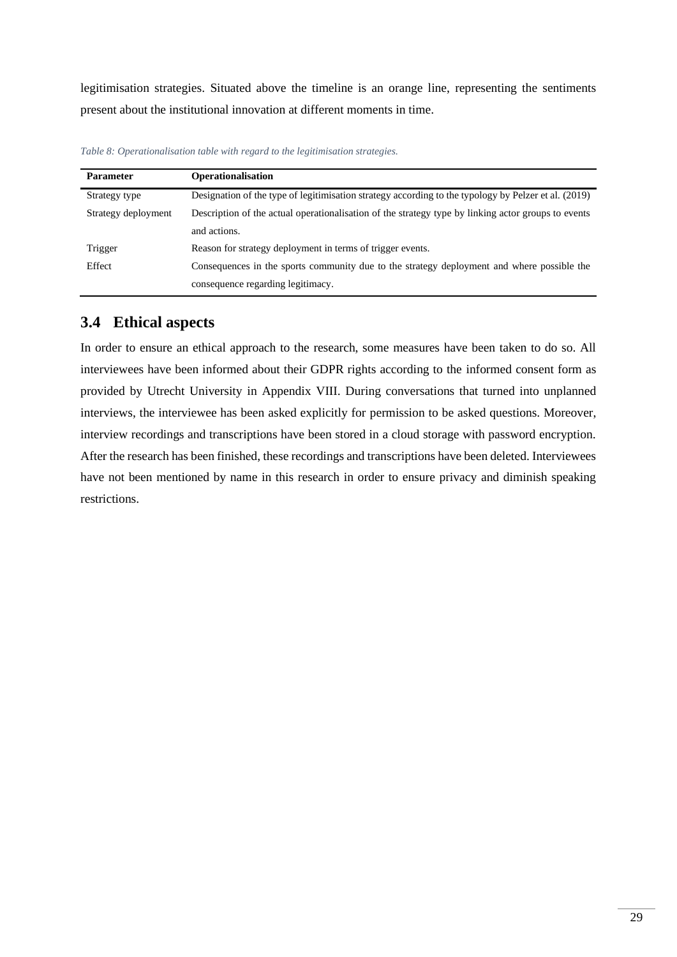legitimisation strategies. Situated above the timeline is an orange line, representing the sentiments present about the institutional innovation at different moments in time.

| <b>Parameter</b>    | <b>Operationalisation</b>                                                                            |  |  |
|---------------------|------------------------------------------------------------------------------------------------------|--|--|
| Strategy type       | Designation of the type of legitimisation strategy according to the typology by Pelzer et al. (2019) |  |  |
| Strategy deployment | Description of the actual operationalisation of the strategy type by linking actor groups to events  |  |  |
|                     | and actions.                                                                                         |  |  |
| Trigger             | Reason for strategy deployment in terms of trigger events.                                           |  |  |
| Effect              | Consequences in the sports community due to the strategy deployment and where possible the           |  |  |
|                     | consequence regarding legitimacy.                                                                    |  |  |

<span id="page-28-1"></span>*Table 8: Operationalisation table with regard to the legitimisation strategies.*

## <span id="page-28-0"></span>**3.4 Ethical aspects**

In order to ensure an ethical approach to the research, some measures have been taken to do so. All interviewees have been informed about their GDPR rights according to the informed consent form as provided by Utrecht University in Appendix VIII. During conversations that turned into unplanned interviews, the interviewee has been asked explicitly for permission to be asked questions. Moreover, interview recordings and transcriptions have been stored in a cloud storage with password encryption. After the research has been finished, these recordings and transcriptions have been deleted. Interviewees have not been mentioned by name in this research in order to ensure privacy and diminish speaking restrictions.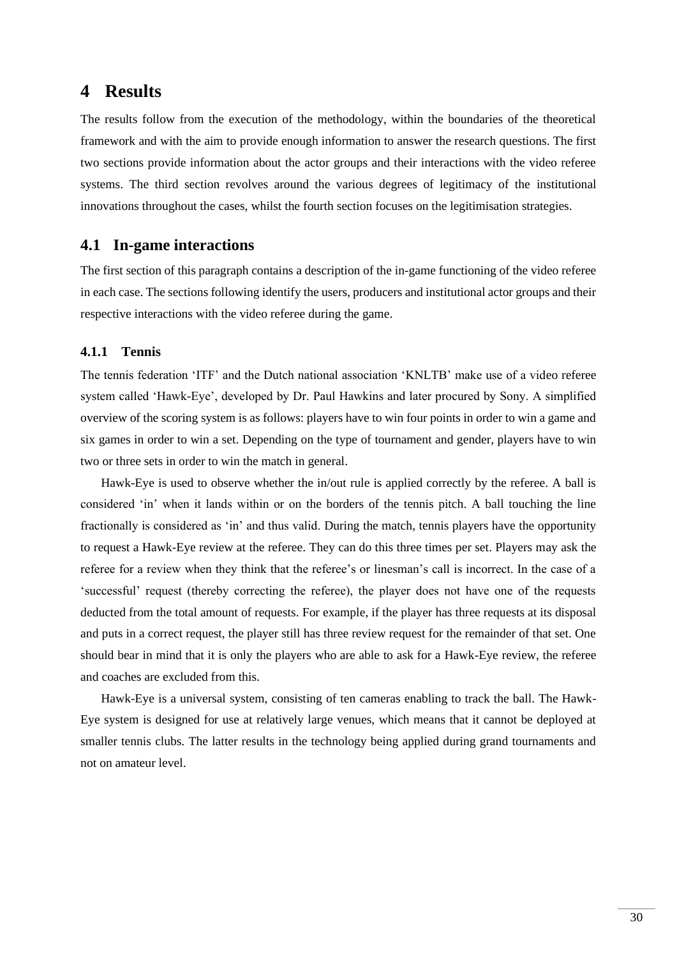## <span id="page-29-0"></span>**4 Results**

The results follow from the execution of the methodology, within the boundaries of the theoretical framework and with the aim to provide enough information to answer the research questions. The first two sections provide information about the actor groups and their interactions with the video referee systems. The third section revolves around the various degrees of legitimacy of the institutional innovations throughout the cases, whilst the fourth section focuses on the legitimisation strategies.

### <span id="page-29-1"></span>**4.1 In-game interactions**

The first section of this paragraph contains a description of the in-game functioning of the video referee in each case. The sections following identify the users, producers and institutional actor groups and their respective interactions with the video referee during the game.

#### **4.1.1 Tennis**

The tennis federation 'ITF' and the Dutch national association 'KNLTB' make use of a video referee system called 'Hawk-Eye', developed by Dr. Paul Hawkins and later procured by Sony. A simplified overview of the scoring system is as follows: players have to win four points in order to win a game and six games in order to win a set. Depending on the type of tournament and gender, players have to win two or three sets in order to win the match in general.

Hawk-Eye is used to observe whether the in/out rule is applied correctly by the referee. A ball is considered 'in' when it lands within or on the borders of the tennis pitch. A ball touching the line fractionally is considered as 'in' and thus valid. During the match, tennis players have the opportunity to request a Hawk-Eye review at the referee. They can do this three times per set. Players may ask the referee for a review when they think that the referee's or linesman's call is incorrect. In the case of a 'successful' request (thereby correcting the referee), the player does not have one of the requests deducted from the total amount of requests. For example, if the player has three requests at its disposal and puts in a correct request, the player still has three review request for the remainder of that set. One should bear in mind that it is only the players who are able to ask for a Hawk-Eye review, the referee and coaches are excluded from this.

Hawk-Eye is a universal system, consisting of ten cameras enabling to track the ball. The Hawk-Eye system is designed for use at relatively large venues, which means that it cannot be deployed at smaller tennis clubs. The latter results in the technology being applied during grand tournaments and not on amateur level.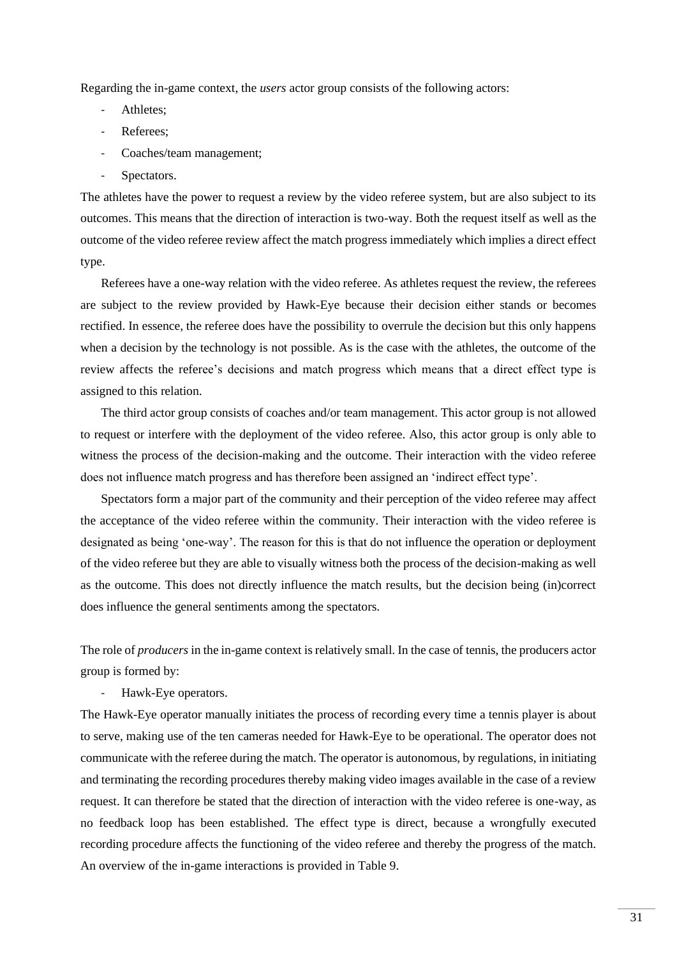Regarding the in-game context, the *users* actor group consists of the following actors:

- Athletes:
- Referees:
- Coaches/team management;
- Spectators.

The athletes have the power to request a review by the video referee system, but are also subject to its outcomes. This means that the direction of interaction is two-way. Both the request itself as well as the outcome of the video referee review affect the match progress immediately which implies a direct effect type.

Referees have a one-way relation with the video referee. As athletes request the review, the referees are subject to the review provided by Hawk-Eye because their decision either stands or becomes rectified. In essence, the referee does have the possibility to overrule the decision but this only happens when a decision by the technology is not possible. As is the case with the athletes, the outcome of the review affects the referee's decisions and match progress which means that a direct effect type is assigned to this relation.

The third actor group consists of coaches and/or team management. This actor group is not allowed to request or interfere with the deployment of the video referee. Also, this actor group is only able to witness the process of the decision-making and the outcome. Their interaction with the video referee does not influence match progress and has therefore been assigned an 'indirect effect type'.

Spectators form a major part of the community and their perception of the video referee may affect the acceptance of the video referee within the community. Their interaction with the video referee is designated as being 'one-way'. The reason for this is that do not influence the operation or deployment of the video referee but they are able to visually witness both the process of the decision-making as well as the outcome. This does not directly influence the match results, but the decision being (in)correct does influence the general sentiments among the spectators.

The role of *producers* in the in-game context is relatively small. In the case of tennis, the producers actor group is formed by:

Hawk-Eye operators.

The Hawk-Eye operator manually initiates the process of recording every time a tennis player is about to serve, making use of the ten cameras needed for Hawk-Eye to be operational. The operator does not communicate with the referee during the match. The operator is autonomous, by regulations, in initiating and terminating the recording procedures thereby making video images available in the case of a review request. It can therefore be stated that the direction of interaction with the video referee is one-way, as no feedback loop has been established. The effect type is direct, because a wrongfully executed recording procedure affects the functioning of the video referee and thereby the progress of the match. An overview of the in-game interactions is provided in [Table 9.](#page-31-0)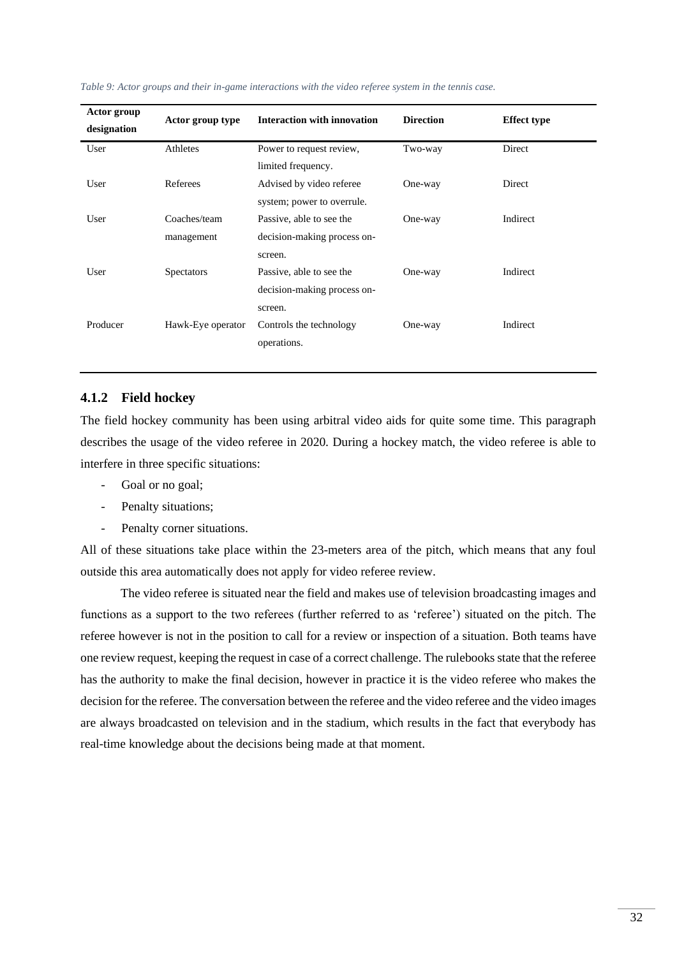| Actor group                     |                   | <b>Interaction with innovation</b> | <b>Direction</b> | <b>Effect type</b> |
|---------------------------------|-------------------|------------------------------------|------------------|--------------------|
| Actor group type<br>designation |                   |                                    |                  |                    |
| User                            | Athletes          | Power to request review,           | Two-way          | Direct             |
|                                 |                   | limited frequency.                 |                  |                    |
| User                            | Referees          | Advised by video referee           | One-way          | Direct             |
|                                 |                   | system; power to overrule.         |                  |                    |
| User                            | Coaches/team      | Passive, able to see the           | One-way          | Indirect           |
|                                 | management        | decision-making process on-        |                  |                    |
|                                 |                   | screen.                            |                  |                    |
| User                            | <b>Spectators</b> | Passive, able to see the           | One-way          | Indirect           |
|                                 |                   | decision-making process on-        |                  |                    |
|                                 |                   | screen.                            |                  |                    |
| Producer                        | Hawk-Eye operator | Controls the technology            | One-way          | Indirect           |
|                                 |                   | operations.                        |                  |                    |
|                                 |                   |                                    |                  |                    |

#### <span id="page-31-0"></span>*Table 9: Actor groups and their in-game interactions with the video referee system in the tennis case.*

#### **4.1.2 Field hockey**

The field hockey community has been using arbitral video aids for quite some time. This paragraph describes the usage of the video referee in 2020. During a hockey match, the video referee is able to interfere in three specific situations:

- Goal or no goal;
- Penalty situations;
- Penalty corner situations.

All of these situations take place within the 23-meters area of the pitch, which means that any foul outside this area automatically does not apply for video referee review.

The video referee is situated near the field and makes use of television broadcasting images and functions as a support to the two referees (further referred to as 'referee') situated on the pitch. The referee however is not in the position to call for a review or inspection of a situation. Both teams have one review request, keeping the request in case of a correct challenge. The rulebooks state that the referee has the authority to make the final decision, however in practice it is the video referee who makes the decision for the referee. The conversation between the referee and the video referee and the video images are always broadcasted on television and in the stadium, which results in the fact that everybody has real-time knowledge about the decisions being made at that moment.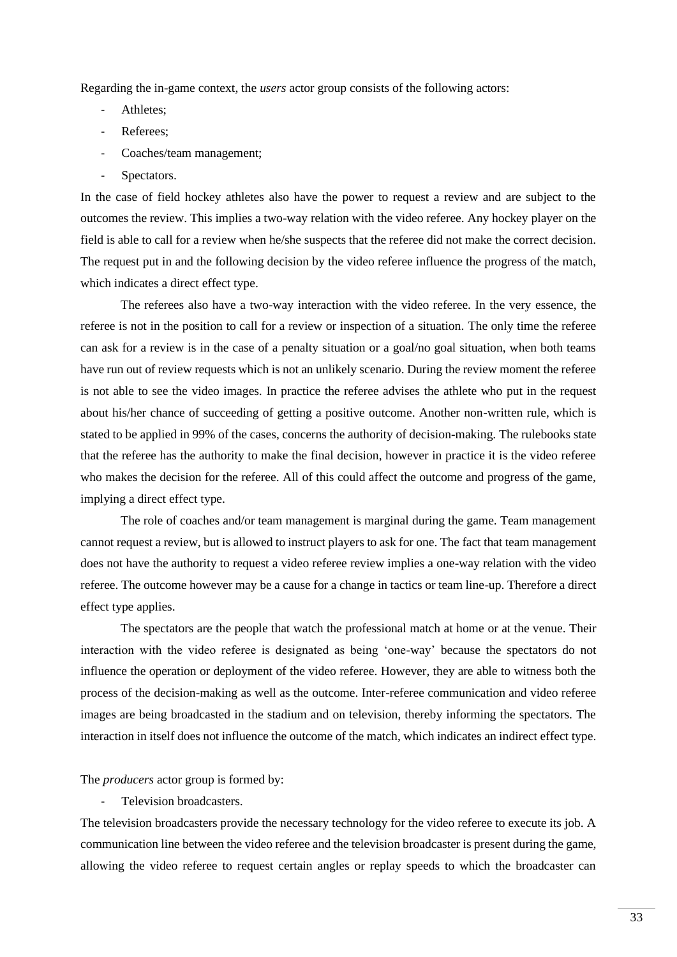Regarding the in-game context, the *users* actor group consists of the following actors:

- Athletes:
- Referees;
- Coaches/team management;
- Spectators.

In the case of field hockey athletes also have the power to request a review and are subject to the outcomes the review. This implies a two-way relation with the video referee. Any hockey player on the field is able to call for a review when he/she suspects that the referee did not make the correct decision. The request put in and the following decision by the video referee influence the progress of the match, which indicates a direct effect type.

The referees also have a two-way interaction with the video referee. In the very essence, the referee is not in the position to call for a review or inspection of a situation. The only time the referee can ask for a review is in the case of a penalty situation or a goal/no goal situation, when both teams have run out of review requests which is not an unlikely scenario. During the review moment the referee is not able to see the video images. In practice the referee advises the athlete who put in the request about his/her chance of succeeding of getting a positive outcome. Another non-written rule, which is stated to be applied in 99% of the cases, concerns the authority of decision-making. The rulebooks state that the referee has the authority to make the final decision, however in practice it is the video referee who makes the decision for the referee. All of this could affect the outcome and progress of the game, implying a direct effect type.

The role of coaches and/or team management is marginal during the game. Team management cannot request a review, but is allowed to instruct players to ask for one. The fact that team management does not have the authority to request a video referee review implies a one-way relation with the video referee. The outcome however may be a cause for a change in tactics or team line-up. Therefore a direct effect type applies.

The spectators are the people that watch the professional match at home or at the venue. Their interaction with the video referee is designated as being 'one-way' because the spectators do not influence the operation or deployment of the video referee. However, they are able to witness both the process of the decision-making as well as the outcome. Inter-referee communication and video referee images are being broadcasted in the stadium and on television, thereby informing the spectators. The interaction in itself does not influence the outcome of the match, which indicates an indirect effect type.

The *producers* actor group is formed by:

Television broadcasters.

The television broadcasters provide the necessary technology for the video referee to execute its job. A communication line between the video referee and the television broadcaster is present during the game, allowing the video referee to request certain angles or replay speeds to which the broadcaster can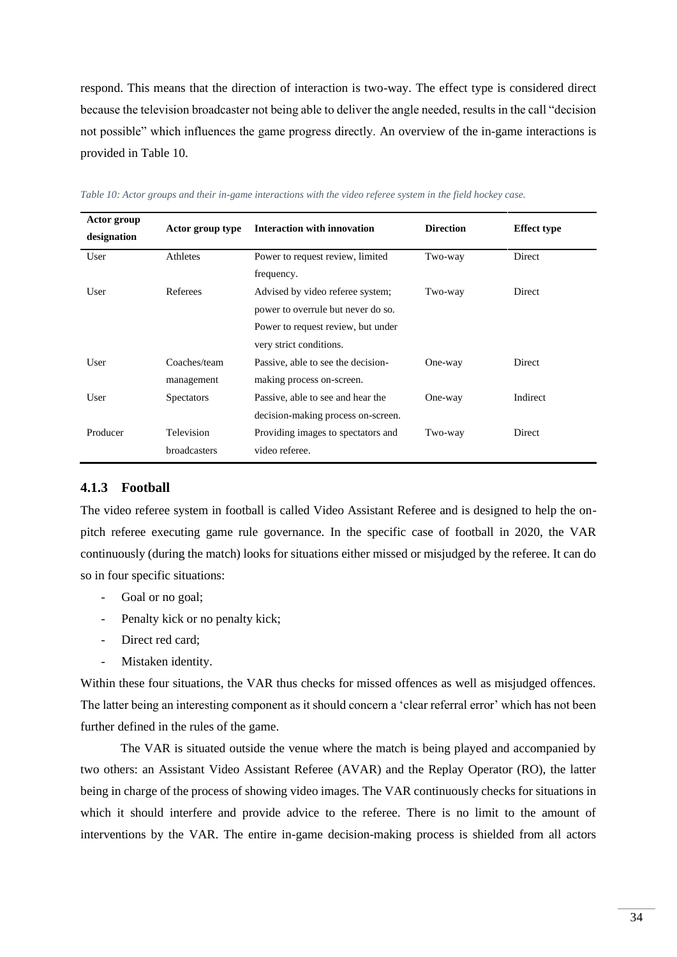respond. This means that the direction of interaction is two-way. The effect type is considered direct because the television broadcaster not being able to deliver the angle needed, results in the call "decision not possible" which influences the game progress directly. An overview of the in-game interactions is provided in [Table 10.](#page-33-0)

| Actor group<br>designation | Actor group type  | <b>Interaction with innovation</b> | <b>Direction</b> | <b>Effect type</b> |
|----------------------------|-------------------|------------------------------------|------------------|--------------------|
| User                       | Athletes          | Power to request review, limited   | Two-way          | Direct             |
|                            |                   | frequency.                         |                  |                    |
| User                       | Referees          | Advised by video referee system;   | Two-way          | Direct             |
|                            |                   | power to overrule but never do so. |                  |                    |
|                            |                   | Power to request review, but under |                  |                    |
|                            |                   | very strict conditions.            |                  |                    |
| User                       | Coaches/team      | Passive, able to see the decision- | One-way          | Direct             |
|                            | management        | making process on-screen.          |                  |                    |
| User                       | <b>Spectators</b> | Passive, able to see and hear the  | One-way          | Indirect           |
|                            |                   | decision-making process on-screen. |                  |                    |
| Producer                   | Television        | Providing images to spectators and | Two-way          | Direct             |
|                            | broadcasters      | video referee.                     |                  |                    |

<span id="page-33-0"></span>*Table 10: Actor groups and their in-game interactions with the video referee system in the field hockey case.*

#### **4.1.3 Football**

The video referee system in football is called Video Assistant Referee and is designed to help the onpitch referee executing game rule governance. In the specific case of football in 2020, the VAR continuously (during the match) looks for situations either missed or misjudged by the referee. It can do so in four specific situations:

- Goal or no goal;
- Penalty kick or no penalty kick;
- Direct red card;
- Mistaken identity.

Within these four situations, the VAR thus checks for missed offences as well as misjudged offences. The latter being an interesting component as it should concern a 'clear referral error' which has not been further defined in the rules of the game.

The VAR is situated outside the venue where the match is being played and accompanied by two others: an Assistant Video Assistant Referee (AVAR) and the Replay Operator (RO), the latter being in charge of the process of showing video images. The VAR continuously checks for situations in which it should interfere and provide advice to the referee. There is no limit to the amount of interventions by the VAR. The entire in-game decision-making process is shielded from all actors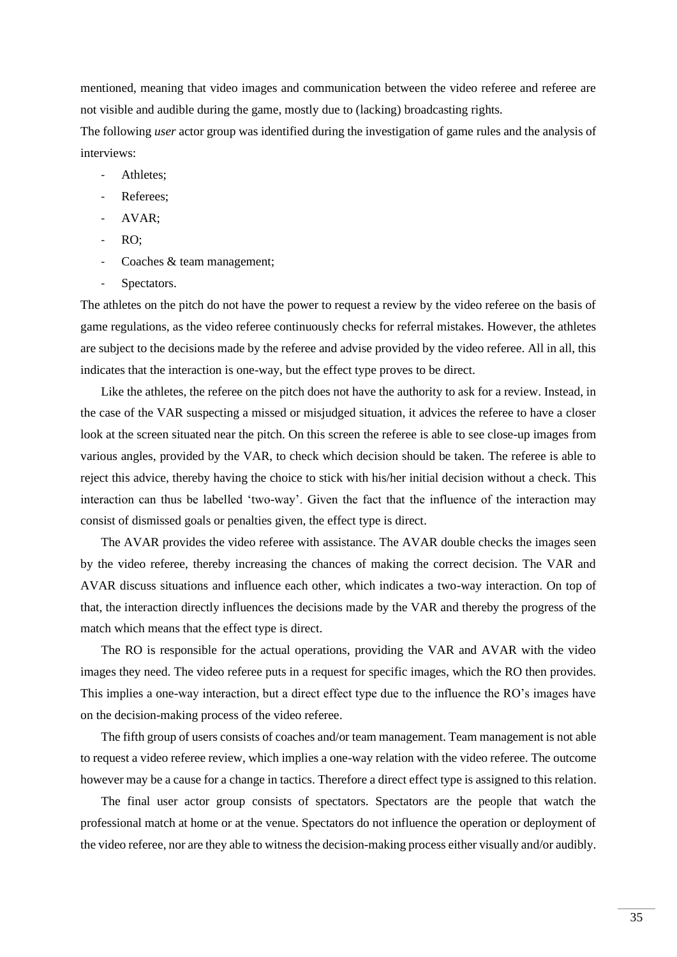mentioned, meaning that video images and communication between the video referee and referee are not visible and audible during the game, mostly due to (lacking) broadcasting rights.

The following *user* actor group was identified during the investigation of game rules and the analysis of interviews:

- Athletes:
- Referees:
- AVAR;
- RO;
- Coaches & team management;
- Spectators.

The athletes on the pitch do not have the power to request a review by the video referee on the basis of game regulations, as the video referee continuously checks for referral mistakes. However, the athletes are subject to the decisions made by the referee and advise provided by the video referee. All in all, this indicates that the interaction is one-way, but the effect type proves to be direct.

Like the athletes, the referee on the pitch does not have the authority to ask for a review. Instead, in the case of the VAR suspecting a missed or misjudged situation, it advices the referee to have a closer look at the screen situated near the pitch. On this screen the referee is able to see close-up images from various angles, provided by the VAR, to check which decision should be taken. The referee is able to reject this advice, thereby having the choice to stick with his/her initial decision without a check. This interaction can thus be labelled 'two-way'. Given the fact that the influence of the interaction may consist of dismissed goals or penalties given, the effect type is direct.

The AVAR provides the video referee with assistance. The AVAR double checks the images seen by the video referee, thereby increasing the chances of making the correct decision. The VAR and AVAR discuss situations and influence each other, which indicates a two-way interaction. On top of that, the interaction directly influences the decisions made by the VAR and thereby the progress of the match which means that the effect type is direct.

The RO is responsible for the actual operations, providing the VAR and AVAR with the video images they need. The video referee puts in a request for specific images, which the RO then provides. This implies a one-way interaction, but a direct effect type due to the influence the RO's images have on the decision-making process of the video referee.

The fifth group of users consists of coaches and/or team management. Team management is not able to request a video referee review, which implies a one-way relation with the video referee. The outcome however may be a cause for a change in tactics. Therefore a direct effect type is assigned to this relation.

The final user actor group consists of spectators. Spectators are the people that watch the professional match at home or at the venue. Spectators do not influence the operation or deployment of the video referee, nor are they able to witness the decision-making process either visually and/or audibly.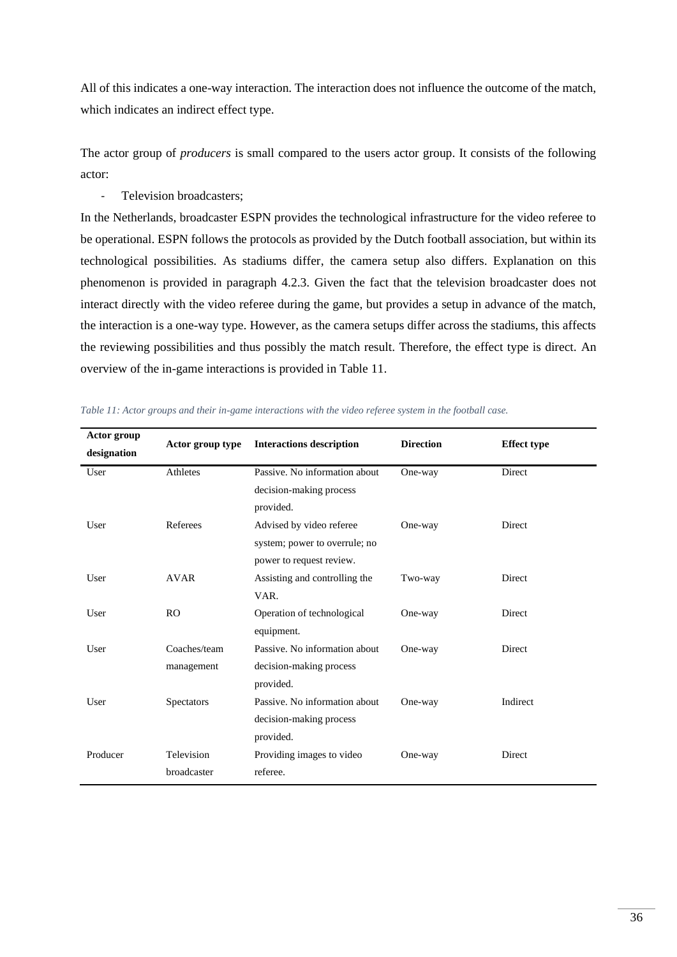All of this indicates a one-way interaction. The interaction does not influence the outcome of the match, which indicates an indirect effect type.

The actor group of *producers* is small compared to the users actor group. It consists of the following actor:

- Television broadcasters;

In the Netherlands, broadcaster ESPN provides the technological infrastructure for the video referee to be operational. ESPN follows the protocols as provided by the Dutch football association, but within its technological possibilities. As stadiums differ, the camera setup also differs. Explanation on this phenomenon is provided in paragraph [4.2.3.](#page-41-1) Given the fact that the television broadcaster does not interact directly with the video referee during the game, but provides a setup in advance of the match, the interaction is a one-way type. However, as the camera setups differ across the stadiums, this affects the reviewing possibilities and thus possibly the match result. Therefore, the effect type is direct. An overview of the in-game interactions is provided in [Table 11.](#page-35-0)

| Actor group<br>designation | Actor group type | <b>Interactions description</b> | <b>Direction</b> | <b>Effect type</b> |
|----------------------------|------------------|---------------------------------|------------------|--------------------|
| User                       | Athletes         | Passive. No information about   | One-way          | Direct             |
|                            |                  | decision-making process         |                  |                    |
|                            |                  | provided.                       |                  |                    |
| User                       | Referees         | Advised by video referee        | One-way          | Direct             |
|                            |                  | system; power to overrule; no   |                  |                    |
|                            |                  | power to request review.        |                  |                    |
| User                       | <b>AVAR</b>      | Assisting and controlling the   | Two-way          | Direct             |
|                            |                  | VAR.                            |                  |                    |
| User                       | R <sub>O</sub>   | Operation of technological      | One-way          | Direct             |
|                            |                  | equipment.                      |                  |                    |
| User                       | Coaches/team     | Passive. No information about   | One-way          | Direct             |
|                            | management       | decision-making process         |                  |                    |
|                            |                  | provided.                       |                  |                    |
| User                       | Spectators       | Passive. No information about   | One-way          | Indirect           |
|                            |                  | decision-making process         |                  |                    |
|                            |                  | provided.                       |                  |                    |
| Producer                   | Television       | Providing images to video       | One-way          | Direct             |
|                            | broadcaster      | referee.                        |                  |                    |

<span id="page-35-0"></span>

|  | Table 11: Actor groups and their in-game interactions with the video referee system in the football case. |  |  |  |  |  |
|--|-----------------------------------------------------------------------------------------------------------|--|--|--|--|--|
|--|-----------------------------------------------------------------------------------------------------------|--|--|--|--|--|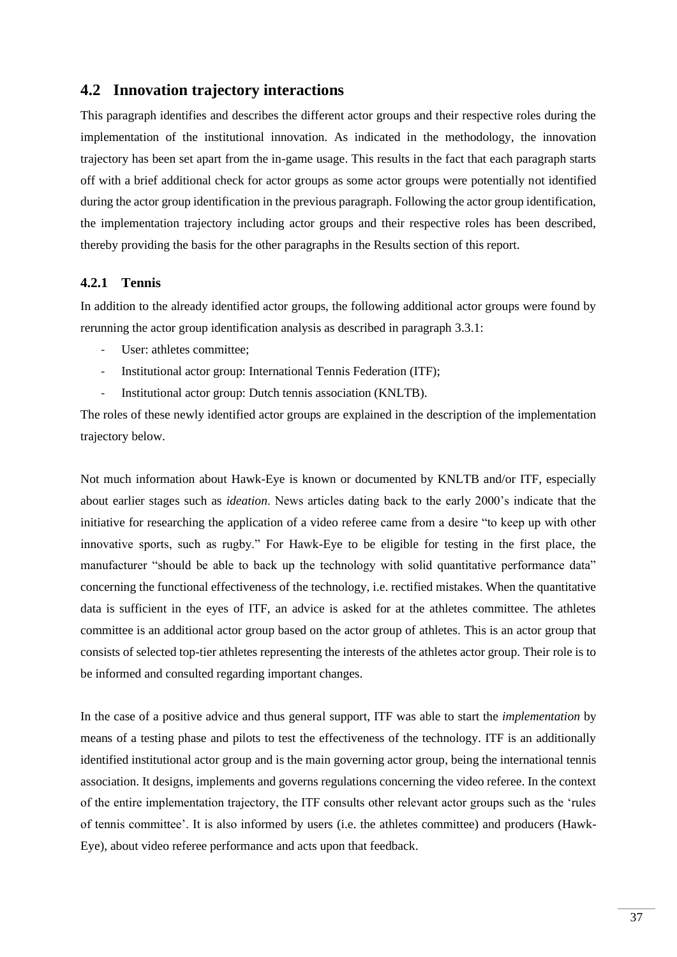# **4.2 Innovation trajectory interactions**

This paragraph identifies and describes the different actor groups and their respective roles during the implementation of the institutional innovation. As indicated in the methodology, the innovation trajectory has been set apart from the in-game usage. This results in the fact that each paragraph starts off with a brief additional check for actor groups as some actor groups were potentially not identified during the actor group identification in the previous paragraph. Following the actor group identification, the implementation trajectory including actor groups and their respective roles has been described, thereby providing the basis for the other paragraphs in the Results section of this report.

### **4.2.1 Tennis**

In addition to the already identified actor groups, the following additional actor groups were found by rerunning the actor group identification analysis as described in paragraph [3.3.1:](#page-23-0)

- User: athletes committee;
- Institutional actor group: International Tennis Federation (ITF);
- Institutional actor group: Dutch tennis association (KNLTB).

The roles of these newly identified actor groups are explained in the description of the implementation trajectory below.

Not much information about Hawk-Eye is known or documented by KNLTB and/or ITF, especially about earlier stages such as *ideation*. News articles dating back to the early 2000's indicate that the initiative for researching the application of a video referee came from a desire "to keep up with other innovative sports, such as rugby." For Hawk-Eye to be eligible for testing in the first place, the manufacturer "should be able to back up the technology with solid quantitative performance data" concerning the functional effectiveness of the technology, i.e. rectified mistakes. When the quantitative data is sufficient in the eyes of ITF, an advice is asked for at the athletes committee. The athletes committee is an additional actor group based on the actor group of athletes. This is an actor group that consists of selected top-tier athletes representing the interests of the athletes actor group. Their role is to be informed and consulted regarding important changes.

In the case of a positive advice and thus general support, ITF was able to start the *implementation* by means of a testing phase and pilots to test the effectiveness of the technology. ITF is an additionally identified institutional actor group and is the main governing actor group, being the international tennis association. It designs, implements and governs regulations concerning the video referee. In the context of the entire implementation trajectory, the ITF consults other relevant actor groups such as the 'rules of tennis committee'. It is also informed by users (i.e. the athletes committee) and producers (Hawk-Eye), about video referee performance and acts upon that feedback.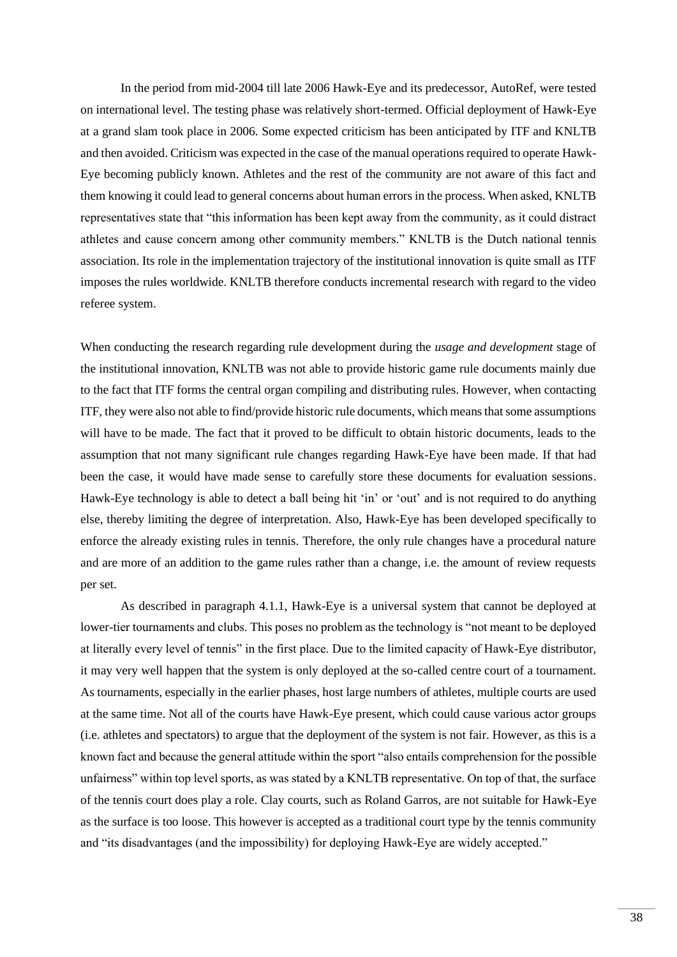In the period from mid-2004 till late 2006 Hawk-Eye and its predecessor, AutoRef, were tested on international level. The testing phase was relatively short-termed. Official deployment of Hawk-Eye at a grand slam took place in 2006. Some expected criticism has been anticipated by ITF and KNLTB and then avoided. Criticism was expected in the case of the manual operations required to operate Hawk-Eye becoming publicly known. Athletes and the rest of the community are not aware of this fact and them knowing it could lead to general concerns about human errors in the process. When asked, KNLTB representatives state that "this information has been kept away from the community, as it could distract athletes and cause concern among other community members." KNLTB is the Dutch national tennis association. Its role in the implementation trajectory of the institutional innovation is quite small as ITF imposes the rules worldwide. KNLTB therefore conducts incremental research with regard to the video referee system.

When conducting the research regarding rule development during the *usage and development* stage of the institutional innovation, KNLTB was not able to provide historic game rule documents mainly due to the fact that ITF forms the central organ compiling and distributing rules. However, when contacting ITF, they were also not able to find/provide historic rule documents, which means that some assumptions will have to be made. The fact that it proved to be difficult to obtain historic documents, leads to the assumption that not many significant rule changes regarding Hawk-Eye have been made. If that had been the case, it would have made sense to carefully store these documents for evaluation sessions. Hawk-Eye technology is able to detect a ball being hit 'in' or 'out' and is not required to do anything else, thereby limiting the degree of interpretation. Also, Hawk-Eye has been developed specifically to enforce the already existing rules in tennis. Therefore, the only rule changes have a procedural nature and are more of an addition to the game rules rather than a change, i.e. the amount of review requests per set.

As described in paragraph [4.1.1,](#page-29-0) Hawk-Eye is a universal system that cannot be deployed at lower-tier tournaments and clubs. This poses no problem as the technology is "not meant to be deployed at literally every level of tennis" in the first place. Due to the limited capacity of Hawk-Eye distributor, it may very well happen that the system is only deployed at the so-called centre court of a tournament. As tournaments, especially in the earlier phases, host large numbers of athletes, multiple courts are used at the same time. Not all of the courts have Hawk-Eye present, which could cause various actor groups (i.e. athletes and spectators) to argue that the deployment of the system is not fair. However, as this is a known fact and because the general attitude within the sport "also entails comprehension for the possible unfairness" within top level sports, as was stated by a KNLTB representative. On top of that, the surface of the tennis court does play a role. Clay courts, such as Roland Garros, are not suitable for Hawk-Eye as the surface is too loose. This however is accepted as a traditional court type by the tennis community and "its disadvantages (and the impossibility) for deploying Hawk-Eye are widely accepted."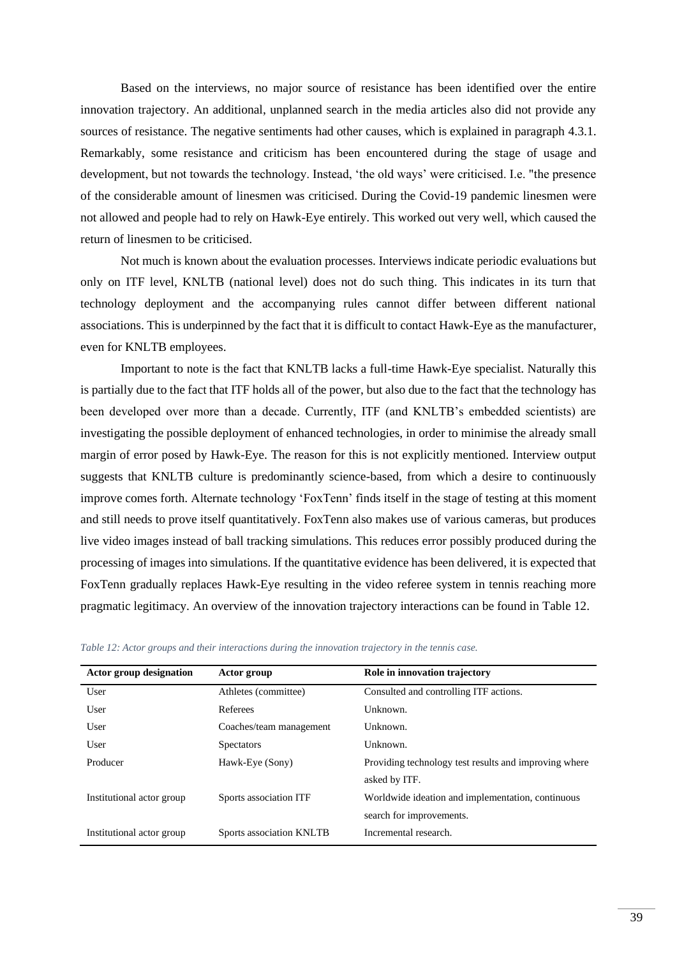Based on the interviews, no major source of resistance has been identified over the entire innovation trajectory. An additional, unplanned search in the media articles also did not provide any sources of resistance. The negative sentiments had other causes, which is explained in paragraph [4.3.1.](#page-45-0) Remarkably, some resistance and criticism has been encountered during the stage of usage and development, but not towards the technology. Instead, 'the old ways' were criticised. I.e. "the presence of the considerable amount of linesmen was criticised. During the Covid-19 pandemic linesmen were not allowed and people had to rely on Hawk-Eye entirely. This worked out very well, which caused the return of linesmen to be criticised.

Not much is known about the evaluation processes. Interviews indicate periodic evaluations but only on ITF level, KNLTB (national level) does not do such thing. This indicates in its turn that technology deployment and the accompanying rules cannot differ between different national associations. This is underpinned by the fact that it is difficult to contact Hawk-Eye as the manufacturer, even for KNLTB employees.

Important to note is the fact that KNLTB lacks a full-time Hawk-Eye specialist. Naturally this is partially due to the fact that ITF holds all of the power, but also due to the fact that the technology has been developed over more than a decade. Currently, ITF (and KNLTB's embedded scientists) are investigating the possible deployment of enhanced technologies, in order to minimise the already small margin of error posed by Hawk-Eye. The reason for this is not explicitly mentioned. Interview output suggests that KNLTB culture is predominantly science-based, from which a desire to continuously improve comes forth. Alternate technology 'FoxTenn' finds itself in the stage of testing at this moment and still needs to prove itself quantitatively. FoxTenn also makes use of various cameras, but produces live video images instead of ball tracking simulations. This reduces error possibly produced during the processing of images into simulations. If the quantitative evidence has been delivered, it is expected that FoxTenn gradually replaces Hawk-Eye resulting in the video referee system in tennis reaching more pragmatic legitimacy. An overview of the innovation trajectory interactions can be found in [Table 12.](#page-38-0)

<span id="page-38-0"></span>

| Table 12: Actor groups and their interactions during the innovation trajectory in the tennis case. |  |
|----------------------------------------------------------------------------------------------------|--|
|----------------------------------------------------------------------------------------------------|--|

<span id="page-38-1"></span>

| Actor group designation   | Actor group              | Role in innovation trajectory                         |
|---------------------------|--------------------------|-------------------------------------------------------|
| User                      | Athletes (committee)     | Consulted and controlling ITF actions.                |
| User                      | Referees                 | Unknown.                                              |
| User                      | Coaches/team management  | Unknown.                                              |
| User                      | <b>Spectators</b>        | Unknown.                                              |
| Producer                  | Hawk-Eye (Sony)          | Providing technology test results and improving where |
|                           |                          | asked by ITF.                                         |
| Institutional actor group | Sports association ITF   | Worldwide ideation and implementation, continuous     |
|                           |                          | search for improvements.                              |
| Institutional actor group | Sports association KNLTB | Incremental research.                                 |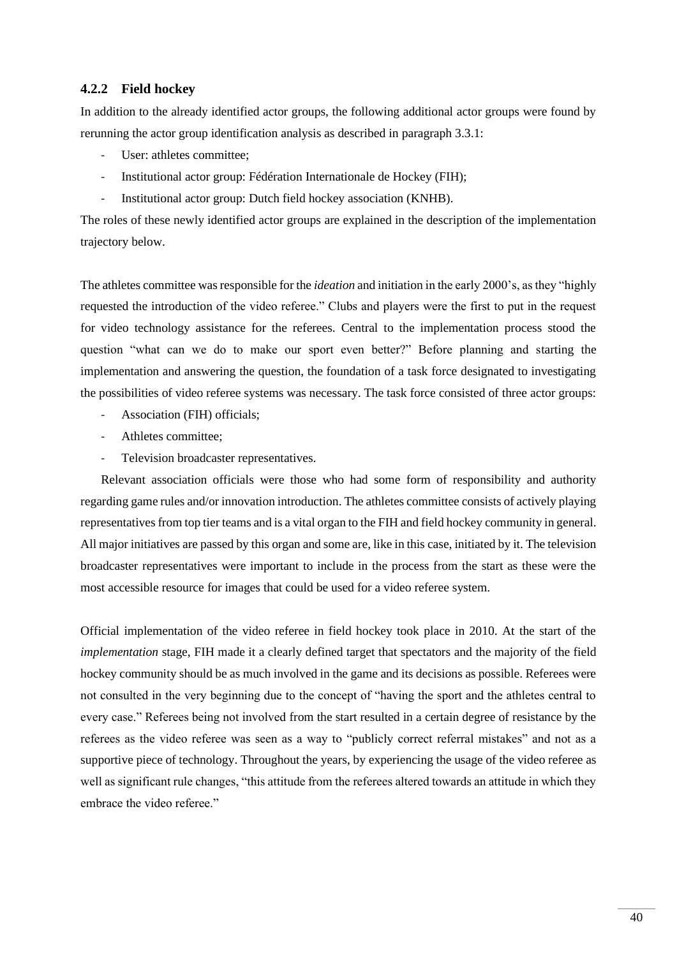### **4.2.2 Field hockey**

In addition to the already identified actor groups, the following additional actor groups were found by rerunning the actor group identification analysis as described in paragraph [3.3.1:](#page-23-0)

- User: athletes committee;
- Institutional actor group: Fédération Internationale de Hockey (FIH);
- Institutional actor group: Dutch field hockey association (KNHB).

The roles of these newly identified actor groups are explained in the description of the implementation trajectory below.

The athletes committee was responsible for the *ideation* and initiation in the early 2000's, as they "highly requested the introduction of the video referee." Clubs and players were the first to put in the request for video technology assistance for the referees. Central to the implementation process stood the question "what can we do to make our sport even better?" Before planning and starting the implementation and answering the question, the foundation of a task force designated to investigating the possibilities of video referee systems was necessary. The task force consisted of three actor groups:

- Association (FIH) officials:
- Athletes committee;
- Television broadcaster representatives.

Relevant association officials were those who had some form of responsibility and authority regarding game rules and/or innovation introduction. The athletes committee consists of actively playing representatives from top tier teams and is a vital organ to the FIH and field hockey community in general. All major initiatives are passed by this organ and some are, like in this case, initiated by it. The television broadcaster representatives were important to include in the process from the start as these were the most accessible resource for images that could be used for a video referee system.

Official implementation of the video referee in field hockey took place in 2010. At the start of the *implementation* stage, FIH made it a clearly defined target that spectators and the majority of the field hockey community should be as much involved in the game and its decisions as possible. Referees were not consulted in the very beginning due to the concept of "having the sport and the athletes central to every case." Referees being not involved from the start resulted in a certain degree of resistance by the referees as the video referee was seen as a way to "publicly correct referral mistakes" and not as a supportive piece of technology. Throughout the years, by experiencing the usage of the video referee as well as significant rule changes, "this attitude from the referees altered towards an attitude in which they embrace the video referee."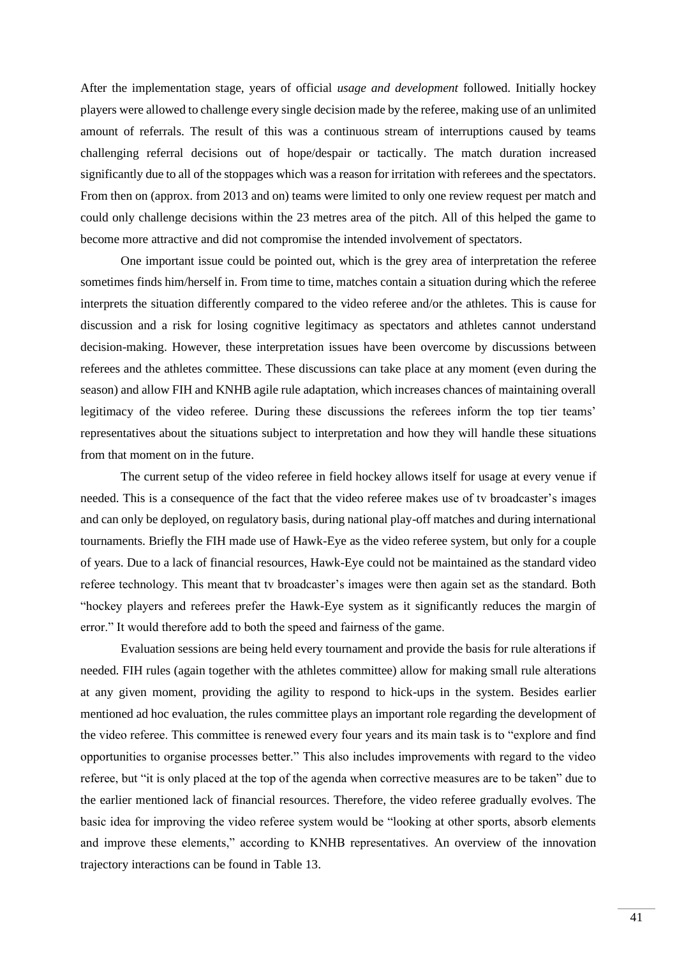After the implementation stage, years of official *usage and development* followed. Initially hockey players were allowed to challenge every single decision made by the referee, making use of an unlimited amount of referrals. The result of this was a continuous stream of interruptions caused by teams challenging referral decisions out of hope/despair or tactically. The match duration increased significantly due to all of the stoppages which was a reason for irritation with referees and the spectators. From then on (approx. from 2013 and on) teams were limited to only one review request per match and could only challenge decisions within the 23 metres area of the pitch. All of this helped the game to become more attractive and did not compromise the intended involvement of spectators.

One important issue could be pointed out, which is the grey area of interpretation the referee sometimes finds him/herself in. From time to time, matches contain a situation during which the referee interprets the situation differently compared to the video referee and/or the athletes. This is cause for discussion and a risk for losing cognitive legitimacy as spectators and athletes cannot understand decision-making. However, these interpretation issues have been overcome by discussions between referees and the athletes committee. These discussions can take place at any moment (even during the season) and allow FIH and KNHB agile rule adaptation, which increases chances of maintaining overall legitimacy of the video referee. During these discussions the referees inform the top tier teams' representatives about the situations subject to interpretation and how they will handle these situations from that moment on in the future.

The current setup of the video referee in field hockey allows itself for usage at every venue if needed. This is a consequence of the fact that the video referee makes use of tv broadcaster's images and can only be deployed, on regulatory basis, during national play-off matches and during international tournaments. Briefly the FIH made use of Hawk-Eye as the video referee system, but only for a couple of years. Due to a lack of financial resources, Hawk-Eye could not be maintained as the standard video referee technology. This meant that tv broadcaster's images were then again set as the standard. Both "hockey players and referees prefer the Hawk-Eye system as it significantly reduces the margin of error." It would therefore add to both the speed and fairness of the game.

Evaluation sessions are being held every tournament and provide the basis for rule alterations if needed. FIH rules (again together with the athletes committee) allow for making small rule alterations at any given moment, providing the agility to respond to hick-ups in the system. Besides earlier mentioned ad hoc evaluation, the rules committee plays an important role regarding the development of the video referee. This committee is renewed every four years and its main task is to "explore and find opportunities to organise processes better." This also includes improvements with regard to the video referee, but "it is only placed at the top of the agenda when corrective measures are to be taken" due to the earlier mentioned lack of financial resources. Therefore, the video referee gradually evolves. The basic idea for improving the video referee system would be "looking at other sports, absorb elements and improve these elements," according to KNHB representatives. An overview of the innovation trajectory interactions can be found i[n Table 13.](#page-41-0)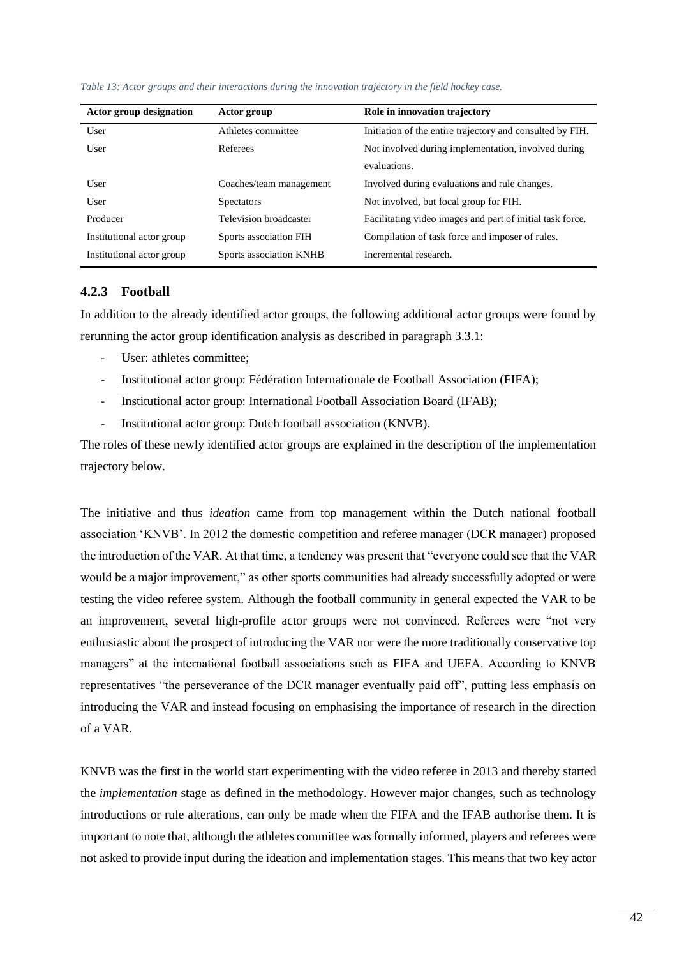| Actor group             | Role in innovation trajectory                             |
|-------------------------|-----------------------------------------------------------|
| Athletes committee      | Initiation of the entire trajectory and consulted by FIH. |
| Referees                | Not involved during implementation, involved during       |
|                         | evaluations.                                              |
| Coaches/team management | Involved during evaluations and rule changes.             |
| <b>Spectators</b>       | Not involved, but focal group for FIH.                    |
| Television broadcaster  | Facilitating video images and part of initial task force. |
| Sports association FIH  | Compilation of task force and imposer of rules.           |
| Sports association KNHB | Incremental research.                                     |
|                         |                                                           |

<span id="page-41-0"></span>*Table 13: Actor groups and their interactions during the innovation trajectory in the field hockey case.*

#### <span id="page-41-1"></span>**4.2.3 Football**

In addition to the already identified actor groups, the following additional actor groups were found by rerunning the actor group identification analysis as described in paragraph [3.3.1:](#page-23-0)

- User: athletes committee:
- Institutional actor group: Fédération Internationale de Football Association (FIFA);
- Institutional actor group: International Football Association Board (IFAB);
- Institutional actor group: Dutch football association (KNVB).

The roles of these newly identified actor groups are explained in the description of the implementation trajectory below.

The initiative and thus *ideation* came from top management within the Dutch national football association 'KNVB'. In 2012 the domestic competition and referee manager (DCR manager) proposed the introduction of the VAR. At that time, a tendency was present that "everyone could see that the VAR would be a major improvement," as other sports communities had already successfully adopted or were testing the video referee system. Although the football community in general expected the VAR to be an improvement, several high-profile actor groups were not convinced. Referees were "not very enthusiastic about the prospect of introducing the VAR nor were the more traditionally conservative top managers" at the international football associations such as FIFA and UEFA. According to KNVB representatives "the perseverance of the DCR manager eventually paid off", putting less emphasis on introducing the VAR and instead focusing on emphasising the importance of research in the direction of a VAR.

KNVB was the first in the world start experimenting with the video referee in 2013 and thereby started the *implementation* stage as defined in the methodology. However major changes, such as technology introductions or rule alterations, can only be made when the FIFA and the IFAB authorise them. It is important to note that, although the athletes committee was formally informed, players and referees were not asked to provide input during the ideation and implementation stages. This means that two key actor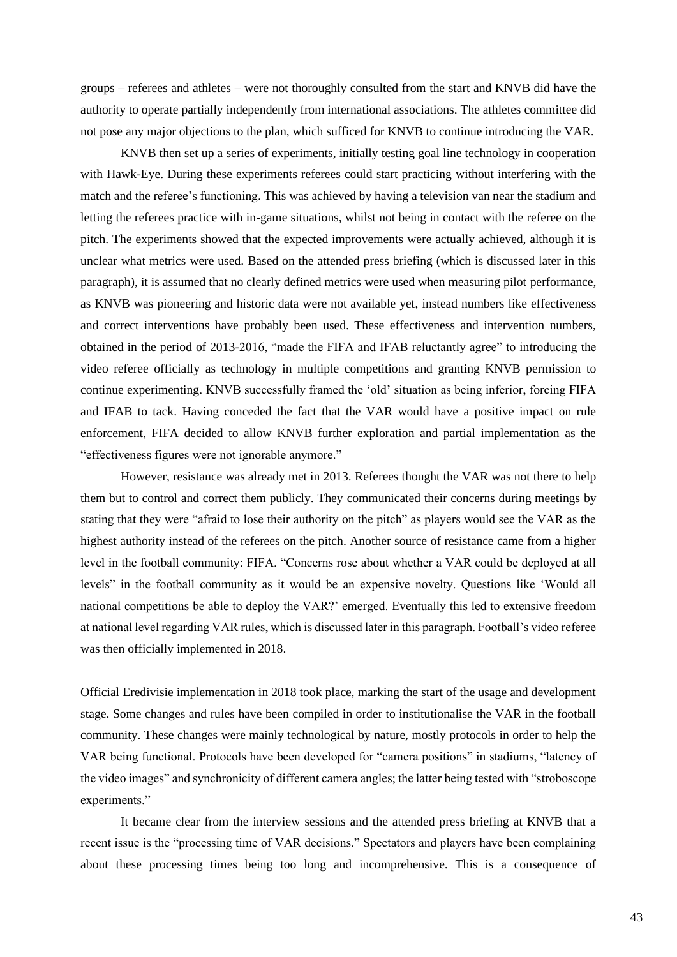groups – referees and athletes – were not thoroughly consulted from the start and KNVB did have the authority to operate partially independently from international associations. The athletes committee did not pose any major objections to the plan, which sufficed for KNVB to continue introducing the VAR.

KNVB then set up a series of experiments, initially testing goal line technology in cooperation with Hawk-Eye. During these experiments referees could start practicing without interfering with the match and the referee's functioning. This was achieved by having a television van near the stadium and letting the referees practice with in-game situations, whilst not being in contact with the referee on the pitch. The experiments showed that the expected improvements were actually achieved, although it is unclear what metrics were used. Based on the attended press briefing (which is discussed later in this paragraph), it is assumed that no clearly defined metrics were used when measuring pilot performance, as KNVB was pioneering and historic data were not available yet, instead numbers like effectiveness and correct interventions have probably been used. These effectiveness and intervention numbers, obtained in the period of 2013-2016, "made the FIFA and IFAB reluctantly agree" to introducing the video referee officially as technology in multiple competitions and granting KNVB permission to continue experimenting. KNVB successfully framed the 'old' situation as being inferior, forcing FIFA and IFAB to tack. Having conceded the fact that the VAR would have a positive impact on rule enforcement, FIFA decided to allow KNVB further exploration and partial implementation as the "effectiveness figures were not ignorable anymore."

However, resistance was already met in 2013. Referees thought the VAR was not there to help them but to control and correct them publicly. They communicated their concerns during meetings by stating that they were "afraid to lose their authority on the pitch" as players would see the VAR as the highest authority instead of the referees on the pitch. Another source of resistance came from a higher level in the football community: FIFA. "Concerns rose about whether a VAR could be deployed at all levels" in the football community as it would be an expensive novelty. Questions like 'Would all national competitions be able to deploy the VAR?' emerged. Eventually this led to extensive freedom at national level regarding VAR rules, which is discussed later in this paragraph. Football's video referee was then officially implemented in 2018.

Official Eredivisie implementation in 2018 took place, marking the start of the usage and development stage. Some changes and rules have been compiled in order to institutionalise the VAR in the football community. These changes were mainly technological by nature, mostly protocols in order to help the VAR being functional. Protocols have been developed for "camera positions" in stadiums, "latency of the video images" and synchronicity of different camera angles; the latter being tested with "stroboscope experiments."

It became clear from the interview sessions and the attended press briefing at KNVB that a recent issue is the "processing time of VAR decisions." Spectators and players have been complaining about these processing times being too long and incomprehensive. This is a consequence of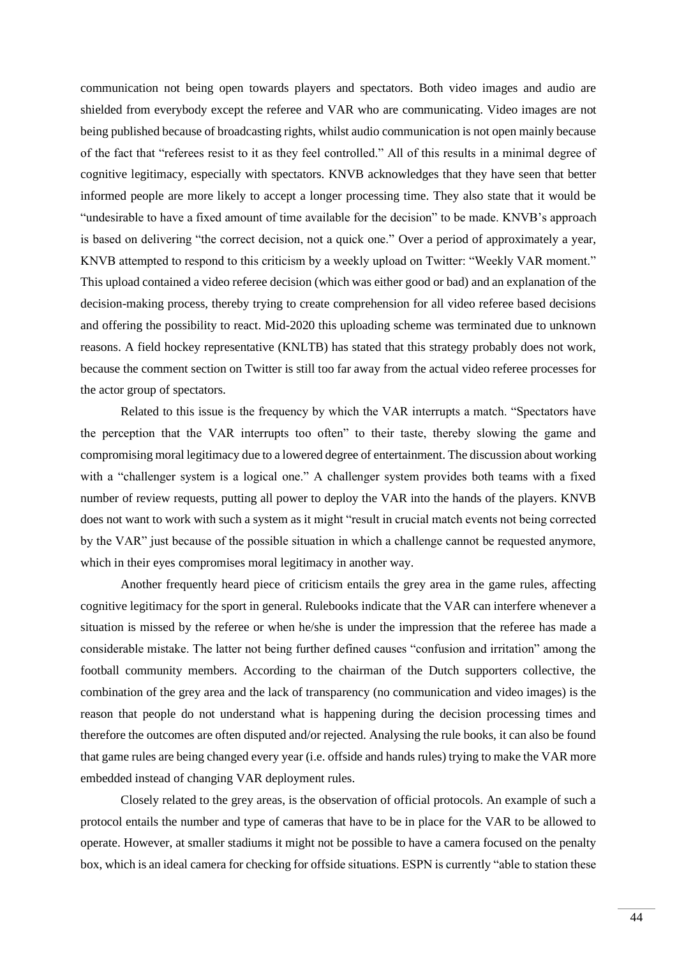communication not being open towards players and spectators. Both video images and audio are shielded from everybody except the referee and VAR who are communicating. Video images are not being published because of broadcasting rights, whilst audio communication is not open mainly because of the fact that "referees resist to it as they feel controlled." All of this results in a minimal degree of cognitive legitimacy, especially with spectators. KNVB acknowledges that they have seen that better informed people are more likely to accept a longer processing time. They also state that it would be "undesirable to have a fixed amount of time available for the decision" to be made. KNVB's approach is based on delivering "the correct decision, not a quick one." Over a period of approximately a year, KNVB attempted to respond to this criticism by a weekly upload on Twitter: "Weekly VAR moment." This upload contained a video referee decision (which was either good or bad) and an explanation of the decision-making process, thereby trying to create comprehension for all video referee based decisions and offering the possibility to react. Mid-2020 this uploading scheme was terminated due to unknown reasons. A field hockey representative (KNLTB) has stated that this strategy probably does not work, because the comment section on Twitter is still too far away from the actual video referee processes for the actor group of spectators.

Related to this issue is the frequency by which the VAR interrupts a match. "Spectators have the perception that the VAR interrupts too often" to their taste, thereby slowing the game and compromising moral legitimacy due to a lowered degree of entertainment. The discussion about working with a "challenger system is a logical one." A challenger system provides both teams with a fixed number of review requests, putting all power to deploy the VAR into the hands of the players. KNVB does not want to work with such a system as it might "result in crucial match events not being corrected by the VAR" just because of the possible situation in which a challenge cannot be requested anymore, which in their eyes compromises moral legitimacy in another way.

Another frequently heard piece of criticism entails the grey area in the game rules, affecting cognitive legitimacy for the sport in general. Rulebooks indicate that the VAR can interfere whenever a situation is missed by the referee or when he/she is under the impression that the referee has made a considerable mistake. The latter not being further defined causes "confusion and irritation" among the football community members. According to the chairman of the Dutch supporters collective, the combination of the grey area and the lack of transparency (no communication and video images) is the reason that people do not understand what is happening during the decision processing times and therefore the outcomes are often disputed and/or rejected. Analysing the rule books, it can also be found that game rules are being changed every year (i.e. offside and hands rules) trying to make the VAR more embedded instead of changing VAR deployment rules.

Closely related to the grey areas, is the observation of official protocols. An example of such a protocol entails the number and type of cameras that have to be in place for the VAR to be allowed to operate. However, at smaller stadiums it might not be possible to have a camera focused on the penalty box, which is an ideal camera for checking for offside situations. ESPN is currently "able to station these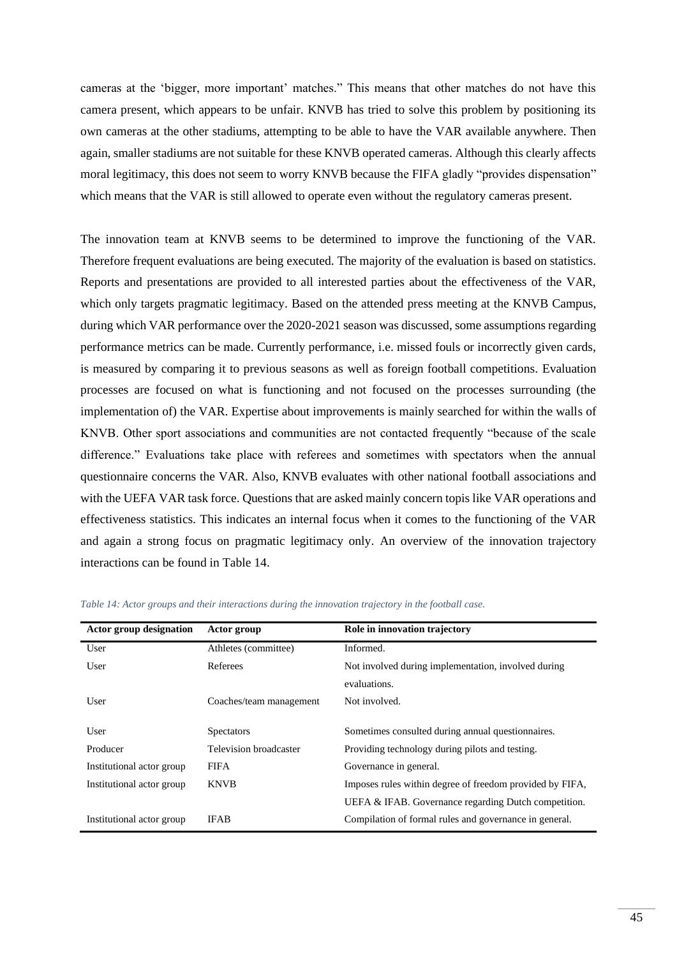cameras at the 'bigger, more important' matches." This means that other matches do not have this camera present, which appears to be unfair. KNVB has tried to solve this problem by positioning its own cameras at the other stadiums, attempting to be able to have the VAR available anywhere. Then again, smaller stadiums are not suitable for these KNVB operated cameras. Although this clearly affects moral legitimacy, this does not seem to worry KNVB because the FIFA gladly "provides dispensation" which means that the VAR is still allowed to operate even without the regulatory cameras present.

The innovation team at KNVB seems to be determined to improve the functioning of the VAR. Therefore frequent evaluations are being executed. The majority of the evaluation is based on statistics. Reports and presentations are provided to all interested parties about the effectiveness of the VAR, which only targets pragmatic legitimacy. Based on the attended press meeting at the KNVB Campus, during which VAR performance over the 2020-2021 season was discussed, some assumptions regarding performance metrics can be made. Currently performance, i.e. missed fouls or incorrectly given cards, is measured by comparing it to previous seasons as well as foreign football competitions. Evaluation processes are focused on what is functioning and not focused on the processes surrounding (the implementation of) the VAR. Expertise about improvements is mainly searched for within the walls of KNVB. Other sport associations and communities are not contacted frequently "because of the scale difference." Evaluations take place with referees and sometimes with spectators when the annual questionnaire concerns the VAR. Also, KNVB evaluates with other national football associations and with the UEFA VAR task force. Questions that are asked mainly concern topis like VAR operations and effectiveness statistics. This indicates an internal focus when it comes to the functioning of the VAR and again a strong focus on pragmatic legitimacy only. An overview of the innovation trajectory interactions can be found in [Table 14.](#page-44-0)

<span id="page-44-1"></span>

| <b>Actor group designation</b> | Actor group             | Role in innovation trajectory                            |
|--------------------------------|-------------------------|----------------------------------------------------------|
| User                           | Athletes (committee)    | Informed.                                                |
| User                           | Referees                | Not involved during implementation, involved during      |
|                                |                         | evaluations.                                             |
| User                           | Coaches/team management | Not involved.                                            |
|                                |                         |                                                          |
| User                           | <b>Spectators</b>       | Sometimes consulted during annual questionnaires.        |
| Producer                       | Television broadcaster  | Providing technology during pilots and testing.          |
| Institutional actor group      | <b>FIFA</b>             | Governance in general.                                   |
| Institutional actor group      | <b>KNVB</b>             | Imposes rules within degree of freedom provided by FIFA, |
|                                |                         | UEFA & IFAB. Governance regarding Dutch competition.     |
| Institutional actor group      | <b>IFAB</b>             | Compilation of formal rules and governance in general.   |

<span id="page-44-0"></span>*Table 14: Actor groups and their interactions during the innovation trajectory in the football case.*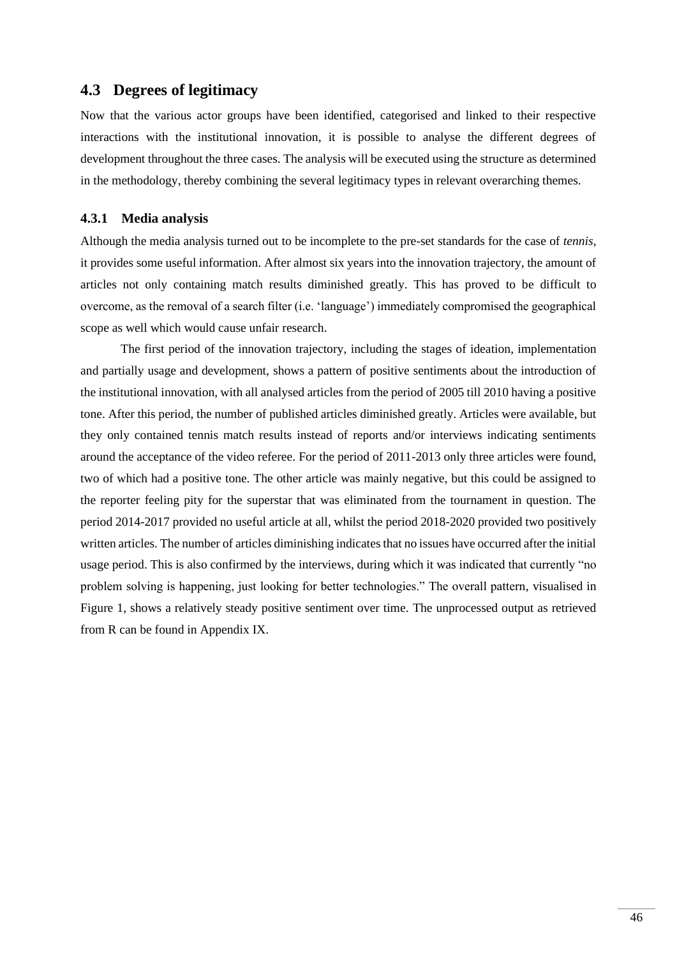# **4.3 Degrees of legitimacy**

Now that the various actor groups have been identified, categorised and linked to their respective interactions with the institutional innovation, it is possible to analyse the different degrees of development throughout the three cases. The analysis will be executed using the structure as determined in the methodology, thereby combining the several legitimacy types in relevant overarching themes.

#### <span id="page-45-0"></span>**4.3.1 Media analysis**

Although the media analysis turned out to be incomplete to the pre-set standards for the case of *tennis*, it provides some useful information. After almost six years into the innovation trajectory, the amount of articles not only containing match results diminished greatly. This has proved to be difficult to overcome, as the removal of a search filter (i.e. 'language') immediately compromised the geographical scope as well which would cause unfair research.

The first period of the innovation trajectory, including the stages of ideation, implementation and partially usage and development, shows a pattern of positive sentiments about the introduction of the institutional innovation, with all analysed articles from the period of 2005 till 2010 having a positive tone. After this period, the number of published articles diminished greatly. Articles were available, but they only contained tennis match results instead of reports and/or interviews indicating sentiments around the acceptance of the video referee. For the period of 2011-2013 only three articles were found, two of which had a positive tone. The other article was mainly negative, but this could be assigned to the reporter feeling pity for the superstar that was eliminated from the tournament in question. The period 2014-2017 provided no useful article at all, whilst the period 2018-2020 provided two positively written articles. The number of articles diminishing indicates that no issues have occurred after the initial usage period. This is also confirmed by the interviews, during which it was indicated that currently "no problem solving is happening, just looking for better technologies." The overall pattern, visualised in [Figure 1,](#page-46-0) shows a relatively steady positive sentiment over time. The unprocessed output as retrieved from R can be found in Appendix IX.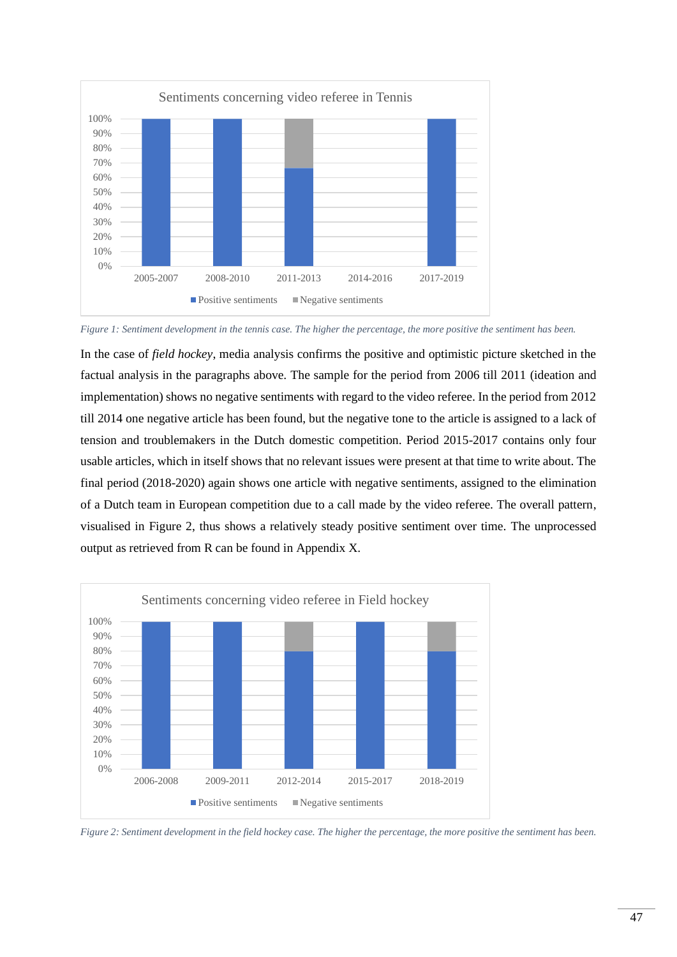

<span id="page-46-0"></span>*Figure 1: Sentiment development in the tennis case. The higher the percentage, the more positive the sentiment has been.*

In the case of *field hockey*, media analysis confirms the positive and optimistic picture sketched in the factual analysis in the paragraphs above. The sample for the period from 2006 till 2011 (ideation and implementation) shows no negative sentiments with regard to the video referee. In the period from 2012 till 2014 one negative article has been found, but the negative tone to the article is assigned to a lack of tension and troublemakers in the Dutch domestic competition. Period 2015-2017 contains only four usable articles, which in itself shows that no relevant issues were present at that time to write about. The final period (2018-2020) again shows one article with negative sentiments, assigned to the elimination of a Dutch team in European competition due to a call made by the video referee. The overall pattern, visualised in [Figure 2,](#page-46-1) thus shows a relatively steady positive sentiment over time. The unprocessed output as retrieved from R can be found in Appendix X.



<span id="page-46-1"></span>*Figure 2: Sentiment development in the field hockey case. The higher the percentage, the more positive the sentiment has been.*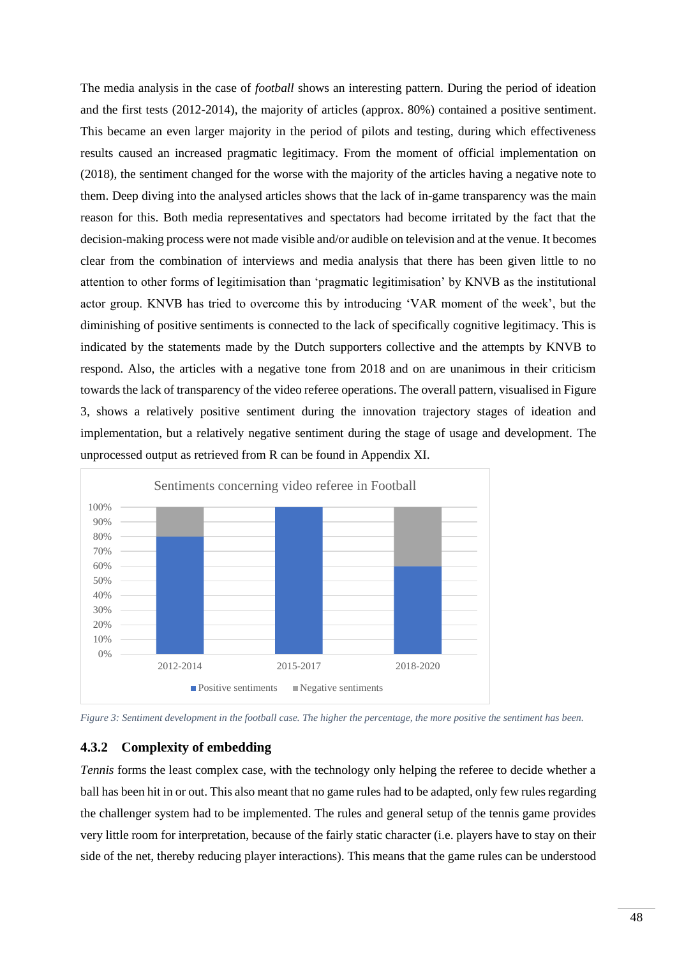The media analysis in the case of *football* shows an interesting pattern. During the period of ideation and the first tests (2012-2014), the majority of articles (approx. 80%) contained a positive sentiment. This became an even larger majority in the period of pilots and testing, during which effectiveness results caused an increased pragmatic legitimacy. From the moment of official implementation on (2018), the sentiment changed for the worse with the majority of the articles having a negative note to them. Deep diving into the analysed articles shows that the lack of in-game transparency was the main reason for this. Both media representatives and spectators had become irritated by the fact that the decision-making process were not made visible and/or audible on television and at the venue. It becomes clear from the combination of interviews and media analysis that there has been given little to no attention to other forms of legitimisation than 'pragmatic legitimisation' by KNVB as the institutional actor group. KNVB has tried to overcome this by introducing 'VAR moment of the week', but the diminishing of positive sentiments is connected to the lack of specifically cognitive legitimacy. This is indicated by the statements made by the Dutch supporters collective and the attempts by KNVB to respond. Also, the articles with a negative tone from 2018 and on are unanimous in their criticism towards the lack of transparency of the video referee operations. The overall pattern, visualised i[n Figure](#page-47-0)  [3,](#page-47-0) shows a relatively positive sentiment during the innovation trajectory stages of ideation and implementation, but a relatively negative sentiment during the stage of usage and development. The unprocessed output as retrieved from R can be found in Appendix XI.



<span id="page-47-0"></span>*Figure 3: Sentiment development in the football case. The higher the percentage, the more positive the sentiment has been.*

## <span id="page-47-1"></span>**4.3.2 Complexity of embedding**

*Tennis* forms the least complex case, with the technology only helping the referee to decide whether a ball has been hit in or out. This also meant that no game rules had to be adapted, only few rules regarding the challenger system had to be implemented. The rules and general setup of the tennis game provides very little room for interpretation, because of the fairly static character (i.e. players have to stay on their side of the net, thereby reducing player interactions). This means that the game rules can be understood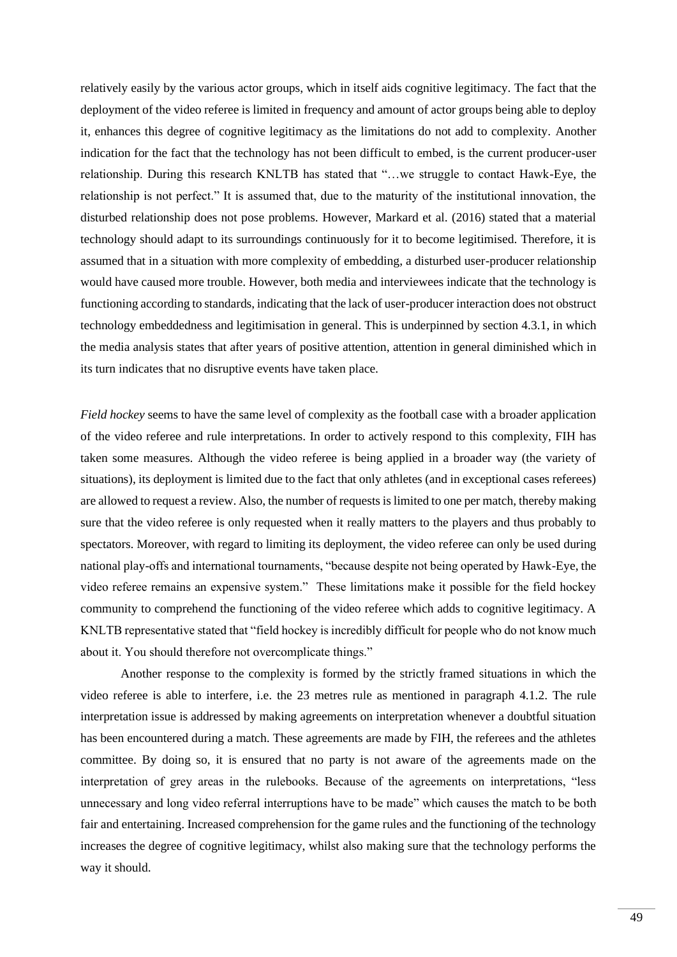relatively easily by the various actor groups, which in itself aids cognitive legitimacy. The fact that the deployment of the video referee is limited in frequency and amount of actor groups being able to deploy it, enhances this degree of cognitive legitimacy as the limitations do not add to complexity. Another indication for the fact that the technology has not been difficult to embed, is the current producer-user relationship. During this research KNLTB has stated that "…we struggle to contact Hawk-Eye, the relationship is not perfect." It is assumed that, due to the maturity of the institutional innovation, the disturbed relationship does not pose problems. However, Markard et al. (2016) stated that a material technology should adapt to its surroundings continuously for it to become legitimised. Therefore, it is assumed that in a situation with more complexity of embedding, a disturbed user-producer relationship would have caused more trouble. However, both media and interviewees indicate that the technology is functioning according to standards, indicating that the lack of user-producer interaction does not obstruct technology embeddedness and legitimisation in general. This is underpinned by section [4.3.1,](#page-45-0) in which the media analysis states that after years of positive attention, attention in general diminished which in its turn indicates that no disruptive events have taken place.

*Field hockey* seems to have the same level of complexity as the football case with a broader application of the video referee and rule interpretations. In order to actively respond to this complexity, FIH has taken some measures. Although the video referee is being applied in a broader way (the variety of situations), its deployment is limited due to the fact that only athletes (and in exceptional cases referees) are allowed to request a review. Also, the number of requests is limited to one per match, thereby making sure that the video referee is only requested when it really matters to the players and thus probably to spectators. Moreover, with regard to limiting its deployment, the video referee can only be used during national play-offs and international tournaments, "because despite not being operated by Hawk-Eye, the video referee remains an expensive system." These limitations make it possible for the field hockey community to comprehend the functioning of the video referee which adds to cognitive legitimacy. A KNLTB representative stated that "field hockey is incredibly difficult for people who do not know much about it. You should therefore not overcomplicate things."

Another response to the complexity is formed by the strictly framed situations in which the video referee is able to interfere, i.e. the 23 metres rule as mentioned in paragraph [4.1.2.](#page-31-0) The rule interpretation issue is addressed by making agreements on interpretation whenever a doubtful situation has been encountered during a match. These agreements are made by FIH, the referees and the athletes committee. By doing so, it is ensured that no party is not aware of the agreements made on the interpretation of grey areas in the rulebooks. Because of the agreements on interpretations, "less unnecessary and long video referral interruptions have to be made" which causes the match to be both fair and entertaining. Increased comprehension for the game rules and the functioning of the technology increases the degree of cognitive legitimacy, whilst also making sure that the technology performs the way it should.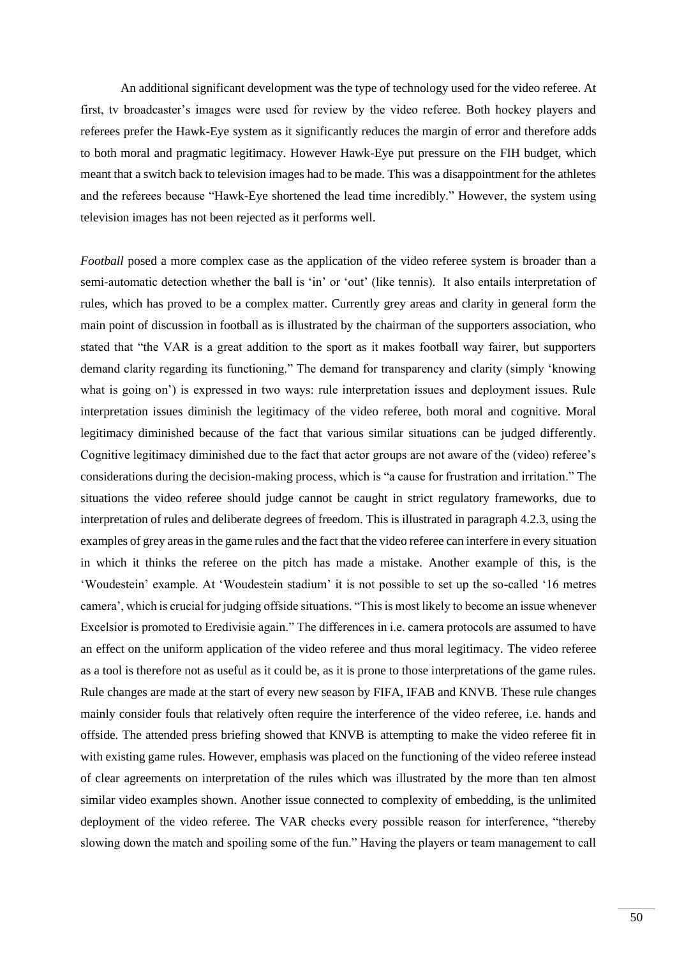An additional significant development was the type of technology used for the video referee. At first, tv broadcaster's images were used for review by the video referee. Both hockey players and referees prefer the Hawk-Eye system as it significantly reduces the margin of error and therefore adds to both moral and pragmatic legitimacy. However Hawk-Eye put pressure on the FIH budget, which meant that a switch back to television images had to be made. This was a disappointment for the athletes and the referees because "Hawk-Eye shortened the lead time incredibly." However, the system using television images has not been rejected as it performs well.

*Football* posed a more complex case as the application of the video referee system is broader than a semi-automatic detection whether the ball is 'in' or 'out' (like tennis). It also entails interpretation of rules, which has proved to be a complex matter. Currently grey areas and clarity in general form the main point of discussion in football as is illustrated by the chairman of the supporters association, who stated that "the VAR is a great addition to the sport as it makes football way fairer, but supporters demand clarity regarding its functioning." The demand for transparency and clarity (simply 'knowing what is going on') is expressed in two ways: rule interpretation issues and deployment issues. Rule interpretation issues diminish the legitimacy of the video referee, both moral and cognitive. Moral legitimacy diminished because of the fact that various similar situations can be judged differently. Cognitive legitimacy diminished due to the fact that actor groups are not aware of the (video) referee's considerations during the decision-making process, which is "a cause for frustration and irritation." The situations the video referee should judge cannot be caught in strict regulatory frameworks, due to interpretation of rules and deliberate degrees of freedom. This is illustrated in paragrap[h 4.2.3,](#page-41-1) using the examples of grey areas in the game rules and the fact that the video referee can interfere in every situation in which it thinks the referee on the pitch has made a mistake. Another example of this, is the 'Woudestein' example. At 'Woudestein stadium' it is not possible to set up the so-called '16 metres camera', which is crucial for judging offside situations. "This is most likely to become an issue whenever Excelsior is promoted to Eredivisie again." The differences in i.e. camera protocols are assumed to have an effect on the uniform application of the video referee and thus moral legitimacy. The video referee as a tool is therefore not as useful as it could be, as it is prone to those interpretations of the game rules. Rule changes are made at the start of every new season by FIFA, IFAB and KNVB. These rule changes mainly consider fouls that relatively often require the interference of the video referee, i.e. hands and offside. The attended press briefing showed that KNVB is attempting to make the video referee fit in with existing game rules. However, emphasis was placed on the functioning of the video referee instead of clear agreements on interpretation of the rules which was illustrated by the more than ten almost similar video examples shown. Another issue connected to complexity of embedding, is the unlimited deployment of the video referee. The VAR checks every possible reason for interference, "thereby slowing down the match and spoiling some of the fun." Having the players or team management to call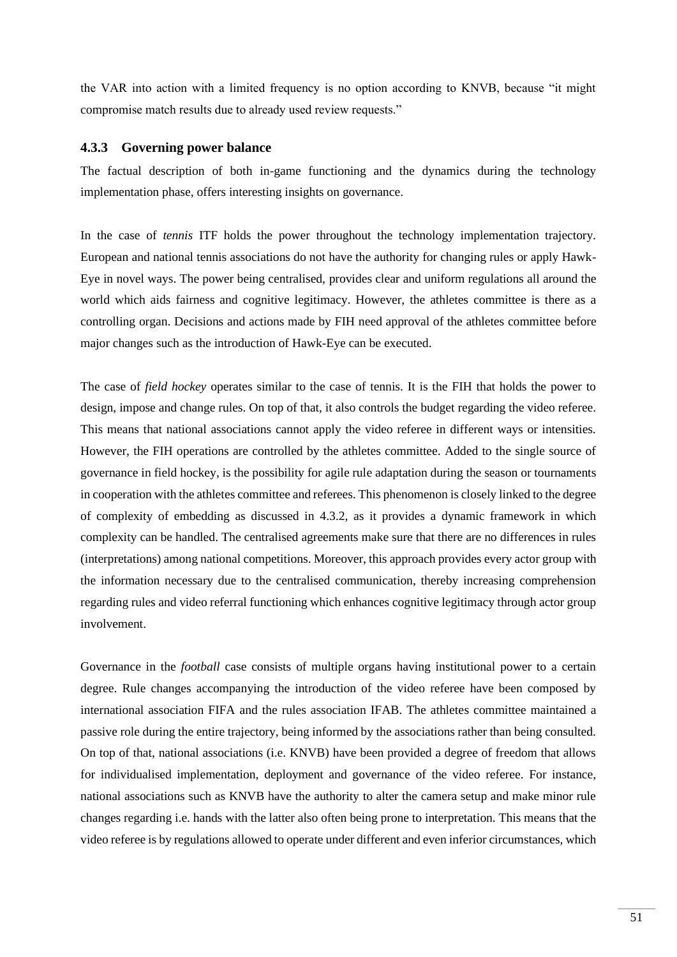the VAR into action with a limited frequency is no option according to KNVB, because "it might compromise match results due to already used review requests."

#### <span id="page-50-0"></span>**4.3.3 Governing power balance**

The factual description of both in-game functioning and the dynamics during the technology implementation phase, offers interesting insights on governance.

In the case of *tennis* ITF holds the power throughout the technology implementation trajectory. European and national tennis associations do not have the authority for changing rules or apply Hawk-Eye in novel ways. The power being centralised, provides clear and uniform regulations all around the world which aids fairness and cognitive legitimacy. However, the athletes committee is there as a controlling organ. Decisions and actions made by FIH need approval of the athletes committee before major changes such as the introduction of Hawk-Eye can be executed.

The case of *field hockey* operates similar to the case of tennis. It is the FIH that holds the power to design, impose and change rules. On top of that, it also controls the budget regarding the video referee. This means that national associations cannot apply the video referee in different ways or intensities. However, the FIH operations are controlled by the athletes committee. Added to the single source of governance in field hockey, is the possibility for agile rule adaptation during the season or tournaments in cooperation with the athletes committee and referees. This phenomenon is closely linked to the degree of complexity of embedding as discussed in [4.3.2,](#page-47-1) as it provides a dynamic framework in which complexity can be handled. The centralised agreements make sure that there are no differences in rules (interpretations) among national competitions. Moreover, this approach provides every actor group with the information necessary due to the centralised communication, thereby increasing comprehension regarding rules and video referral functioning which enhances cognitive legitimacy through actor group involvement.

Governance in the *football* case consists of multiple organs having institutional power to a certain degree. Rule changes accompanying the introduction of the video referee have been composed by international association FIFA and the rules association IFAB. The athletes committee maintained a passive role during the entire trajectory, being informed by the associations rather than being consulted. On top of that, national associations (i.e. KNVB) have been provided a degree of freedom that allows for individualised implementation, deployment and governance of the video referee. For instance, national associations such as KNVB have the authority to alter the camera setup and make minor rule changes regarding i.e. hands with the latter also often being prone to interpretation. This means that the video referee is by regulations allowed to operate under different and even inferior circumstances, which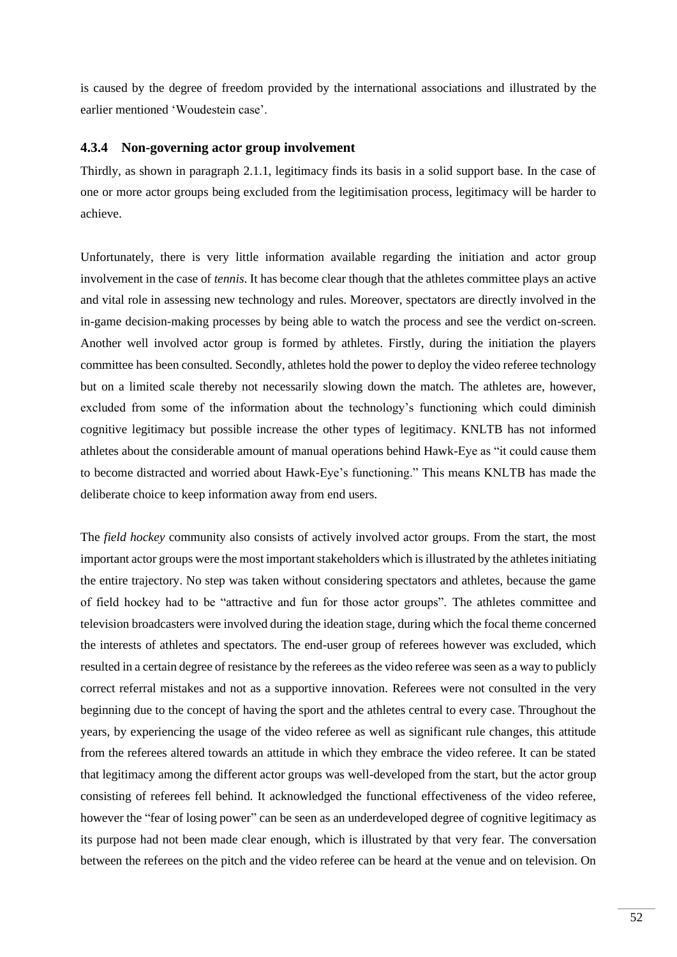is caused by the degree of freedom provided by the international associations and illustrated by the earlier mentioned 'Woudestein case'.

#### **4.3.4 Non-governing actor group involvement**

Thirdly, as shown in paragraph [2.1.1,](#page-12-0) legitimacy finds its basis in a solid support base. In the case of one or more actor groups being excluded from the legitimisation process, legitimacy will be harder to achieve.

Unfortunately, there is very little information available regarding the initiation and actor group involvement in the case of *tennis*. It has become clear though that the athletes committee plays an active and vital role in assessing new technology and rules. Moreover, spectators are directly involved in the in-game decision-making processes by being able to watch the process and see the verdict on-screen. Another well involved actor group is formed by athletes. Firstly, during the initiation the players committee has been consulted. Secondly, athletes hold the power to deploy the video referee technology but on a limited scale thereby not necessarily slowing down the match. The athletes are, however, excluded from some of the information about the technology's functioning which could diminish cognitive legitimacy but possible increase the other types of legitimacy. KNLTB has not informed athletes about the considerable amount of manual operations behind Hawk-Eye as "it could cause them to become distracted and worried about Hawk-Eye's functioning." This means KNLTB has made the deliberate choice to keep information away from end users.

The *field hockey* community also consists of actively involved actor groups. From the start, the most important actor groups were the most important stakeholders which is illustrated by the athletes initiating the entire trajectory. No step was taken without considering spectators and athletes, because the game of field hockey had to be "attractive and fun for those actor groups". The athletes committee and television broadcasters were involved during the ideation stage, during which the focal theme concerned the interests of athletes and spectators. The end-user group of referees however was excluded, which resulted in a certain degree of resistance by the referees as the video referee was seen as a way to publicly correct referral mistakes and not as a supportive innovation. Referees were not consulted in the very beginning due to the concept of having the sport and the athletes central to every case. Throughout the years, by experiencing the usage of the video referee as well as significant rule changes, this attitude from the referees altered towards an attitude in which they embrace the video referee. It can be stated that legitimacy among the different actor groups was well-developed from the start, but the actor group consisting of referees fell behind. It acknowledged the functional effectiveness of the video referee, however the "fear of losing power" can be seen as an underdeveloped degree of cognitive legitimacy as its purpose had not been made clear enough, which is illustrated by that very fear. The conversation between the referees on the pitch and the video referee can be heard at the venue and on television. On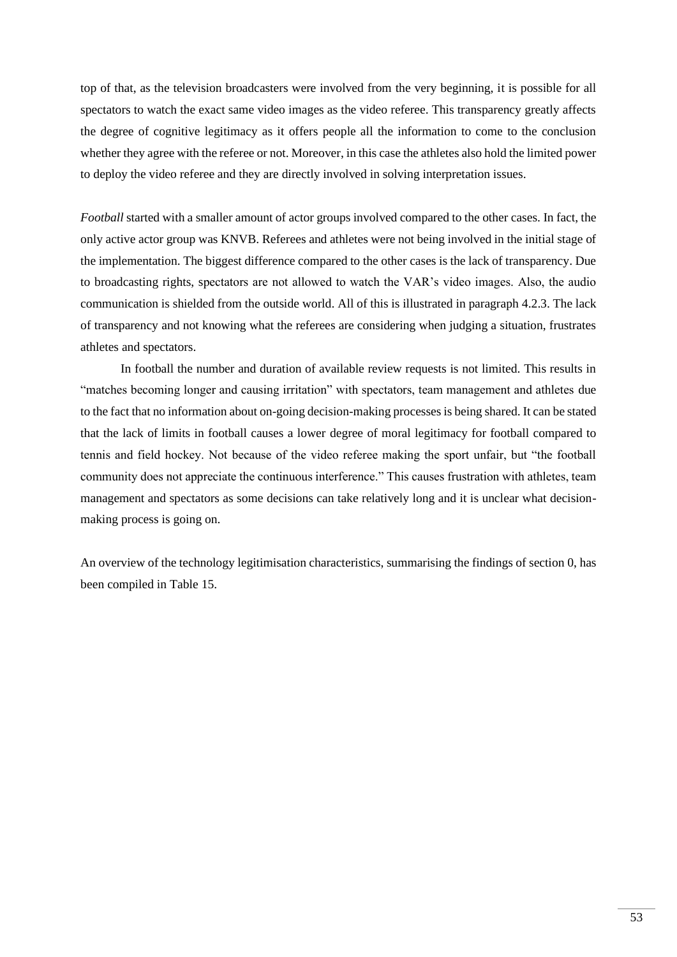top of that, as the television broadcasters were involved from the very beginning, it is possible for all spectators to watch the exact same video images as the video referee. This transparency greatly affects the degree of cognitive legitimacy as it offers people all the information to come to the conclusion whether they agree with the referee or not. Moreover, in this case the athletes also hold the limited power to deploy the video referee and they are directly involved in solving interpretation issues.

*Football* started with a smaller amount of actor groups involved compared to the other cases. In fact, the only active actor group was KNVB. Referees and athletes were not being involved in the initial stage of the implementation. The biggest difference compared to the other cases is the lack of transparency. Due to broadcasting rights, spectators are not allowed to watch the VAR's video images. Also, the audio communication is shielded from the outside world. All of this is illustrated in paragraph [4.2.3.](#page-41-1) The lack of transparency and not knowing what the referees are considering when judging a situation, frustrates athletes and spectators.

In football the number and duration of available review requests is not limited. This results in "matches becoming longer and causing irritation" with spectators, team management and athletes due to the fact that no information about on-going decision-making processes is being shared. It can be stated that the lack of limits in football causes a lower degree of moral legitimacy for football compared to tennis and field hockey. Not because of the video referee making the sport unfair, but "the football community does not appreciate the continuous interference." This causes frustration with athletes, team management and spectators as some decisions can take relatively long and it is unclear what decisionmaking process is going on.

An overview of the technology legitimisation characteristics, summarising the findings of section [0,](#page-44-1) has been compiled in [Table 15.](#page-53-0)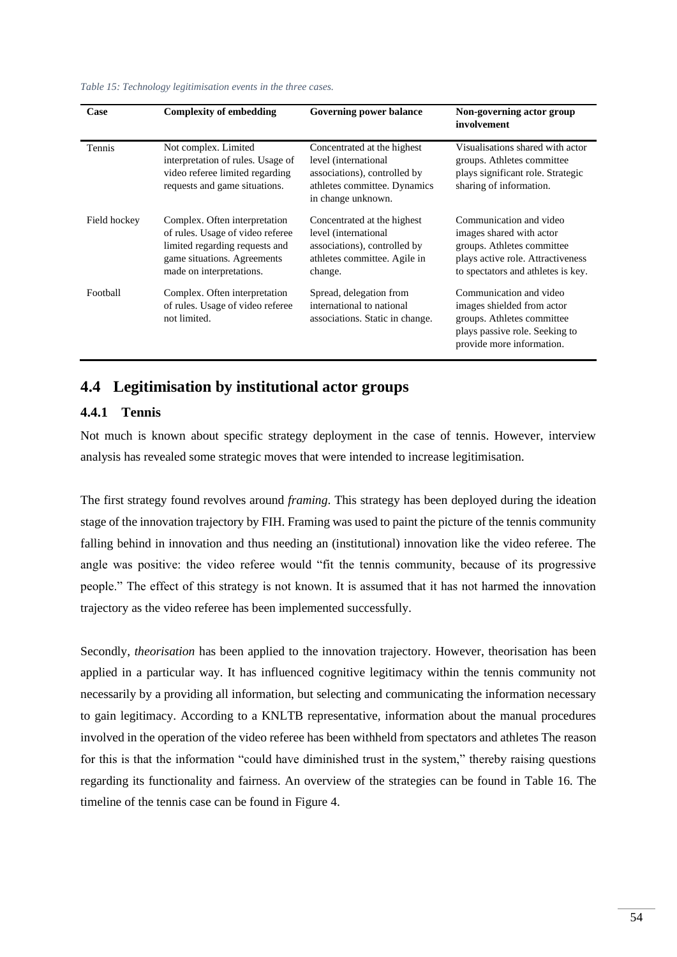<span id="page-53-0"></span>*Table 15: Technology legitimisation events in the three cases.*

| Case         | <b>Complexity of embedding</b>                                                                                                                                 | Governing power balance                                                                                                                   | Non-governing actor group<br>involvement                                                                                                                     |
|--------------|----------------------------------------------------------------------------------------------------------------------------------------------------------------|-------------------------------------------------------------------------------------------------------------------------------------------|--------------------------------------------------------------------------------------------------------------------------------------------------------------|
| Tennis       | Not complex. Limited<br>interpretation of rules. Usage of<br>video referee limited regarding<br>requests and game situations.                                  | Concentrated at the highest<br>level (international<br>associations), controlled by<br>athletes committee. Dynamics<br>in change unknown. | Visualisations shared with actor<br>groups. Athletes committee<br>plays significant role. Strategic<br>sharing of information.                               |
| Field hockey | Complex. Often interpretation<br>of rules. Usage of video referee<br>limited regarding requests and<br>game situations. Agreements<br>made on interpretations. | Concentrated at the highest<br>level (international<br>associations), controlled by<br>athletes committee. Agile in<br>change.            | Communication and video<br>images shared with actor<br>groups. Athletes committee<br>plays active role. Attractiveness<br>to spectators and athletes is key. |
| Football     | Complex. Often interpretation<br>of rules. Usage of video referee<br>not limited.                                                                              | Spread, delegation from<br>international to national<br>associations. Static in change.                                                   | Communication and video<br>images shielded from actor<br>groups. Athletes committee<br>plays passive role. Seeking to<br>provide more information.           |

# **4.4 Legitimisation by institutional actor groups**

#### **4.4.1 Tennis**

Not much is known about specific strategy deployment in the case of tennis. However, interview analysis has revealed some strategic moves that were intended to increase legitimisation.

The first strategy found revolves around *framing*. This strategy has been deployed during the ideation stage of the innovation trajectory by FIH. Framing was used to paint the picture of the tennis community falling behind in innovation and thus needing an (institutional) innovation like the video referee. The angle was positive: the video referee would "fit the tennis community, because of its progressive people." The effect of this strategy is not known. It is assumed that it has not harmed the innovation trajectory as the video referee has been implemented successfully.

Secondly, *theorisation* has been applied to the innovation trajectory. However, theorisation has been applied in a particular way. It has influenced cognitive legitimacy within the tennis community not necessarily by a providing all information, but selecting and communicating the information necessary to gain legitimacy. According to a KNLTB representative, information about the manual procedures involved in the operation of the video referee has been withheld from spectators and athletes The reason for this is that the information "could have diminished trust in the system," thereby raising questions regarding its functionality and fairness. An overview of the strategies can be found in [Table 16.](#page-54-0) The timeline of the tennis case can be found in [Figure 4.](#page-54-1)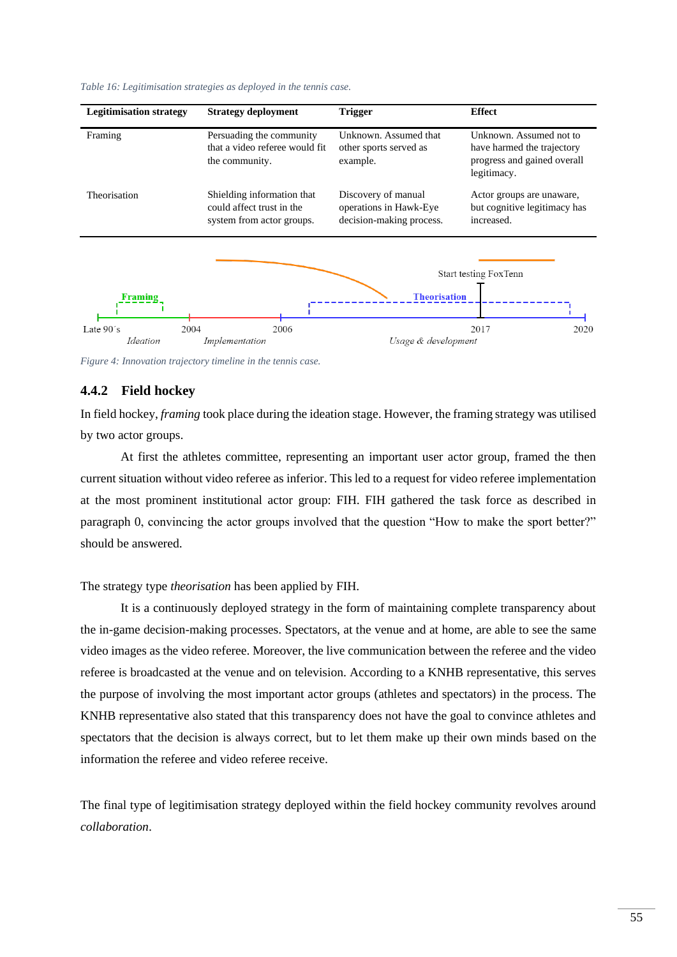

<span id="page-54-0"></span>*Table 16: Legitimisation strategies as deployed in the tennis case.*

<span id="page-54-1"></span>*Figure 4: Innovation trajectory timeline in the tennis case.*

#### **4.4.2 Field hockey**

In field hockey, *framing* took place during the ideation stage. However, the framing strategy was utilised by two actor groups.

At first the athletes committee, representing an important user actor group, framed the then current situation without video referee as inferior. This led to a request for video referee implementation at the most prominent institutional actor group: FIH. FIH gathered the task force as described in paragraph [0,](#page-38-1) convincing the actor groups involved that the question "How to make the sport better?" should be answered.

#### The strategy type *theorisation* has been applied by FIH.

It is a continuously deployed strategy in the form of maintaining complete transparency about the in-game decision-making processes. Spectators, at the venue and at home, are able to see the same video images as the video referee. Moreover, the live communication between the referee and the video referee is broadcasted at the venue and on television. According to a KNHB representative, this serves the purpose of involving the most important actor groups (athletes and spectators) in the process. The KNHB representative also stated that this transparency does not have the goal to convince athletes and spectators that the decision is always correct, but to let them make up their own minds based on the information the referee and video referee receive.

The final type of legitimisation strategy deployed within the field hockey community revolves around *collaboration*.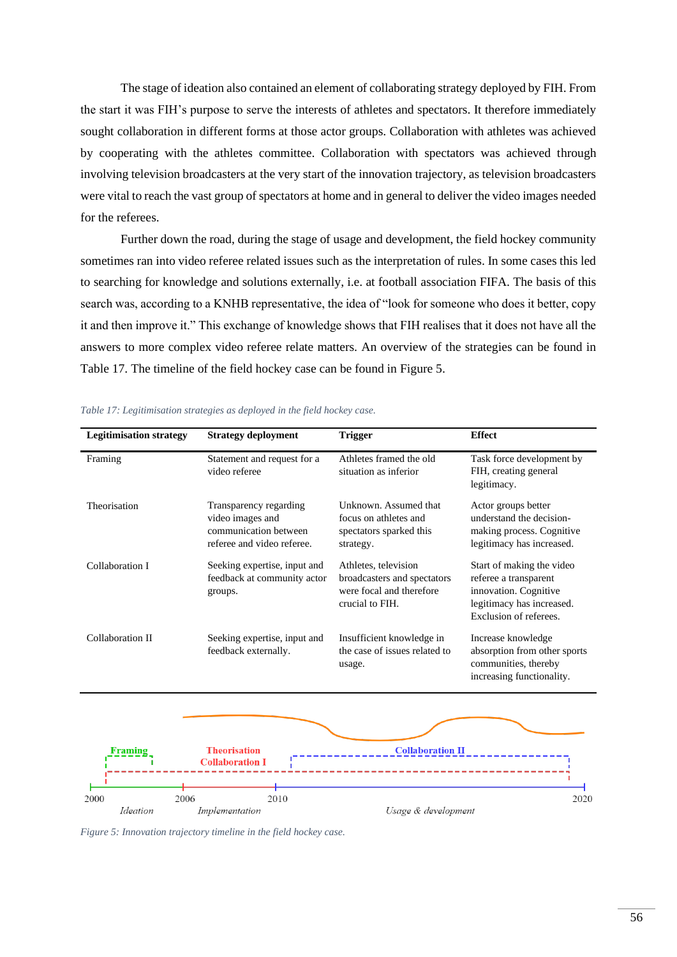The stage of ideation also contained an element of collaborating strategy deployed by FIH. From the start it was FIH's purpose to serve the interests of athletes and spectators. It therefore immediately sought collaboration in different forms at those actor groups. Collaboration with athletes was achieved by cooperating with the athletes committee. Collaboration with spectators was achieved through involving television broadcasters at the very start of the innovation trajectory, as television broadcasters were vital to reach the vast group of spectators at home and in general to deliver the video images needed for the referees.

Further down the road, during the stage of usage and development, the field hockey community sometimes ran into video referee related issues such as the interpretation of rules. In some cases this led to searching for knowledge and solutions externally, i.e. at football association FIFA. The basis of this search was, according to a KNHB representative, the idea of "look for someone who does it better, copy it and then improve it." This exchange of knowledge shows that FIH realises that it does not have all the answers to more complex video referee relate matters. An overview of the strategies can be found in [Table 17.](#page-55-0) The timeline of the field hockey case can be found in [Figure 5.](#page-55-1)

| <b>Legitimisation strategy</b> | <b>Strategy deployment</b>                                                                        | <b>Trigger</b>                                                                                     | <b>Effect</b>                                                                                                                      |
|--------------------------------|---------------------------------------------------------------------------------------------------|----------------------------------------------------------------------------------------------------|------------------------------------------------------------------------------------------------------------------------------------|
| Framing                        | Statement and request for a<br>video referee                                                      | Athletes framed the old<br>situation as inferior                                                   | Task force development by<br>FIH, creating general<br>legitimacy.                                                                  |
| Theorisation                   | Transparency regarding<br>video images and<br>communication between<br>referee and video referee. | Unknown. Assumed that<br>focus on athletes and<br>spectators sparked this<br>strategy.             | Actor groups better<br>understand the decision-<br>making process. Cognitive<br>legitimacy has increased.                          |
| Collaboration I                | Seeking expertise, input and<br>feedback at community actor<br>groups.                            | Athletes, television<br>broadcasters and spectators<br>were focal and therefore<br>crucial to FIH. | Start of making the video<br>referee a transparent<br>innovation. Cognitive<br>legitimacy has increased.<br>Exclusion of referees. |
| Collaboration II               | Seeking expertise, input and<br>feedback externally.                                              | Insufficient knowledge in<br>the case of issues related to<br>usage.                               | Increase knowledge<br>absorption from other sports<br>communities, thereby<br>increasing functionality.                            |
|                                |                                                                                                   |                                                                                                    |                                                                                                                                    |
| Framins                        | <b>Theorisation</b><br><b>Collaboration I</b>                                                     | <b>Collaboration II</b>                                                                            |                                                                                                                                    |
| 2006<br>2000<br>Ideation       | 2010<br>Implementation                                                                            | Usage & development                                                                                | 2020                                                                                                                               |

<span id="page-55-0"></span>*Table 17: Legitimisation strategies as deployed in the field hockey case.*

<span id="page-55-1"></span>*Figure 5: Innovation trajectory timeline in the field hockey case.*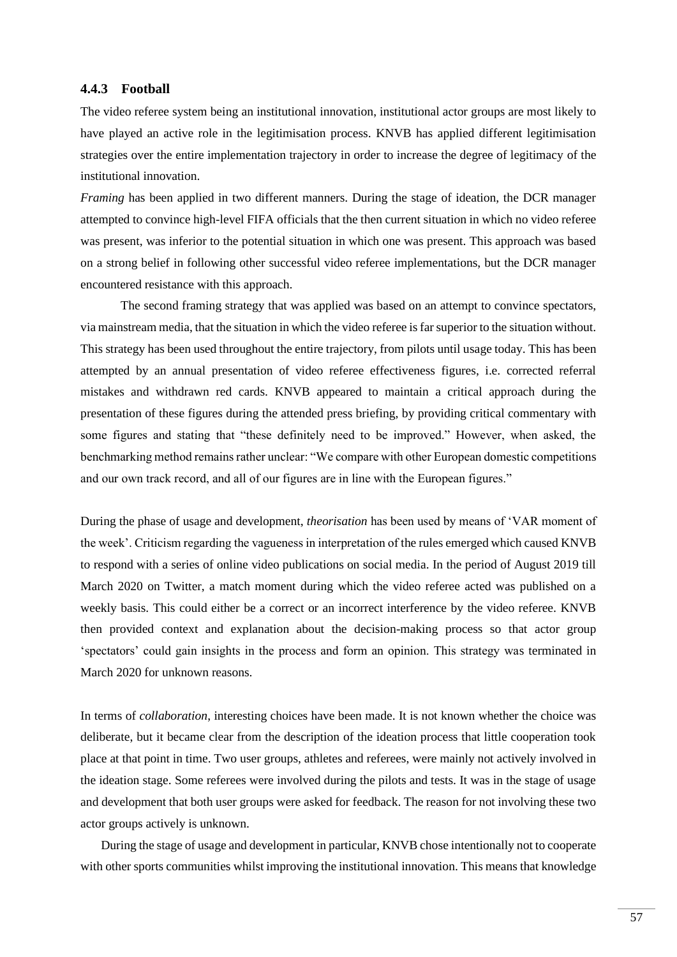#### **4.4.3 Football**

The video referee system being an institutional innovation, institutional actor groups are most likely to have played an active role in the legitimisation process. KNVB has applied different legitimisation strategies over the entire implementation trajectory in order to increase the degree of legitimacy of the institutional innovation.

*Framing* has been applied in two different manners. During the stage of ideation, the DCR manager attempted to convince high-level FIFA officials that the then current situation in which no video referee was present, was inferior to the potential situation in which one was present. This approach was based on a strong belief in following other successful video referee implementations, but the DCR manager encountered resistance with this approach.

The second framing strategy that was applied was based on an attempt to convince spectators, via mainstream media, that the situation in which the video referee is far superior to the situation without. This strategy has been used throughout the entire trajectory, from pilots until usage today. This has been attempted by an annual presentation of video referee effectiveness figures, i.e. corrected referral mistakes and withdrawn red cards. KNVB appeared to maintain a critical approach during the presentation of these figures during the attended press briefing, by providing critical commentary with some figures and stating that "these definitely need to be improved." However, when asked, the benchmarking method remains rather unclear: "We compare with other European domestic competitions and our own track record, and all of our figures are in line with the European figures."

During the phase of usage and development, *theorisation* has been used by means of 'VAR moment of the week'. Criticism regarding the vagueness in interpretation of the rules emerged which caused KNVB to respond with a series of online video publications on social media. In the period of August 2019 till March 2020 on Twitter, a match moment during which the video referee acted was published on a weekly basis. This could either be a correct or an incorrect interference by the video referee. KNVB then provided context and explanation about the decision-making process so that actor group 'spectators' could gain insights in the process and form an opinion. This strategy was terminated in March 2020 for unknown reasons.

In terms of *collaboration*, interesting choices have been made. It is not known whether the choice was deliberate, but it became clear from the description of the ideation process that little cooperation took place at that point in time. Two user groups, athletes and referees, were mainly not actively involved in the ideation stage. Some referees were involved during the pilots and tests. It was in the stage of usage and development that both user groups were asked for feedback. The reason for not involving these two actor groups actively is unknown.

During the stage of usage and development in particular, KNVB chose intentionally not to cooperate with other sports communities whilst improving the institutional innovation. This means that knowledge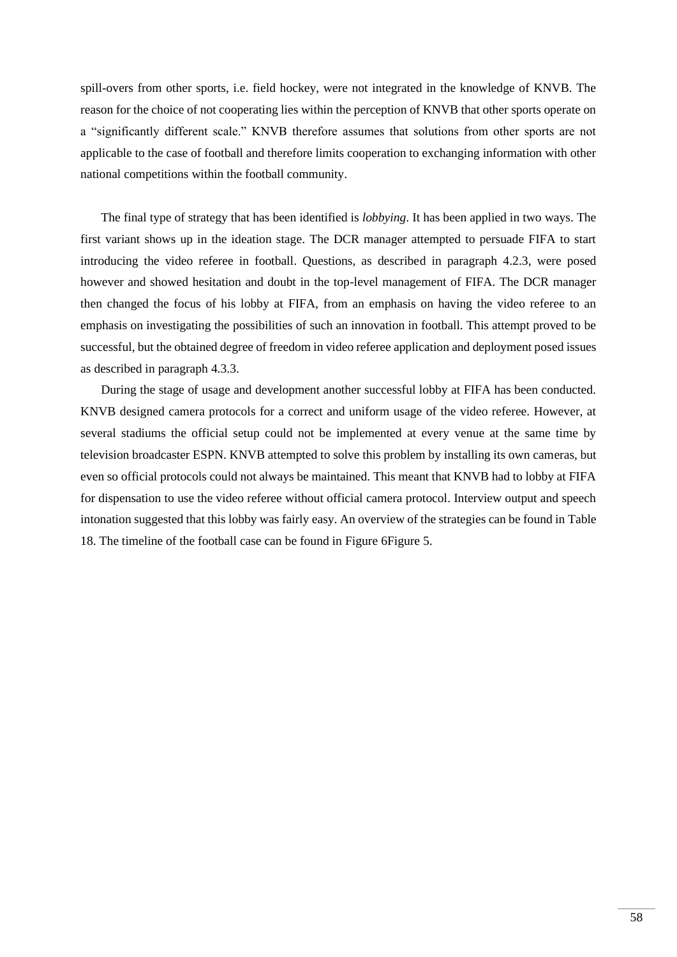spill-overs from other sports, i.e. field hockey, were not integrated in the knowledge of KNVB. The reason for the choice of not cooperating lies within the perception of KNVB that other sports operate on a "significantly different scale." KNVB therefore assumes that solutions from other sports are not applicable to the case of football and therefore limits cooperation to exchanging information with other national competitions within the football community.

The final type of strategy that has been identified is *lobbying*. It has been applied in two ways. The first variant shows up in the ideation stage. The DCR manager attempted to persuade FIFA to start introducing the video referee in football. Questions, as described in paragraph [4.2.3,](#page-41-1) were posed however and showed hesitation and doubt in the top-level management of FIFA. The DCR manager then changed the focus of his lobby at FIFA, from an emphasis on having the video referee to an emphasis on investigating the possibilities of such an innovation in football. This attempt proved to be successful, but the obtained degree of freedom in video referee application and deployment posed issues as described in paragraph [4.3.3.](#page-50-0)

During the stage of usage and development another successful lobby at FIFA has been conducted. KNVB designed camera protocols for a correct and uniform usage of the video referee. However, at several stadiums the official setup could not be implemented at every venue at the same time by television broadcaster ESPN. KNVB attempted to solve this problem by installing its own cameras, but even so official protocols could not always be maintained. This meant that KNVB had to lobby at FIFA for dispensation to use the video referee without official camera protocol. Interview output and speech intonation suggested that this lobby was fairly easy. An overview of the strategies can be found i[n Table](#page-58-0)  [18.](#page-58-0) The timeline of the football case can be found in [Figure 6](#page-58-1)[Figure 5.](#page-55-1)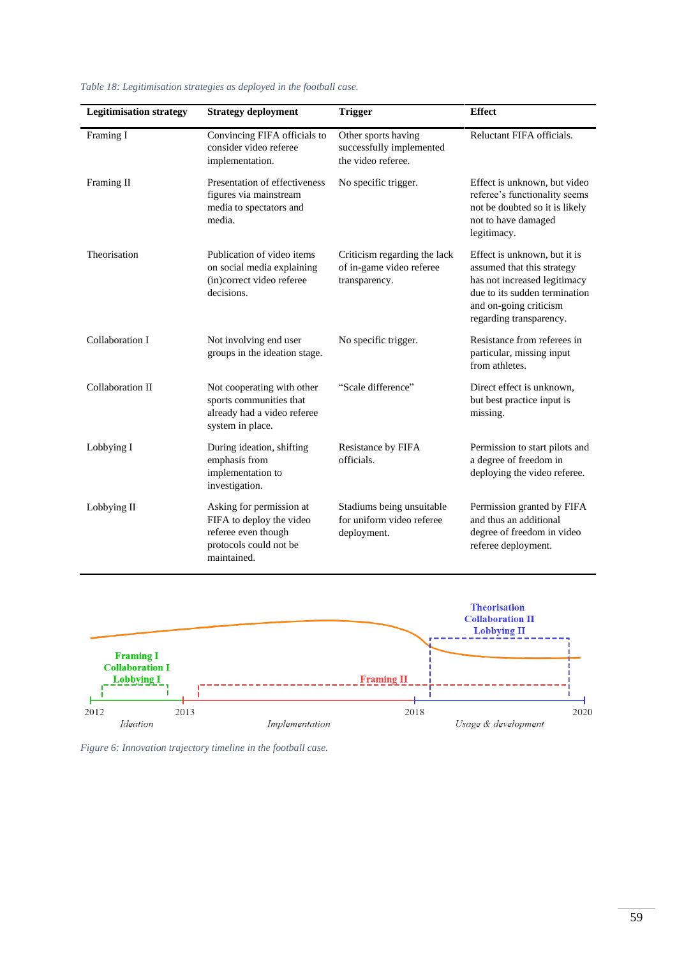| <b>Legitimisation strategy</b> | <b>Strategy deployment</b>                                                                                           | <b>Trigger</b>                                                            | <b>Effect</b>                                                                                                                                                                    |
|--------------------------------|----------------------------------------------------------------------------------------------------------------------|---------------------------------------------------------------------------|----------------------------------------------------------------------------------------------------------------------------------------------------------------------------------|
| Framing I                      | Convincing FIFA officials to<br>consider video referee<br>implementation.                                            | Other sports having<br>successfully implemented<br>the video referee.     | Reluctant FIFA officials.                                                                                                                                                        |
| Framing II                     | Presentation of effectiveness<br>figures via mainstream<br>media to spectators and<br>media.                         | No specific trigger.                                                      | Effect is unknown, but video<br>referee's functionality seems<br>not be doubted so it is likely<br>not to have damaged<br>legitimacy.                                            |
| Theorisation                   | Publication of video items<br>on social media explaining<br>(in)correct video referee<br>decisions.                  | Criticism regarding the lack<br>of in-game video referee<br>transparency. | Effect is unknown, but it is<br>assumed that this strategy<br>has not increased legitimacy<br>due to its sudden termination<br>and on-going criticism<br>regarding transparency. |
| Collaboration I                | Not involving end user<br>groups in the ideation stage.                                                              | No specific trigger.                                                      | Resistance from referees in<br>particular, missing input<br>from athletes.                                                                                                       |
| Collaboration II               | Not cooperating with other<br>sports communities that<br>already had a video referee<br>system in place.             | "Scale difference"                                                        | Direct effect is unknown,<br>but best practice input is<br>missing.                                                                                                              |
| Lobbying I                     | During ideation, shifting<br>emphasis from<br>implementation to<br>investigation.                                    | Resistance by FIFA<br>officials.                                          | Permission to start pilots and<br>a degree of freedom in<br>deploying the video referee.                                                                                         |
| Lobbying II                    | Asking for permission at<br>FIFA to deploy the video<br>referee even though<br>protocols could not be<br>maintained. | Stadiums being unsuitable<br>for uniform video referee<br>deployment.     | Permission granted by FIFA<br>and thus an additional<br>degree of freedom in video<br>referee deployment.                                                                        |

<span id="page-58-0"></span>*Table 18: Legitimisation strategies as deployed in the football case.*



<span id="page-58-1"></span>*Figure 6: Innovation trajectory timeline in the football case.*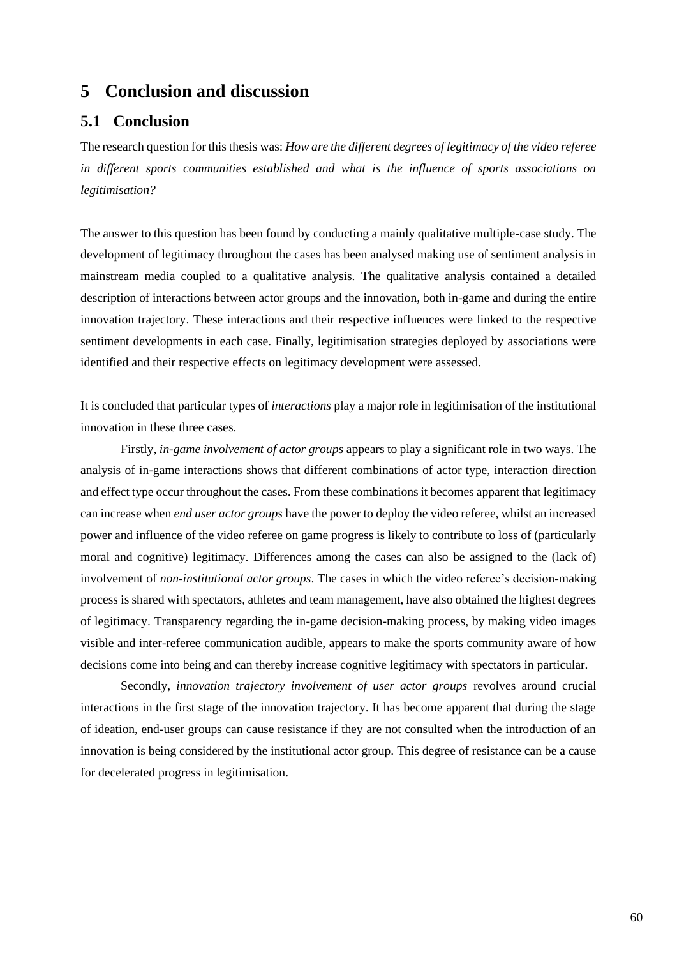# **5 Conclusion and discussion**

# **5.1 Conclusion**

The research question for this thesis was: *How are the different degrees of legitimacy of the video referee in different sports communities established and what is the influence of sports associations on legitimisation?*

The answer to this question has been found by conducting a mainly qualitative multiple-case study. The development of legitimacy throughout the cases has been analysed making use of sentiment analysis in mainstream media coupled to a qualitative analysis. The qualitative analysis contained a detailed description of interactions between actor groups and the innovation, both in-game and during the entire innovation trajectory. These interactions and their respective influences were linked to the respective sentiment developments in each case. Finally, legitimisation strategies deployed by associations were identified and their respective effects on legitimacy development were assessed.

It is concluded that particular types of *interactions* play a major role in legitimisation of the institutional innovation in these three cases.

Firstly, *in-game involvement of actor groups* appears to play a significant role in two ways. The analysis of in-game interactions shows that different combinations of actor type, interaction direction and effect type occur throughout the cases. From these combinations it becomes apparent that legitimacy can increase when *end user actor groups* have the power to deploy the video referee, whilst an increased power and influence of the video referee on game progress is likely to contribute to loss of (particularly moral and cognitive) legitimacy. Differences among the cases can also be assigned to the (lack of) involvement of *non-institutional actor groups*. The cases in which the video referee's decision-making process is shared with spectators, athletes and team management, have also obtained the highest degrees of legitimacy. Transparency regarding the in-game decision-making process, by making video images visible and inter-referee communication audible, appears to make the sports community aware of how decisions come into being and can thereby increase cognitive legitimacy with spectators in particular.

Secondly, *innovation trajectory involvement of user actor groups* revolves around crucial interactions in the first stage of the innovation trajectory. It has become apparent that during the stage of ideation, end-user groups can cause resistance if they are not consulted when the introduction of an innovation is being considered by the institutional actor group. This degree of resistance can be a cause for decelerated progress in legitimisation.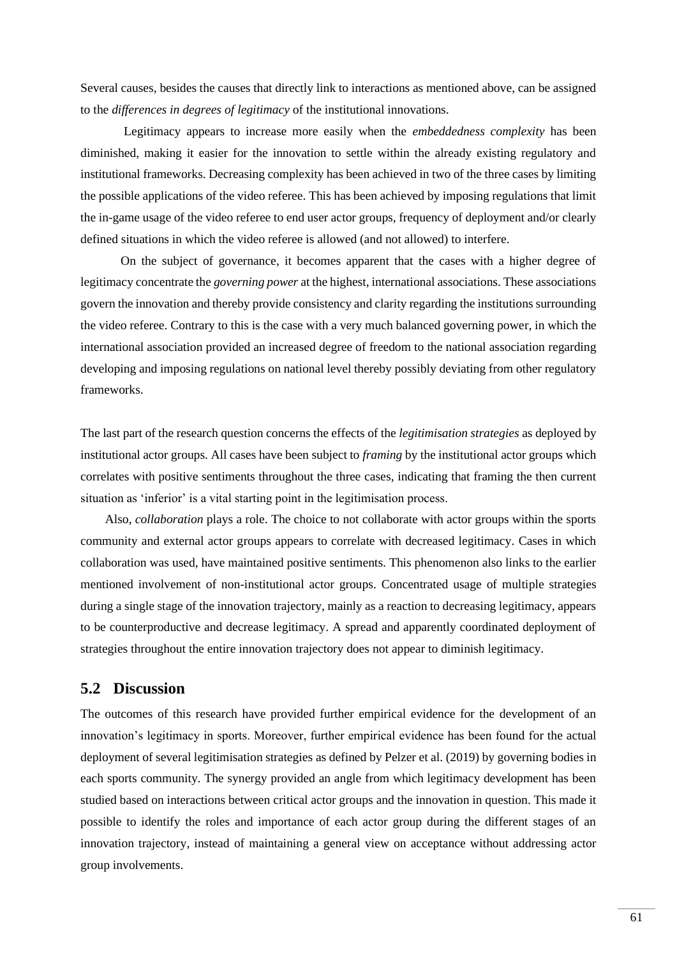Several causes, besides the causes that directly link to interactions as mentioned above, can be assigned to the *differences in degrees of legitimacy* of the institutional innovations.

Legitimacy appears to increase more easily when the *embeddedness complexity* has been diminished, making it easier for the innovation to settle within the already existing regulatory and institutional frameworks. Decreasing complexity has been achieved in two of the three cases by limiting the possible applications of the video referee. This has been achieved by imposing regulations that limit the in-game usage of the video referee to end user actor groups, frequency of deployment and/or clearly defined situations in which the video referee is allowed (and not allowed) to interfere.

On the subject of governance, it becomes apparent that the cases with a higher degree of legitimacy concentrate the *governing power* at the highest, international associations. These associations govern the innovation and thereby provide consistency and clarity regarding the institutions surrounding the video referee. Contrary to this is the case with a very much balanced governing power, in which the international association provided an increased degree of freedom to the national association regarding developing and imposing regulations on national level thereby possibly deviating from other regulatory frameworks.

The last part of the research question concerns the effects of the *legitimisation strategies* as deployed by institutional actor groups. All cases have been subject to *framing* by the institutional actor groups which correlates with positive sentiments throughout the three cases, indicating that framing the then current situation as 'inferior' is a vital starting point in the legitimisation process.

Also, *collaboration* plays a role. The choice to not collaborate with actor groups within the sports community and external actor groups appears to correlate with decreased legitimacy. Cases in which collaboration was used, have maintained positive sentiments. This phenomenon also links to the earlier mentioned involvement of non-institutional actor groups. Concentrated usage of multiple strategies during a single stage of the innovation trajectory, mainly as a reaction to decreasing legitimacy, appears to be counterproductive and decrease legitimacy. A spread and apparently coordinated deployment of strategies throughout the entire innovation trajectory does not appear to diminish legitimacy.

## **5.2 Discussion**

The outcomes of this research have provided further empirical evidence for the development of an innovation's legitimacy in sports. Moreover, further empirical evidence has been found for the actual deployment of several legitimisation strategies as defined by Pelzer et al. (2019) by governing bodies in each sports community. The synergy provided an angle from which legitimacy development has been studied based on interactions between critical actor groups and the innovation in question. This made it possible to identify the roles and importance of each actor group during the different stages of an innovation trajectory, instead of maintaining a general view on acceptance without addressing actor group involvements.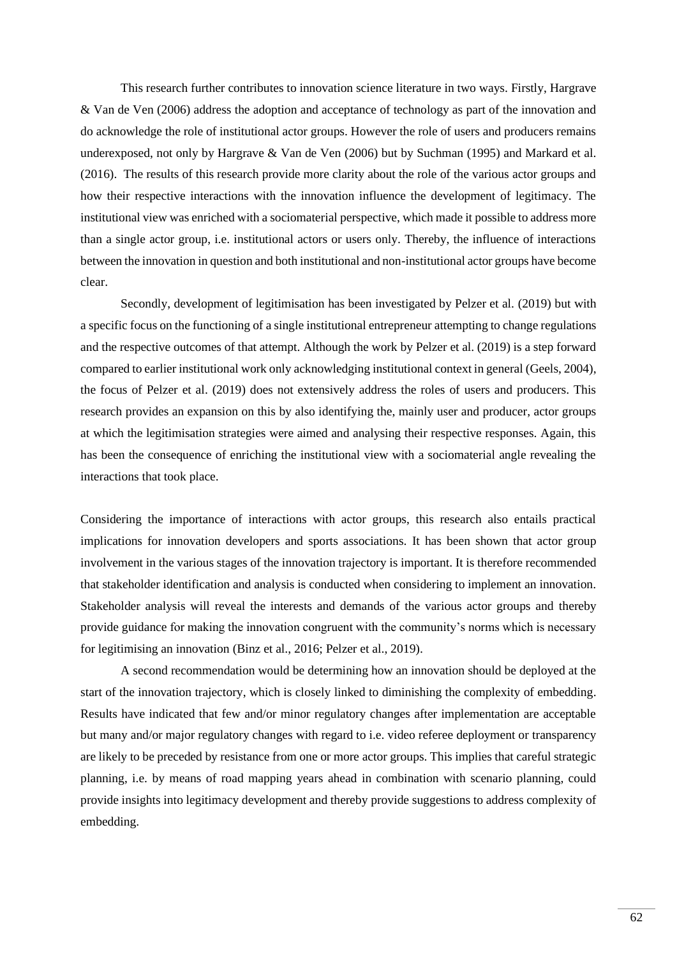This research further contributes to innovation science literature in two ways. Firstly, Hargrave & Van de Ven (2006) address the adoption and acceptance of technology as part of the innovation and do acknowledge the role of institutional actor groups. However the role of users and producers remains underexposed, not only by Hargrave & Van de Ven (2006) but by Suchman (1995) and Markard et al. (2016). The results of this research provide more clarity about the role of the various actor groups and how their respective interactions with the innovation influence the development of legitimacy. The institutional view was enriched with a sociomaterial perspective, which made it possible to address more than a single actor group, i.e. institutional actors or users only. Thereby, the influence of interactions between the innovation in question and both institutional and non-institutional actor groups have become clear.

Secondly, development of legitimisation has been investigated by Pelzer et al. (2019) but with a specific focus on the functioning of a single institutional entrepreneur attempting to change regulations and the respective outcomes of that attempt. Although the work by Pelzer et al. (2019) is a step forward compared to earlier institutional work only acknowledging institutional context in general (Geels, 2004), the focus of Pelzer et al. (2019) does not extensively address the roles of users and producers. This research provides an expansion on this by also identifying the, mainly user and producer, actor groups at which the legitimisation strategies were aimed and analysing their respective responses. Again, this has been the consequence of enriching the institutional view with a sociomaterial angle revealing the interactions that took place.

Considering the importance of interactions with actor groups, this research also entails practical implications for innovation developers and sports associations. It has been shown that actor group involvement in the various stages of the innovation trajectory is important. It is therefore recommended that stakeholder identification and analysis is conducted when considering to implement an innovation. Stakeholder analysis will reveal the interests and demands of the various actor groups and thereby provide guidance for making the innovation congruent with the community's norms which is necessary for legitimising an innovation (Binz et al., 2016; Pelzer et al., 2019).

A second recommendation would be determining how an innovation should be deployed at the start of the innovation trajectory, which is closely linked to diminishing the complexity of embedding. Results have indicated that few and/or minor regulatory changes after implementation are acceptable but many and/or major regulatory changes with regard to i.e. video referee deployment or transparency are likely to be preceded by resistance from one or more actor groups. This implies that careful strategic planning, i.e. by means of road mapping years ahead in combination with scenario planning, could provide insights into legitimacy development and thereby provide suggestions to address complexity of embedding.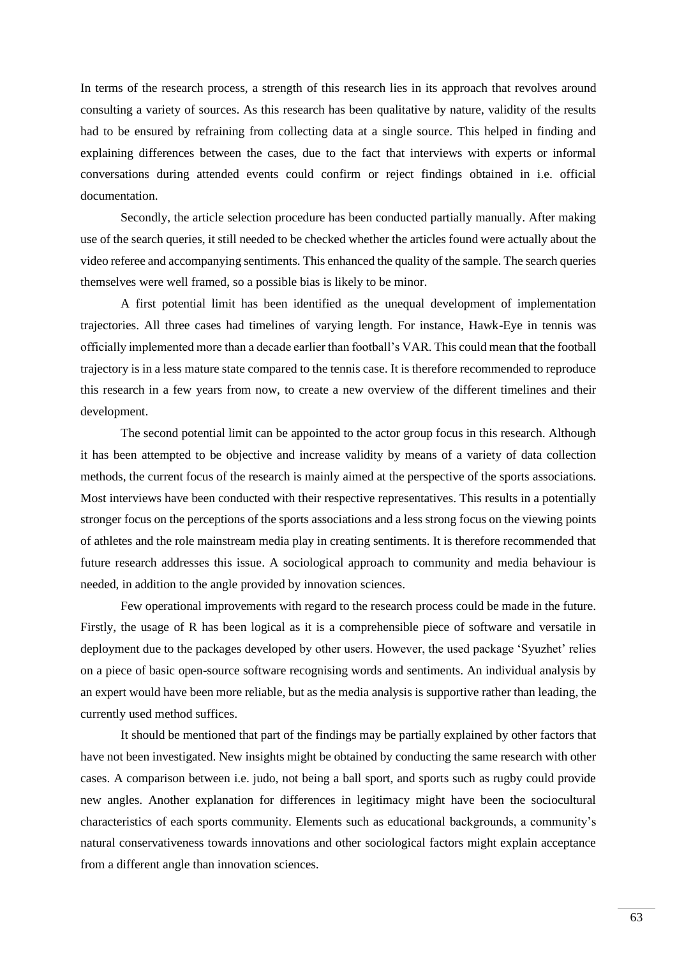In terms of the research process, a strength of this research lies in its approach that revolves around consulting a variety of sources. As this research has been qualitative by nature, validity of the results had to be ensured by refraining from collecting data at a single source. This helped in finding and explaining differences between the cases, due to the fact that interviews with experts or informal conversations during attended events could confirm or reject findings obtained in i.e. official documentation.

Secondly, the article selection procedure has been conducted partially manually. After making use of the search queries, it still needed to be checked whether the articles found were actually about the video referee and accompanying sentiments. This enhanced the quality of the sample. The search queries themselves were well framed, so a possible bias is likely to be minor.

A first potential limit has been identified as the unequal development of implementation trajectories. All three cases had timelines of varying length. For instance, Hawk-Eye in tennis was officially implemented more than a decade earlier than football's VAR. This could mean that the football trajectory is in a less mature state compared to the tennis case. It is therefore recommended to reproduce this research in a few years from now, to create a new overview of the different timelines and their development.

The second potential limit can be appointed to the actor group focus in this research. Although it has been attempted to be objective and increase validity by means of a variety of data collection methods, the current focus of the research is mainly aimed at the perspective of the sports associations. Most interviews have been conducted with their respective representatives. This results in a potentially stronger focus on the perceptions of the sports associations and a less strong focus on the viewing points of athletes and the role mainstream media play in creating sentiments. It is therefore recommended that future research addresses this issue. A sociological approach to community and media behaviour is needed, in addition to the angle provided by innovation sciences.

Few operational improvements with regard to the research process could be made in the future. Firstly, the usage of R has been logical as it is a comprehensible piece of software and versatile in deployment due to the packages developed by other users. However, the used package 'Syuzhet' relies on a piece of basic open-source software recognising words and sentiments. An individual analysis by an expert would have been more reliable, but as the media analysis is supportive rather than leading, the currently used method suffices.

It should be mentioned that part of the findings may be partially explained by other factors that have not been investigated. New insights might be obtained by conducting the same research with other cases. A comparison between i.e. judo, not being a ball sport, and sports such as rugby could provide new angles. Another explanation for differences in legitimacy might have been the sociocultural characteristics of each sports community. Elements such as educational backgrounds, a community's natural conservativeness towards innovations and other sociological factors might explain acceptance from a different angle than innovation sciences.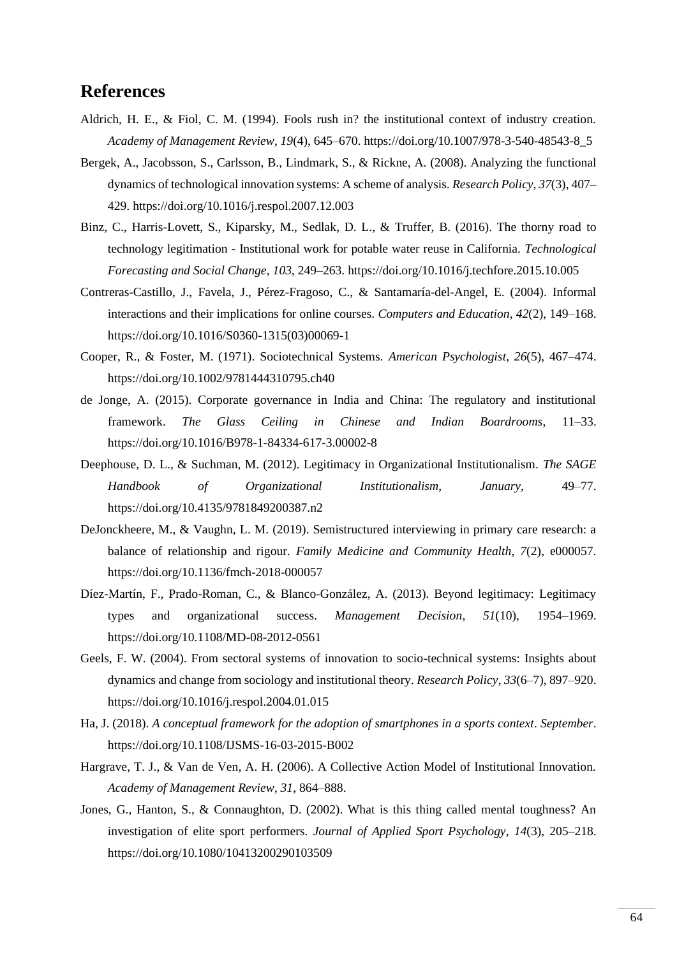# **References**

- Aldrich, H. E., & Fiol, C. M. (1994). Fools rush in? the institutional context of industry creation. *Academy of Management Review*, *19*(4), 645–670. https://doi.org/10.1007/978-3-540-48543-8\_5
- Bergek, A., Jacobsson, S., Carlsson, B., Lindmark, S., & Rickne, A. (2008). Analyzing the functional dynamics of technological innovation systems: A scheme of analysis. *Research Policy*, *37*(3), 407– 429. https://doi.org/10.1016/j.respol.2007.12.003
- Binz, C., Harris-Lovett, S., Kiparsky, M., Sedlak, D. L., & Truffer, B. (2016). The thorny road to technology legitimation - Institutional work for potable water reuse in California. *Technological Forecasting and Social Change*, *103*, 249–263. https://doi.org/10.1016/j.techfore.2015.10.005
- Contreras-Castillo, J., Favela, J., Pérez-Fragoso, C., & Santamaría-del-Angel, E. (2004). Informal interactions and their implications for online courses. *Computers and Education*, *42*(2), 149–168. https://doi.org/10.1016/S0360-1315(03)00069-1
- Cooper, R., & Foster, M. (1971). Sociotechnical Systems. *American Psychologist*, *26*(5), 467–474. https://doi.org/10.1002/9781444310795.ch40
- de Jonge, A. (2015). Corporate governance in India and China: The regulatory and institutional framework. *The Glass Ceiling in Chinese and Indian Boardrooms*, 11–33. https://doi.org/10.1016/B978-1-84334-617-3.00002-8
- Deephouse, D. L., & Suchman, M. (2012). Legitimacy in Organizational Institutionalism. *The SAGE Handbook of Organizational Institutionalism*, *January*, 49–77. https://doi.org/10.4135/9781849200387.n2
- DeJonckheere, M., & Vaughn, L. M. (2019). Semistructured interviewing in primary care research: a balance of relationship and rigour. *Family Medicine and Community Health*, *7*(2), e000057. https://doi.org/10.1136/fmch-2018-000057
- Díez-Martín, F., Prado-Roman, C., & Blanco-González, A. (2013). Beyond legitimacy: Legitimacy types and organizational success. *Management Decision*, *51*(10), 1954–1969. https://doi.org/10.1108/MD-08-2012-0561
- Geels, F. W. (2004). From sectoral systems of innovation to socio-technical systems: Insights about dynamics and change from sociology and institutional theory. *Research Policy*, *33*(6–7), 897–920. https://doi.org/10.1016/j.respol.2004.01.015
- Ha, J. (2018). *A conceptual framework for the adoption of smartphones in a sports context*. *September*. https://doi.org/10.1108/IJSMS-16-03-2015-B002
- Hargrave, T. J., & Van de Ven, A. H. (2006). A Collective Action Model of Institutional Innovation. *Academy of Management Review*, *31*, 864–888.
- Jones, G., Hanton, S., & Connaughton, D. (2002). What is this thing called mental toughness? An investigation of elite sport performers. *Journal of Applied Sport Psychology*, *14*(3), 205–218. https://doi.org/10.1080/10413200290103509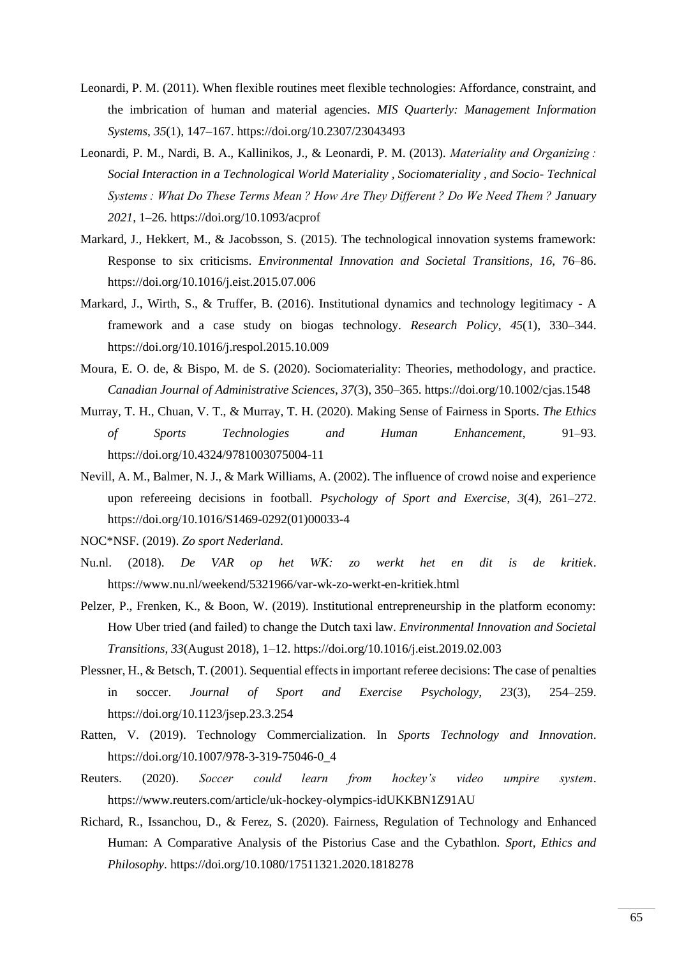- Leonardi, P. M. (2011). When flexible routines meet flexible technologies: Affordance, constraint, and the imbrication of human and material agencies. *MIS Quarterly: Management Information Systems*, *35*(1), 147–167. https://doi.org/10.2307/23043493
- Leonardi, P. M., Nardi, B. A., Kallinikos, J., & Leonardi, P. M. (2013). *Materiality and Organizing : Social Interaction in a Technological World Materiality , Sociomateriality , and Socio- Technical Systems : What Do These Terms Mean ? How Are They Different ? Do We Need Them ? January 2021*, 1–26. https://doi.org/10.1093/acprof
- Markard, J., Hekkert, M., & Jacobsson, S. (2015). The technological innovation systems framework: Response to six criticisms. *Environmental Innovation and Societal Transitions*, *16*, 76–86. https://doi.org/10.1016/j.eist.2015.07.006
- Markard, J., Wirth, S., & Truffer, B. (2016). Institutional dynamics and technology legitimacy A framework and a case study on biogas technology. *Research Policy*, *45*(1), 330–344. https://doi.org/10.1016/j.respol.2015.10.009
- Moura, E. O. de, & Bispo, M. de S. (2020). Sociomateriality: Theories, methodology, and practice. *Canadian Journal of Administrative Sciences*, *37*(3), 350–365. https://doi.org/10.1002/cjas.1548
- Murray, T. H., Chuan, V. T., & Murray, T. H. (2020). Making Sense of Fairness in Sports. *The Ethics of Sports Technologies and Human Enhancement*, 91–93. https://doi.org/10.4324/9781003075004-11
- Nevill, A. M., Balmer, N. J., & Mark Williams, A. (2002). The influence of crowd noise and experience upon refereeing decisions in football. *Psychology of Sport and Exercise*, *3*(4), 261–272. https://doi.org/10.1016/S1469-0292(01)00033-4
- NOC\*NSF. (2019). *Zo sport Nederland*.
- Nu.nl. (2018). *De VAR op het WK: zo werkt het en dit is de kritiek*. https://www.nu.nl/weekend/5321966/var-wk-zo-werkt-en-kritiek.html
- Pelzer, P., Frenken, K., & Boon, W. (2019). Institutional entrepreneurship in the platform economy: How Uber tried (and failed) to change the Dutch taxi law. *Environmental Innovation and Societal Transitions*, *33*(August 2018), 1–12. https://doi.org/10.1016/j.eist.2019.02.003
- Plessner, H., & Betsch, T. (2001). Sequential effects in important referee decisions: The case of penalties in soccer. *Journal of Sport and Exercise Psychology*, *23*(3), 254–259. https://doi.org/10.1123/jsep.23.3.254
- Ratten, V. (2019). Technology Commercialization. In *Sports Technology and Innovation*. https://doi.org/10.1007/978-3-319-75046-0\_4
- Reuters. (2020). *Soccer could learn from hockey's video umpire system*. https://www.reuters.com/article/uk-hockey-olympics-idUKKBN1Z91AU
- Richard, R., Issanchou, D., & Ferez, S. (2020). Fairness, Regulation of Technology and Enhanced Human: A Comparative Analysis of the Pistorius Case and the Cybathlon. *Sport, Ethics and Philosophy*. https://doi.org/10.1080/17511321.2020.1818278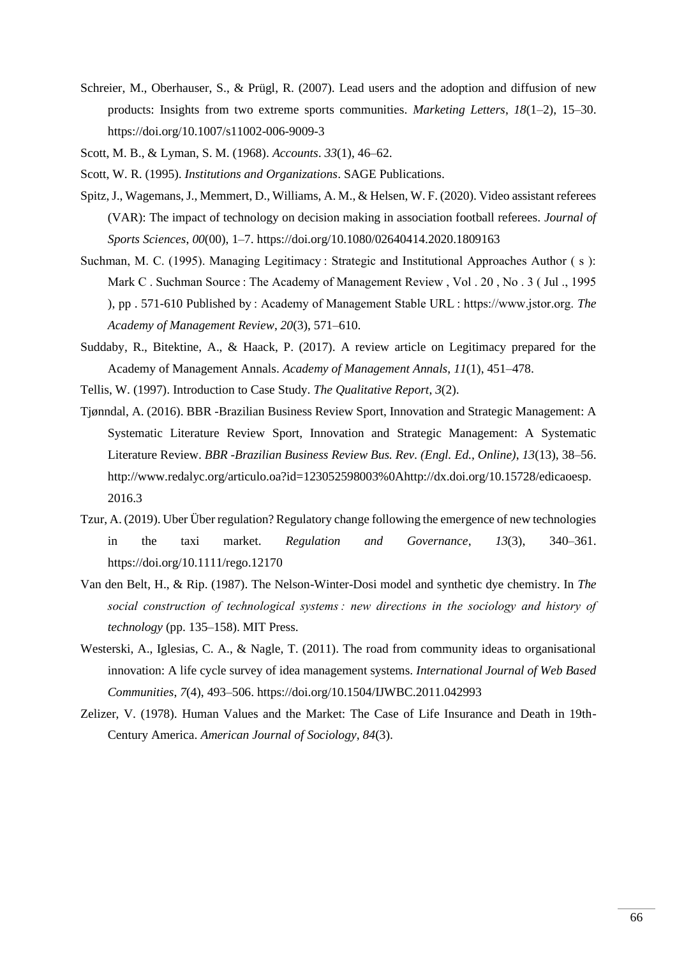- Schreier, M., Oberhauser, S., & Prügl, R. (2007). Lead users and the adoption and diffusion of new products: Insights from two extreme sports communities. *Marketing Letters*, *18*(1–2), 15–30. https://doi.org/10.1007/s11002-006-9009-3
- Scott, M. B., & Lyman, S. M. (1968). *Accounts*. *33*(1), 46–62.
- Scott, W. R. (1995). *Institutions and Organizations*. SAGE Publications.
- Spitz, J., Wagemans, J., Memmert, D., Williams, A. M., & Helsen, W. F. (2020). Video assistant referees (VAR): The impact of technology on decision making in association football referees. *Journal of Sports Sciences*, *00*(00), 1–7. https://doi.org/10.1080/02640414.2020.1809163
- Suchman, M. C. (1995). Managing Legitimacy : Strategic and Institutional Approaches Author ( s ): Mark C. Suchman Source : The Academy of Management Review, Vol. 20, No. 3 (Jul., 1995) ), pp . 571-610 Published by : Academy of Management Stable URL : https://www.jstor.org. *The Academy of Management Review*, *20*(3), 571–610.
- Suddaby, R., Bitektine, A., & Haack, P. (2017). A review article on Legitimacy prepared for the Academy of Management Annals. *Academy of Management Annals*, *11*(1), 451–478.
- Tellis, W. (1997). Introduction to Case Study. *The Qualitative Report*, *3*(2).
- Tjønndal, A. (2016). BBR -Brazilian Business Review Sport, Innovation and Strategic Management: A Systematic Literature Review Sport, Innovation and Strategic Management: A Systematic Literature Review. *BBR -Brazilian Business Review Bus. Rev. (Engl. Ed., Online)*, *13*(13), 38–56. http://www.redalyc.org/articulo.oa?id=123052598003%0Ahttp://dx.doi.org/10.15728/edicaoesp. 2016.3
- Tzur, A. (2019). Uber Über regulation? Regulatory change following the emergence of new technologies in the taxi market. *Regulation and Governance*, *13*(3), 340–361. https://doi.org/10.1111/rego.12170
- Van den Belt, H., & Rip. (1987). The Nelson-Winter-Dosi model and synthetic dye chemistry. In *The social construction of technological systems : new directions in the sociology and history of technology* (pp. 135–158). MIT Press.
- Westerski, A., Iglesias, C. A., & Nagle, T. (2011). The road from community ideas to organisational innovation: A life cycle survey of idea management systems. *International Journal of Web Based Communities*, *7*(4), 493–506. https://doi.org/10.1504/IJWBC.2011.042993
- Zelizer, V. (1978). Human Values and the Market: The Case of Life Insurance and Death in 19th-Century America. *American Journal of Sociology*, *84*(3).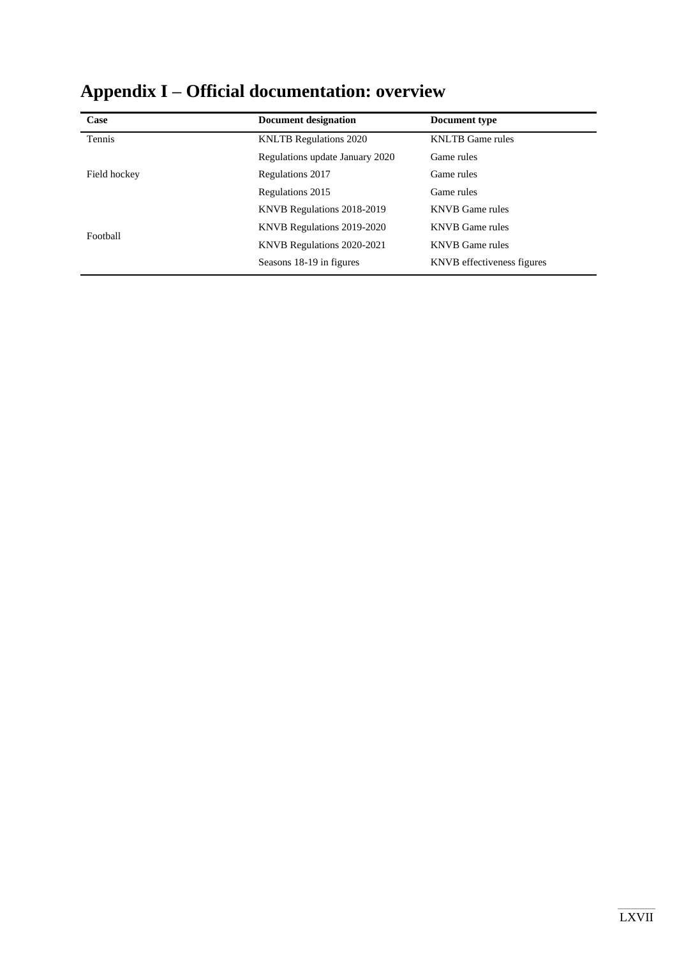| Case         | <b>Document designation</b>     | Document type              |
|--------------|---------------------------------|----------------------------|
| Tennis       | <b>KNLTB</b> Regulations 2020   | <b>KNLTB</b> Game rules    |
|              | Regulations update January 2020 | Game rules                 |
| Field hockey | Regulations 2017                | Game rules                 |
|              | Regulations 2015                | Game rules                 |
|              | KNVB Regulations 2018-2019      | <b>KNVB</b> Game rules     |
| Football     | KNVB Regulations 2019-2020      | <b>KNVB</b> Game rules     |
|              | KNVB Regulations 2020-2021      | <b>KNVB</b> Game rules     |
|              | Seasons 18-19 in figures        | KNVB effectiveness figures |

# **Appendix I – Official documentation: overview**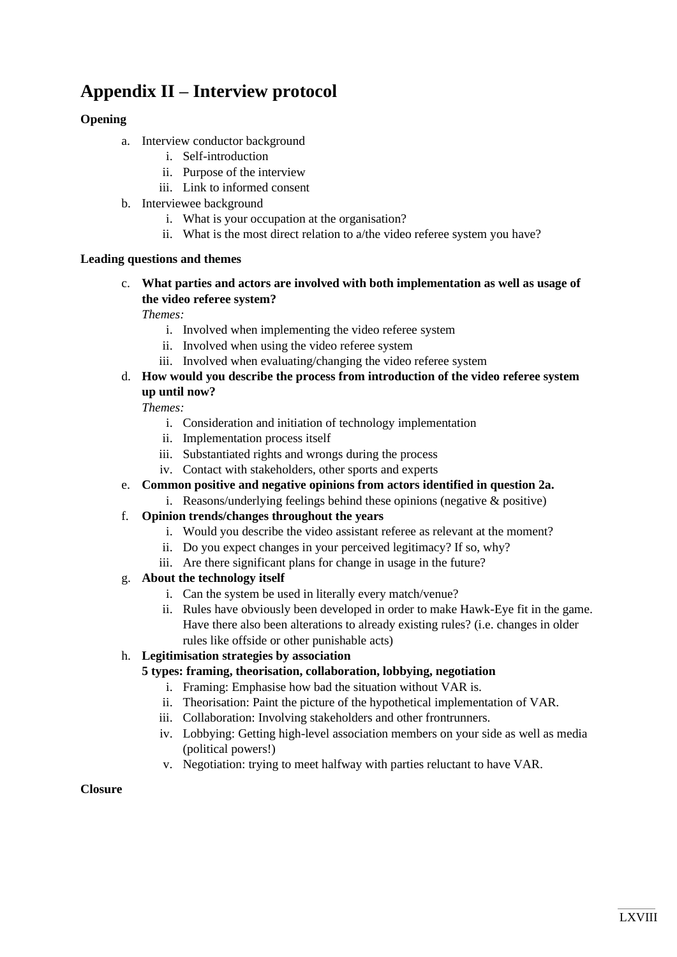# **Appendix II – Interview protocol**

# **Opening**

- a. Interview conductor background
	- i. Self-introduction
	- ii. Purpose of the interview
	- iii. Link to informed consent
- b. Interviewee background
	- i. What is your occupation at the organisation?
	- ii. What is the most direct relation to a/the video referee system you have?

#### **Leading questions and themes**

c. **What parties and actors are involved with both implementation as well as usage of the video referee system?**

*Themes:*

- i. Involved when implementing the video referee system
- ii. Involved when using the video referee system
- iii. Involved when evaluating/changing the video referee system
- d. **How would you describe the process from introduction of the video referee system up until now?**

*Themes:*

- i. Consideration and initiation of technology implementation
- ii. Implementation process itself
- iii. Substantiated rights and wrongs during the process
- iv. Contact with stakeholders, other sports and experts
- e. **Common positive and negative opinions from actors identified in question 2a.**
	- i. Reasons/underlying feelings behind these opinions (negative  $\&$  positive)
- f. **Opinion trends/changes throughout the years**
	- i. Would you describe the video assistant referee as relevant at the moment?
	- ii. Do you expect changes in your perceived legitimacy? If so, why?
	- iii. Are there significant plans for change in usage in the future?

## g. **About the technology itself**

- i. Can the system be used in literally every match/venue?
- ii. Rules have obviously been developed in order to make Hawk-Eye fit in the game. Have there also been alterations to already existing rules? (i.e. changes in older rules like offside or other punishable acts)

## h. **Legitimisation strategies by association**

### **5 types: framing, theorisation, collaboration, lobbying, negotiation**

- i. Framing: Emphasise how bad the situation without VAR is.
- ii. Theorisation: Paint the picture of the hypothetical implementation of VAR.
- iii. Collaboration: Involving stakeholders and other frontrunners.
- iv. Lobbying: Getting high-level association members on your side as well as media (political powers!)
- v. Negotiation: trying to meet halfway with parties reluctant to have VAR.

## **Closure**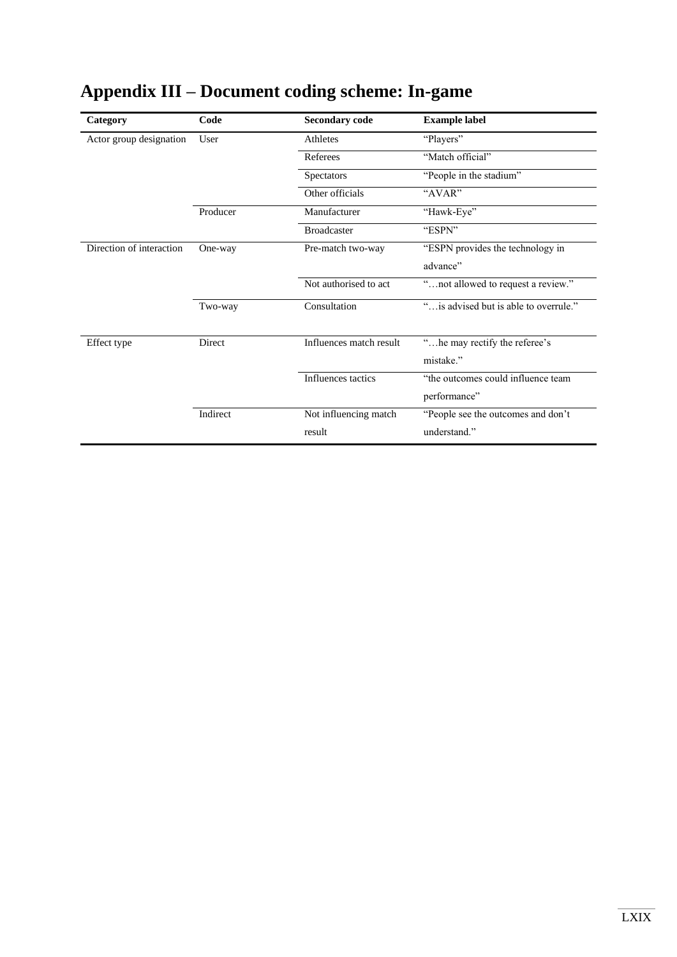| Category                 | Code     | <b>Secondary code</b>   | <b>Example label</b>                       |
|--------------------------|----------|-------------------------|--------------------------------------------|
| Actor group designation  | User     | Athletes                | "Players"                                  |
|                          |          | Referees                | "Match official"                           |
|                          |          | Spectators              | "People in the stadium"                    |
|                          |          | Other officials         | "AVAR"                                     |
|                          | Producer | Manufacturer            | "Hawk-Eye"                                 |
|                          |          | <b>Broadcaster</b>      | "ESPN"                                     |
| Direction of interaction | One-way  | Pre-match two-way       | "ESPN provides the technology in           |
|                          |          |                         | advance"                                   |
|                          |          | Not authorised to act   | "not allowed to request a review."         |
|                          | Two-way  | Consultation            | " is advised but is able to overrule."     |
| Effect type              | Direct   | Influences match result | "he may rectify the referee's<br>mistake." |
|                          |          | Influences tactics      | "the outcomes could influence team         |
|                          |          |                         | performance"                               |
|                          | Indirect | Not influencing match   | "People see the outcomes and don't         |
|                          |          | result                  | understand."                               |

# **Appendix III – Document coding scheme: In-game**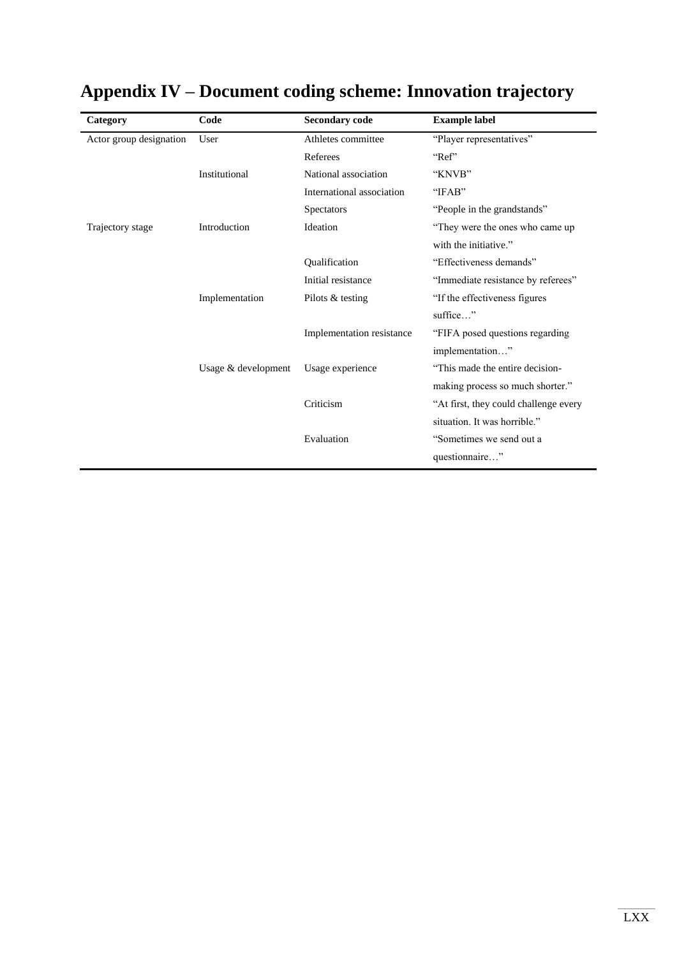| Category                | Code                | <b>Secondary code</b>     | <b>Example label</b>                  |
|-------------------------|---------------------|---------------------------|---------------------------------------|
| Actor group designation | User                | Athletes committee        | "Player representatives"              |
|                         |                     | Referees                  | "Ref"                                 |
|                         | Institutional       | National association      | "KNVB"                                |
|                         |                     | International association | "IFAB"                                |
|                         |                     | <b>Spectators</b>         | "People in the grandstands"           |
| Trajectory stage        | Introduction        | Ideation                  | "They were the ones who came up       |
|                         |                     |                           | with the initiative."                 |
|                         |                     | <b>Qualification</b>      | "Effectiveness demands"               |
|                         |                     | Initial resistance        | "Immediate resistance by referees"    |
|                         | Implementation      | Pilots & testing          | "If the effectiveness figures         |
|                         |                     |                           | suffice"                              |
|                         |                     | Implementation resistance | "FIFA posed questions regarding       |
|                         |                     |                           | implementation"                       |
|                         | Usage & development | Usage experience          | "This made the entire decision-       |
|                         |                     |                           | making process so much shorter."      |
|                         |                     | Criticism                 | "At first, they could challenge every |
|                         |                     |                           | situation. It was horrible."          |
|                         |                     | Evaluation                | "Sometimes we send out a              |
|                         |                     |                           | questionnaire"                        |

# **Appendix IV – Document coding scheme: Innovation trajectory**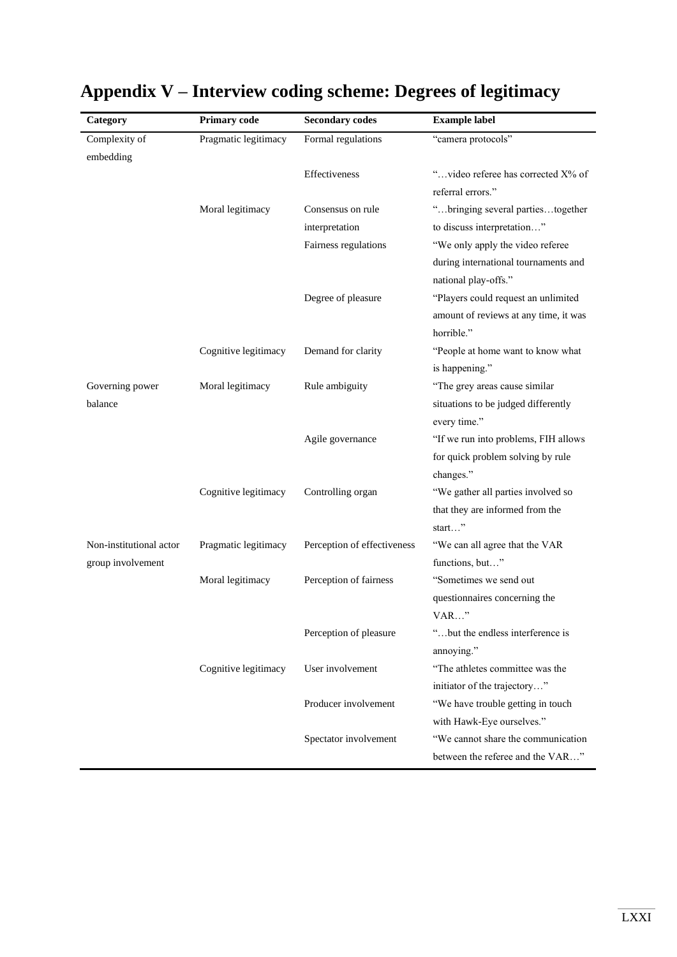| Category                | Primary code         | <b>Secondary codes</b>      | <b>Example label</b>                                         |
|-------------------------|----------------------|-----------------------------|--------------------------------------------------------------|
| Complexity of           | Pragmatic legitimacy | Formal regulations          | "camera protocols"                                           |
| embedding               |                      |                             |                                                              |
|                         |                      | Effectiveness               | "video referee has corrected X% of                           |
|                         |                      |                             | referral errors."                                            |
|                         | Moral legitimacy     | Consensus on rule           | "bringing several partiestogether                            |
|                         |                      | interpretation              | to discuss interpretation"                                   |
|                         |                      | Fairness regulations        | "We only apply the video referee                             |
|                         |                      |                             | during international tournaments and<br>national play-offs." |
|                         |                      |                             |                                                              |
|                         |                      | Degree of pleasure          | "Players could request an unlimited                          |
|                         |                      |                             | amount of reviews at any time, it was<br>horrible."          |
|                         | Cognitive legitimacy | Demand for clarity          | "People at home want to know what                            |
|                         |                      |                             | is happening."                                               |
| Governing power         | Moral legitimacy     | Rule ambiguity              | "The grey areas cause similar                                |
| balance                 |                      |                             | situations to be judged differently                          |
|                         |                      |                             | every time."                                                 |
|                         |                      | Agile governance            | "If we run into problems, FIH allows                         |
|                         |                      |                             | for quick problem solving by rule                            |
|                         |                      |                             | changes."                                                    |
|                         | Cognitive legitimacy | Controlling organ           | "We gather all parties involved so                           |
|                         |                      |                             | that they are informed from the                              |
|                         |                      |                             | start"                                                       |
| Non-institutional actor | Pragmatic legitimacy | Perception of effectiveness | "We can all agree that the VAR                               |
| group involvement       |                      |                             | functions, but"                                              |
|                         | Moral legitimacy     | Perception of fairness      | "Sometimes we send out                                       |
|                         |                      |                             | questionnaires concerning the                                |
|                         |                      |                             | $VAR$ "                                                      |
|                         |                      | Perception of pleasure      | "but the endless interference is                             |
|                         |                      |                             | annoying."                                                   |
|                         | Cognitive legitimacy | User involvement            | "The athletes committee was the                              |
|                         |                      |                             | initiator of the trajectory"                                 |
|                         |                      | Producer involvement        | "We have trouble getting in touch                            |
|                         |                      |                             | with Hawk-Eye ourselves."                                    |
|                         |                      | Spectator involvement       | "We cannot share the communication                           |
|                         |                      |                             | between the referee and the VAR"                             |

# **Appendix V – Interview coding scheme: Degrees of legitimacy**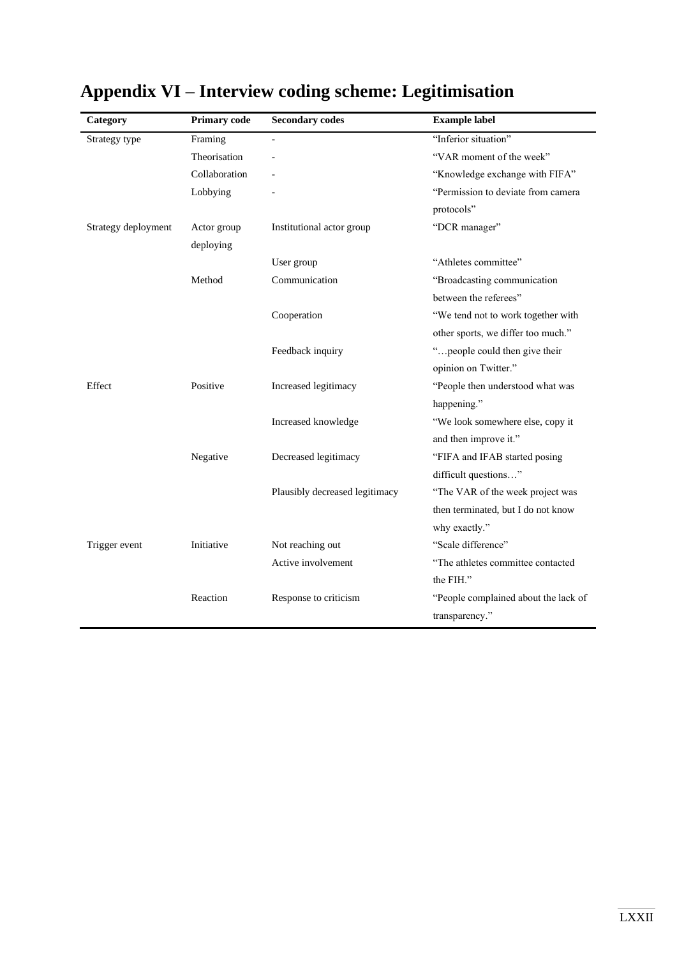| Category            | <b>Primary code</b> | <b>Secondary codes</b>         | <b>Example label</b>                 |
|---------------------|---------------------|--------------------------------|--------------------------------------|
| Strategy type       | Framing             |                                | "Inferior situation"                 |
|                     | Theorisation        |                                | "VAR moment of the week"             |
|                     | Collaboration       |                                | "Knowledge exchange with FIFA"       |
|                     | Lobbying            |                                | "Permission to deviate from camera"  |
|                     |                     |                                | protocols"                           |
| Strategy deployment | Actor group         | Institutional actor group      | "DCR manager"                        |
|                     | deploying           |                                |                                      |
|                     |                     | User group                     | "Athletes committee"                 |
|                     | Method              | Communication                  | "Broadcasting communication          |
|                     |                     |                                | between the referees"                |
|                     |                     | Cooperation                    | "We tend not to work together with   |
|                     |                     |                                | other sports, we differ too much."   |
|                     |                     | Feedback inquiry               | "people could then give their        |
|                     |                     |                                | opinion on Twitter."                 |
| Effect              | Positive            | Increased legitimacy           | "People then understood what was     |
|                     |                     |                                | happening."                          |
|                     |                     | Increased knowledge            | "We look somewhere else, copy it     |
|                     |                     |                                | and then improve it."                |
|                     | Negative            | Decreased legitimacy           | "FIFA and IFAB started posing        |
|                     |                     |                                | difficult questions"                 |
|                     |                     | Plausibly decreased legitimacy | "The VAR of the week project was     |
|                     |                     |                                | then terminated, but I do not know   |
|                     |                     |                                | why exactly."                        |
| Trigger event       | Initiative          | Not reaching out               | "Scale difference"                   |
|                     |                     | Active involvement             | "The athletes committee contacted    |
|                     |                     |                                | the FIH."                            |
|                     | Reaction            | Response to criticism          | "People complained about the lack of |
|                     |                     |                                | transparency."                       |

# **Appendix VI – Interview coding scheme: Legitimisation**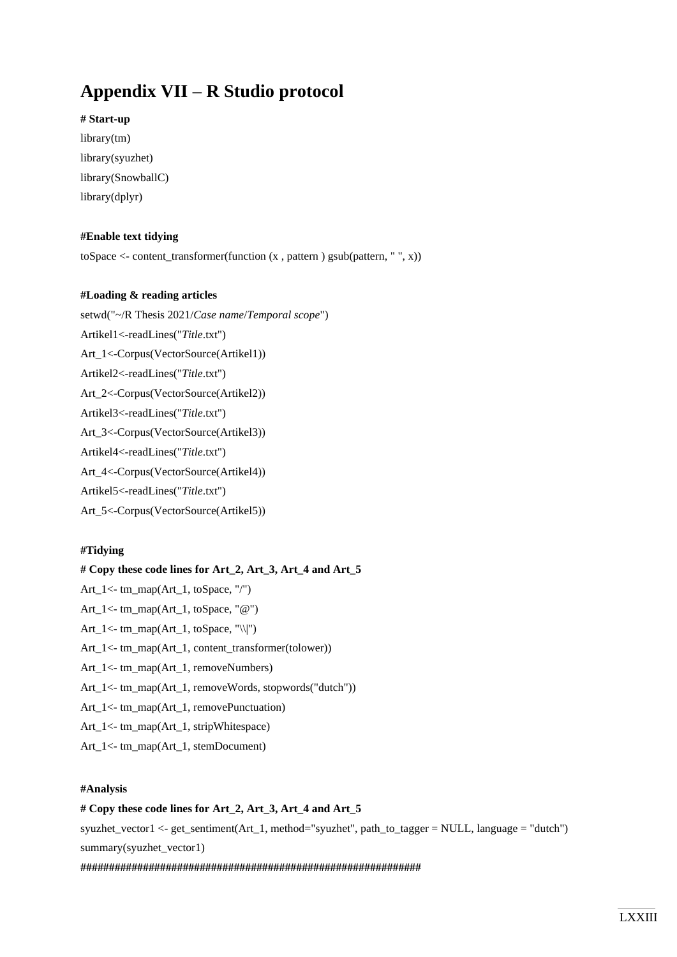## **Appendix VII – R Studio protocol**

**# Start-up**

library(tm) library(syuzhet) library(SnowballC) library(dplyr)

### **#Enable text tidying**

toSpace  $\le$  - content\_transformer(function  $(x,$  pattern ) gsub(pattern, ", x))

### **#Loading & reading articles**

setwd("~/R Thesis 2021/*Case name*/*Temporal scope*")

- Artikel1<-readLines("*Title*.txt")
- Art\_1<-Corpus(VectorSource(Artikel1))
- Artikel2<-readLines("*Title*.txt")

Art\_2<-Corpus(VectorSource(Artikel2))

Artikel3<-readLines("*Title*.txt")

Art\_3<-Corpus(VectorSource(Artikel3))

Artikel4<-readLines("*Title*.txt")

Art\_4<-Corpus(VectorSource(Artikel4))

Artikel5<-readLines("*Title*.txt")

Art\_5<-Corpus(VectorSource(Artikel5))

### **#Tidying**

**# Copy these code lines for Art\_2, Art\_3, Art\_4 and Art\_5** Art\_1<- tm\_map(Art\_1, toSpace, "/") Art\_1<- tm\_map(Art\_1, toSpace, "@") Art $_1$ <- tm\_map(Art $_1$ , toSpace, "\\|") Art\_1<- tm\_map(Art\_1, content\_transformer(tolower)) Art\_1<- tm\_map(Art\_1, removeNumbers) Art\_1<- tm\_map(Art\_1, removeWords, stopwords("dutch")) Art\_1<- tm\_map(Art\_1, removePunctuation) Art\_1<- tm\_map(Art\_1, stripWhitespace)

Art\_1<- tm\_map(Art\_1, stemDocument)

### **#Analysis**

### # Copy these code lines for Art 2, Art 3, Art 4 and Art 5

syuzhet vector1 <- get sentiment(Art 1, method="syuzhet", path to tagger = NULL, language = "dutch") summary(syuzhet\_vector1)

**############################################################**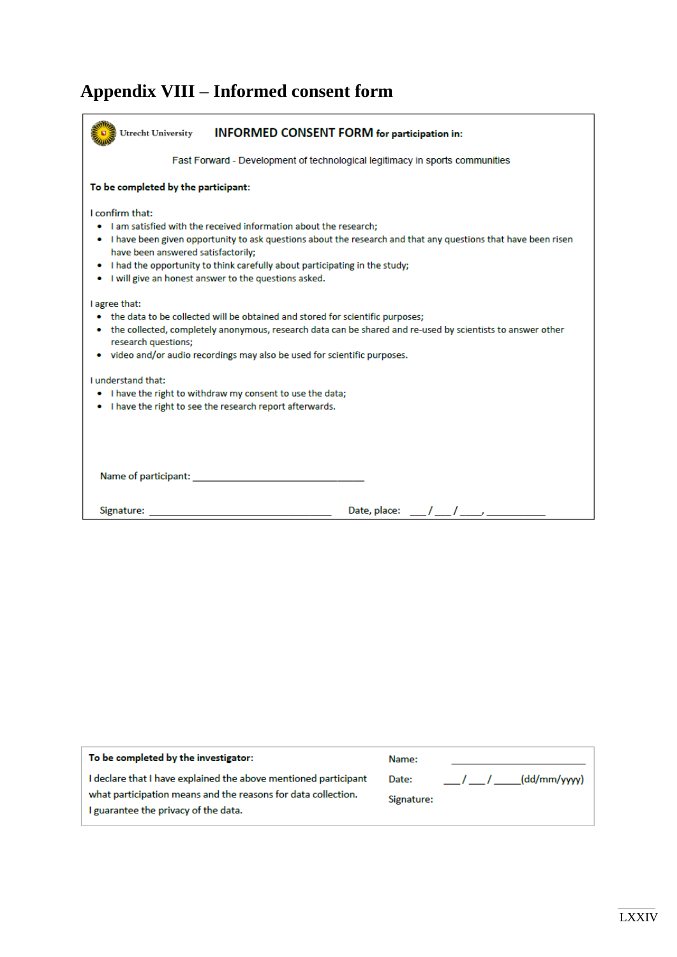# **Appendix VIII – Informed consent form**

| Utrecht University<br><b>INFORMED CONSENT FORM for participation in:</b>                                                                                                                                                                                                                                                                                                                |  |  |  |  |  |
|-----------------------------------------------------------------------------------------------------------------------------------------------------------------------------------------------------------------------------------------------------------------------------------------------------------------------------------------------------------------------------------------|--|--|--|--|--|
| Fast Forward - Development of technological legitimacy in sports communities                                                                                                                                                                                                                                                                                                            |  |  |  |  |  |
| To be completed by the participant:                                                                                                                                                                                                                                                                                                                                                     |  |  |  |  |  |
| I confirm that:<br>I am satisfied with the received information about the research;<br>. I have been given opportunity to ask questions about the research and that any questions that have been risen<br>have been answered satisfactorily;<br>I had the opportunity to think carefully about participating in the study;<br>۰<br>I will give an honest answer to the questions asked. |  |  |  |  |  |
| I agree that:<br>the data to be collected will be obtained and stored for scientific purposes;<br>• the collected, completely anonymous, research data can be shared and re-used by scientists to answer other<br>research questions;<br>video and/or audio recordings may also be used for scientific purposes.                                                                        |  |  |  |  |  |
| <b>Lunderstand that:</b><br>I have the right to withdraw my consent to use the data;<br>. I have the right to see the research report afterwards.                                                                                                                                                                                                                                       |  |  |  |  |  |
|                                                                                                                                                                                                                                                                                                                                                                                         |  |  |  |  |  |
| Signature:<br>Date, place:                                                                                                                                                                                                                                                                                                                                                              |  |  |  |  |  |

| To be completed by the investigator:                                                                                                                                     | Name:               |                            |
|--------------------------------------------------------------------------------------------------------------------------------------------------------------------------|---------------------|----------------------------|
| I declare that I have explained the above mentioned participant<br>what participation means and the reasons for data collection.<br>I guarantee the privacy of the data. | Date:<br>Signature: | (dd/mm/yyyy)<br>$\sqrt{1}$ |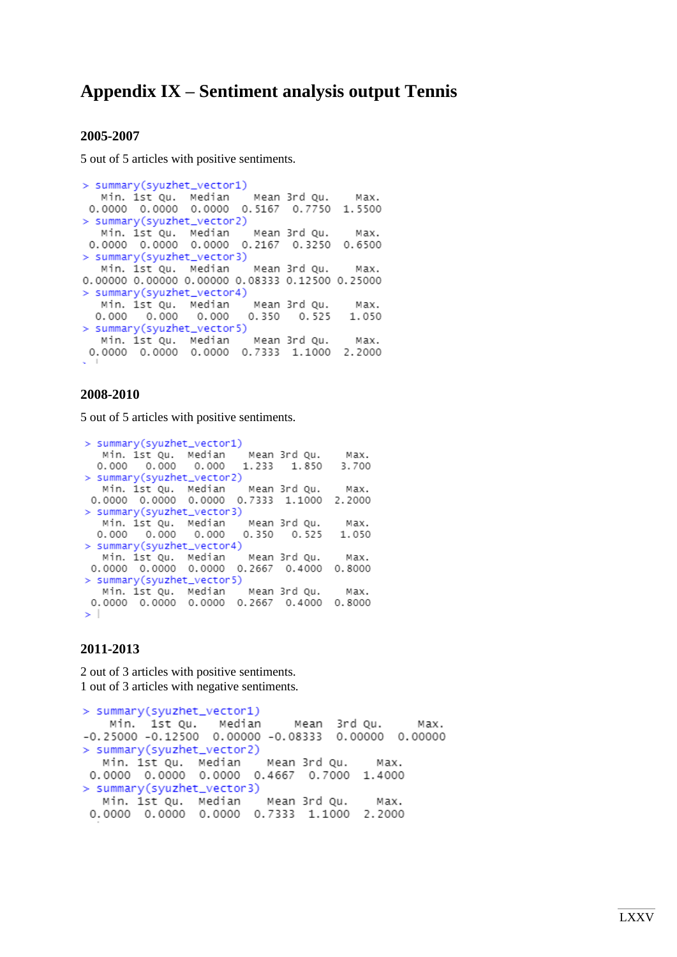### **Appendix IX – Sentiment analysis output Tennis**

#### **2005-2007**

5 out of 5 articles with positive sentiments.

> summary(syuzhet\_vector1) Min. 1st Qu. Median Mean 3rd Qu. Max. 0.0000 0.0000 0.0000 0.5167 0.7750 1.5500 > summary(syuzhet\_vector2) Min. 1st Ou. Median Mean 3rd Ou. Max. 0.0000 0.0000 0.0000 0.2167 0.3250 0.6500 > summary(syuzhet\_vector3) Min. 1st Qu. Median Mean 3rd Qu. Max. 0.00000 0.00000 0.00000 0.08333 0.12500 0.25000 > summary(syuzhet\_vector4) Min. 1st Qu. Median Mean 3rd Qu. Max.  $0.000$   $0.000$   $0.000$ 0.350 0.525 1.050 > summary(syuzhet\_vector5) Min. 1st Qu. Median Mean 3rd Qu. Max. 0.0000 0.0000 0.0000 0.7333 1.1000 2.2000

### **2008-2010**

5 out of 5 articles with positive sentiments.

```
> summary(syuzhet_vector1)
  Min. 1st Qu. Median<br>0.000   0.000   0.000
                           Mean 3rd Qu.
                                            Max
                           1.233 1.850
                                            3.700
> summary(syuzhet_vector2)
  Min. 1st Qu. Median Mean 3rd Qu.
                                             Max.
 0.0000 0.0000 0.0000 0.7333 1.1000 2.2000
> summary(syuzhet_vector3)
  Mean 3rd Qu.
                                             Max.
                           0.350 0.5251.050
> summary(syuzhet_vector4)
Min. 1st Qu. Median Mean 3rd Qu. Max.<br>0.0000 0.0000 0.0000 0.2667 0.4000 0.8000
> summary(syuzhet_vector5)
  Min. 1st Qu. Median
                           Mean 3rd Ou.
                                             Max.
0.0000 0.0000 0.0000 0.2667 0.4000 0.8000
\geq 1.
```
### **2011-2013**

2 out of 3 articles with positive sentiments. 1 out of 3 articles with negative sentiments.

```
> summary(syuzhet_vector1)
   Min. 1st Qu.
                  Median
                             Mean 3rd Qu.
                                               Max.
-0.25000 -0.12500 0.00000 -0.08333 0.000000.00000
> summary(syuzhet_vector2)
  Min. 1st Qu. Median
                         Mean 3rd Qu.
                                         Max.
 0.0000 0.0000 0.0000 0.4667 0.7000 1.4000
> summary(syuzhet_vector3)
  Min. 1st Qu. Median
                         Mean 3rd Qu.
                                         Max.
 0.0000 0.0000 0.0000 0.7333 1.1000 2.2000
```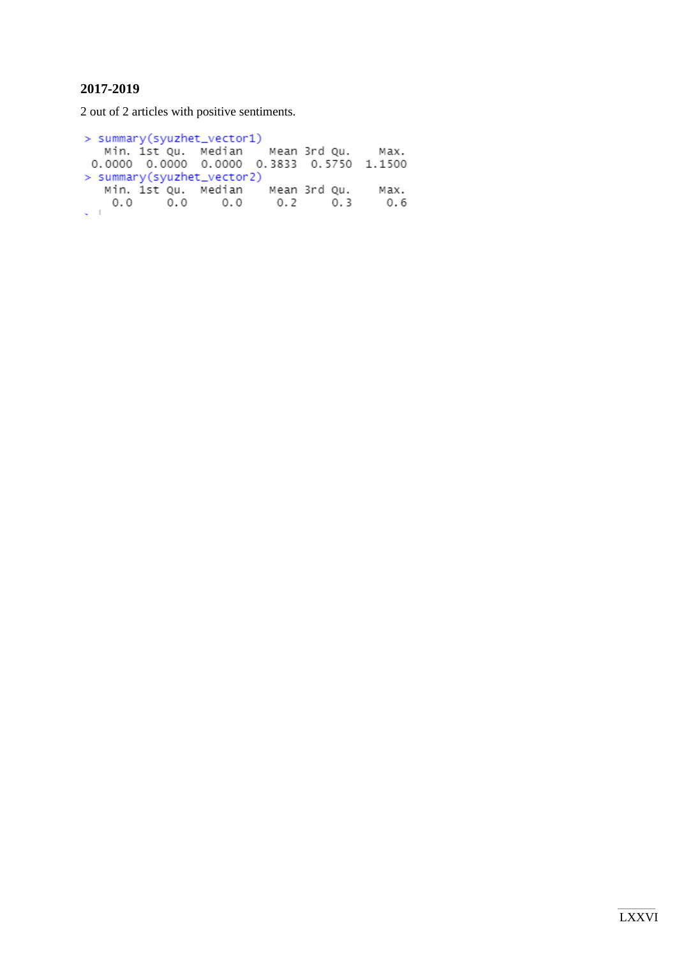### **2017-2019**

2 out of 2 articles with positive sentiments.

```
> summary(syuzhet_vector1)
 Min. 1st Qu. Median Mean 3rd Qu. Max.<br>0.0000 0.0000 0.0000 0.3833 0.5750 1.1500
> summary(syuzhet_vector2)
  Min. 1st Qu. Median
                            Mean 3rd Qu.
                                                Max.
    0.00.00.00.2 0.3
                                                0.6\zeta=1
```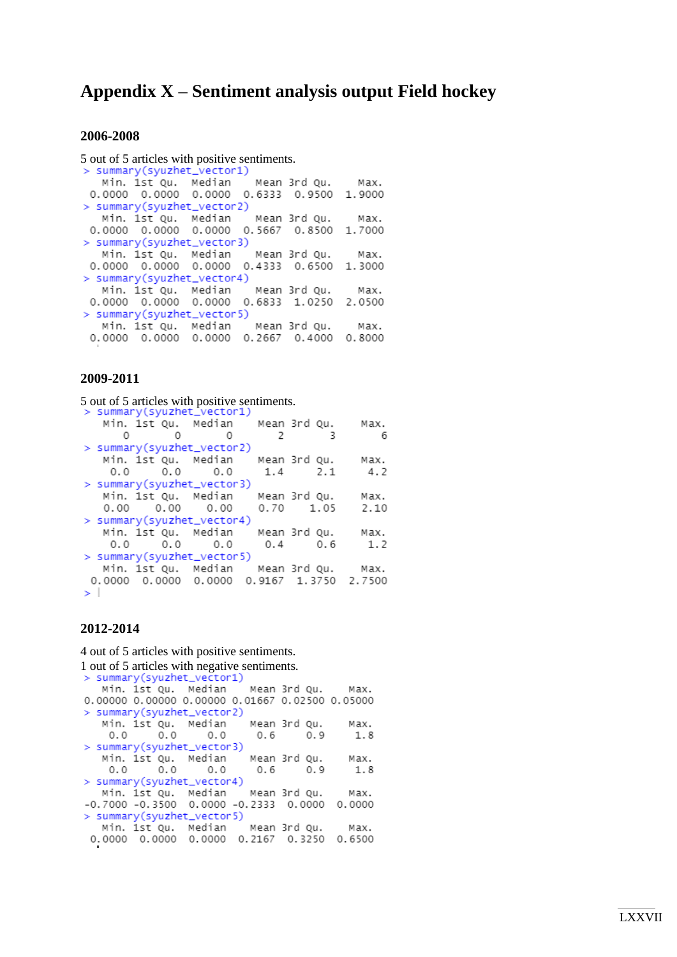### **Appendix X – Sentiment analysis output Field hockey**

### **2006-2008**

5 out of 5 articles with positive sentiments.<br>>  $\frac{1}{5}$  summary(syuzhet\_vector1) Min. 1st Qu. Median Mean 3rd Qu. Max. 0.0000 0.0000 0.0000 0.6333 0.9500 1.9000 > summary(syuzhet\_vector2) Min. 1st Qu. Median Mean 3rd Qu. Max. 0.0000 0.0000 0.0000 0.5667 0.8500 1,7000 > summary(syuzhet\_vector3) Min. 1st Qu. Median Mean 3rd Qu. Max. 0.0000 0.0000 0.0000 0.4333 0.6500 1,3000 > summary(syuzhet\_vector4) Min. 1st Qu. Median Mean 3rd Qu. Max. 0.0000 0.0000 0.0000 0.6833 1.0250 2.0500 > summary(syuzhet\_vector5) Min. 1st Qu. Median Mean 3rd Qu. Max. 0.0000 0.0000 0.0000 0.2667 0.4000 0.8000

### **2009-2011**

5 out of 5 articles with positive sentiments.<br>> summary(syuzhet\_vector1) Min. 1st Qu. Median Mean 3rd Qu. Max.  $\Omega$  $\Omega$  $\bigcap$  $\overline{2}$  $\overline{z}$ 6 > summary(syuzhet\_vector2) Min. 1st Qu. Median Mean 3rd Ou. Max.  $0.0$  $0.0$  $0.0$  $1.4$ 4.2  $2.1$ > summary(syuzhet\_vector3) Min. 1st Qu. Median Mean 3rd Qu. Max.  $0.00$  $0.70$  1.05  $0.00$  $0.00$  $2.10$ > summary(syuzhet\_vector4) Min. 1st Qu. Median Mean 3rd Qu. Max.  $0.0$  $0.0$ 0.0  $0.4$  $0.6$  $1.2$ > summary(syuzhet\_vector5) Min. 1st Qu. Median Mean 3rd Qu. Max.<br>0.0000 0.0000 0.0000 0.9167 1.3750 2.7500 > l

#### **2012-2014**

4 out of 5 articles with positive sentiments. 1 out of 5 articles with negative sentiments.<br>> summary(syuzhet\_vector1) Min. 1st Qu. Median Mean 3rd Qu. Max. 0.00000 0.00000 0.00000 0.01667 0.02500 0.05000 > summary(syuzhet\_vector2) Min. 1st Qu. Median Mean 3rd Qu. Max.  $0.0$  $0.0$  $0.0$ 0.6  $0.9$ 1.8 > summary(syuzhet\_vector3) Min. 1st Qu. Median Mean 3rd Qu. Max.  $0.0$  $0.0$  $0.0$  $0.9$ 0.6  $1.8$ > summary(syuzhet\_vector4) Mean 3rd Qu. Min. 1st Qu. Median Max.  $-0.7000 - 0.3500 0.0000 - 0.2333 0.0000$ 0.0000 > summary(syuzhet\_vector5) Min. 1st Qu. Median Mean 3rd Qu. Max. 0.0000 0.0000 0.0000 0.2167 0.3250 0.6500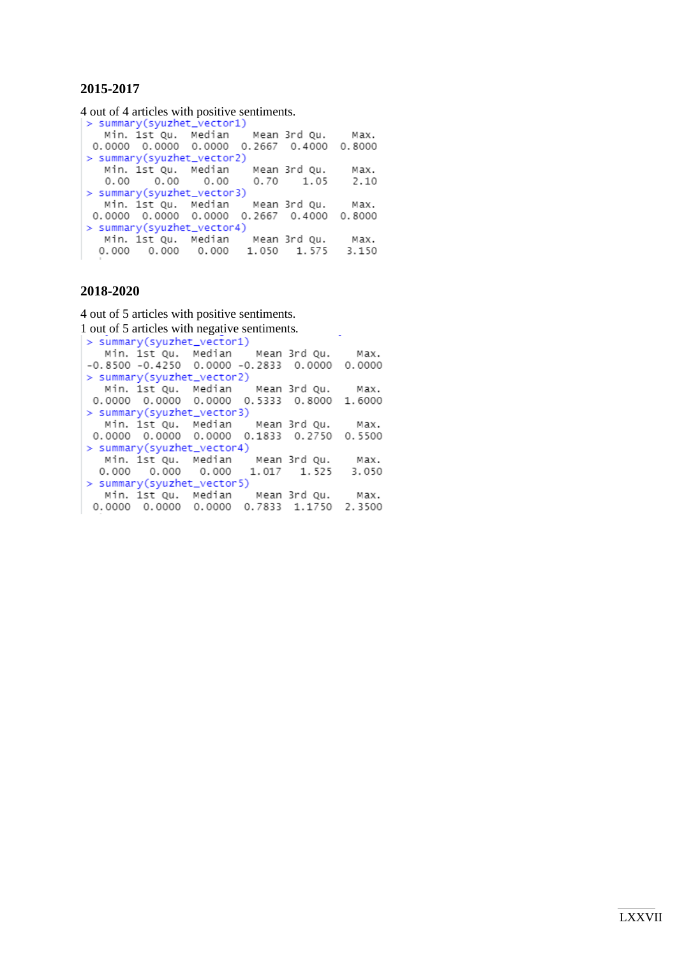### **2015-2017**

4 out of 4 articles with positive sentiments.

|                            | > summary(syuzhet_vector1)                |  |  |  |  |  |
|----------------------------|-------------------------------------------|--|--|--|--|--|
|                            | Min. 1st Qu. Median Mean 3rd Qu. Max.     |  |  |  |  |  |
|                            | 0.0000 0.0000 0.0000 0.2667 0.4000 0.8000 |  |  |  |  |  |
| > summary(syuzhet_vector2) |                                           |  |  |  |  |  |
|                            | Min. 1st Qu. Median Mean 3rd Qu. Max.     |  |  |  |  |  |
|                            | $0.00$ $0.00$ $0.00$ $0.70$ $1.05$ $2.10$ |  |  |  |  |  |
| > summary(syuzhet_vector3) |                                           |  |  |  |  |  |
|                            | Min. 1st Qu. Median Mean 3rd Qu. Max.     |  |  |  |  |  |
|                            | 0.0000 0.0000 0.0000 0.2667 0.4000 0.8000 |  |  |  |  |  |
| > summary(syuzhet_vector4) |                                           |  |  |  |  |  |
|                            | Min. 1st Qu. Median Mean 3rd Qu. Max.     |  |  |  |  |  |
|                            | 0.000 0.000 0.000 1.050 1.575 3.150       |  |  |  |  |  |
|                            |                                           |  |  |  |  |  |

### **2018-2020**

4 out of 5 articles with positive sentiments.

```
1 out of 5 articles with negative sentiments.<br>\vert > summary(syuzhet_vector1)
Min. 1st Qu. Median Mean 3rd Qu. Max.<br>-0.8500 -0.4250 0.0000 -0.2833 0.0000 0.0000
 > summary(syuzhet_vector2)
 Min. 1st Qu. Median Mean 3rd Qu. Max.<br>0.0000 0.0000 0.0000 0.5333 0.8000 1.6000
 > summary(syuzhet_vector3)
    Min. 1st Qu. Median
                                  Mean 3rd Qu.
                                                      Max.
 0.0000 0.0000 0.0000 0.1833 0.2750 0.5500
 > summary(syuzhet_vector4)
   Min. 1st Qu. Median<br>0.000 0.000 0.000
                                  Mean 3rd Ou.
                                                      Max.
                                 1.017 1.525
                                                      3.050
 > summary(syuzhet_vector5)
   Min. 1st Qu. Median Mean 3rd Qu.
                                                      Max.
 0.0000 0.0000 0.0000 0.7833 1.1750 2.3500
```